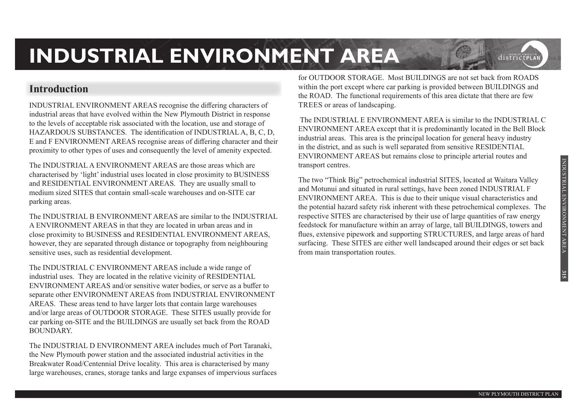### **Introduction**

INDUSTRIAL ENVIRONMENT AREAS recognise the differing characters of industrial areas that have evolved within the New Plymouth District in response to the levels of acceptable risk associated with the location, use and storage of HAZARDOUS SUBSTANCES. The identification of INDUSTRIAL A, B, C, D, E and F ENVIRONMENT AREAS recognise areas of differing character and their proximity to other types of uses and consequently the level of amenity expected.

The INDUSTRIAL A ENVIRONMENT AREAS are those areas which are characterised by 'light' industrial uses located in close proximity to BUSINESS and RESIDENTIAL ENVIRONMENT AREAS. They are usually small to medium sized SITES that contain small-scale warehouses and on-SITE car parking areas.

The INDUSTRIAL B ENVIRONMENT AREAS are similar to the INDUSTRIAL A ENVIRONMENT AREAS in that they are located in urban areas and in close proximity to BUSINESS and RESIDENTIAL ENVIRONMENT AREAS, however, they are separated through distance or topography from neighbouring sensitive uses, such as residential development.

The INDUSTRIAL C ENVIRONMENT AREAS include a wide range of industrial uses. They are located in the relative vicinity of RESIDENTIAL ENVIRONMENT AREAS and/or sensitive water bodies, or serve as a buffer to separate other ENVIRONMENT AREAS from INDUSTRIAL ENVIRONMENT AREAS. These areas tend to have larger lots that contain large warehouses and/or large areas of OUTDOOR STORAGE. These SITES usually provide for car parking on-SITE and the BUILDINGS are usually set back from the ROAD BOUNDARY.

The INDUSTRIAL D ENVIRONMENT AREA includes much of Port Taranaki, the New Plymouth power station and the associated industrial activities in the Breakwater Road/Centennial Drive locality. This area is characterised by many large warehouses, cranes, storage tanks and large expanses of impervious surfaces

for OUTDOOR STORAGE. Most BUILDINGS are not set back from ROADS within the port except where car parking is provided between BUILDINGS and the ROAD. The functional requirements of this area dictate that there are few TREES or areas of landscaping.

 The INDUSTRIAL E ENVIRONMENT AREA is similar to the INDUSTRIAL C ENVIRONMENT AREA except that it is predominantly located in the Bell Block industrial areas. This area is the principal location for general heavy industry in the district, and as such is well separated from sensitive RESIDENTIAL ENVIRONMENT AREAS but remains close to principle arterial routes and transport centres.

The two "Think Big" petrochemical industrial SITES, located at Waitara Valley and Motunui and situated in rural settings, have been zoned INDUSTRIAL F ENVIRONMENT AREA. This is due to their unique visual characteristics and the potential hazard safety risk inherent with these petrochemical complexes. The respective SITES are characterised by their use of large quantities of raw energy feedstock for manufacture within an array of large, tall BUILDINGS, towers and flues, extensive pipework and supporting STRUCTURES, and large areas of hard surfacing. These SITES are either well landscaped around their edges or set back from main transportation routes.

**315**

districtpl A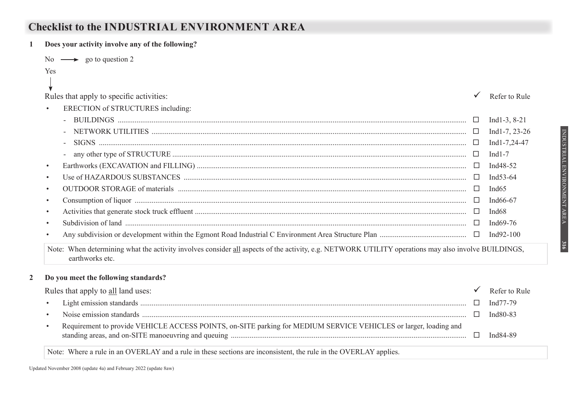## **Checklist to the INDUSTRIAL ENVIRONMENT AREA**

| Does your activity involve any of the following?                                                                                                                       |        |                       |
|------------------------------------------------------------------------------------------------------------------------------------------------------------------------|--------|-----------------------|
| No $\longrightarrow$ go to question 2                                                                                                                                  |        |                       |
| Yes                                                                                                                                                                    |        |                       |
|                                                                                                                                                                        |        |                       |
| Rules that apply to specific activities:                                                                                                                               |        | Refer to Rule         |
| ERECTION of STRUCTURES including:<br>$\bullet$                                                                                                                         |        |                       |
|                                                                                                                                                                        | $\Box$ | Ind1-3, $8-21$        |
|                                                                                                                                                                        | □      | Ind1-7, $23-26$       |
|                                                                                                                                                                        | ⊔      | Ind1-7,24-47          |
|                                                                                                                                                                        | □      | Ind $1-7$             |
| $\bullet$                                                                                                                                                              |        | Ind <sub>48</sub> -52 |
| $\bullet$                                                                                                                                                              |        | Ind53-64              |
| $\bullet$                                                                                                                                                              |        | Ind $65$              |
| $\bullet$                                                                                                                                                              |        | Ind66-67              |
| $\bullet$                                                                                                                                                              |        | Ind <sub>68</sub>     |
|                                                                                                                                                                        |        | Ind $69-76$           |
| $\bullet$                                                                                                                                                              |        | Ind92-100             |
| Note: When determining what the activity involves consider all aspects of the activity, e.g. NETWORK UTILITY operations may also involve BUILDINGS,<br>earthworks etc. |        |                       |

#### **2 Do you meet the following standards?**

| Rules that apply to all land uses:                                                                               | Refer to Rule |
|------------------------------------------------------------------------------------------------------------------|---------------|
|                                                                                                                  | Ind77-79      |
|                                                                                                                  | Ind80-83      |
| Requirement to provide VEHICLE ACCESS POINTS, on-SITE parking for MEDIUM SERVICE VEHICLES or larger, loading and | Ind84-89      |

Note: Where a rule in an OVERLAY and a rule in these sections are inconsistent, the rule in the OVERLAY applies.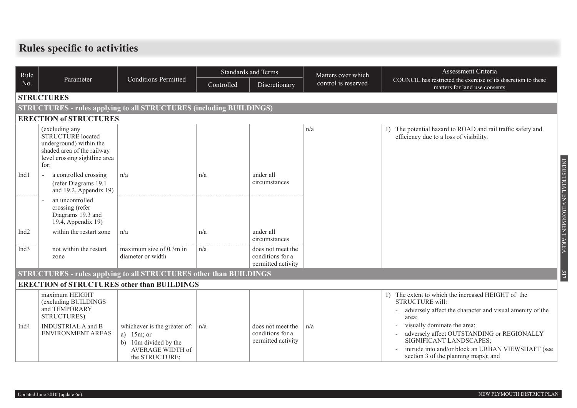## **Rules specific to activities**

| Rule             |                                                                                                                                              |                                                                                                              |                             | <b>Standards and Terms</b>                                  | Matters over which  | Assessment Criteria                                                                                                                                                                               |  |  |  |  |  |
|------------------|----------------------------------------------------------------------------------------------------------------------------------------------|--------------------------------------------------------------------------------------------------------------|-----------------------------|-------------------------------------------------------------|---------------------|---------------------------------------------------------------------------------------------------------------------------------------------------------------------------------------------------|--|--|--|--|--|
| No.              | Parameter                                                                                                                                    | <b>Conditions Permitted</b>                                                                                  | Controlled<br>Discretionary |                                                             | control is reserved | COUNCIL has restricted the exercise of its discretion to these<br>matters for land use consents                                                                                                   |  |  |  |  |  |
|                  | <b>STRUCTURES</b>                                                                                                                            |                                                                                                              |                             |                                                             |                     |                                                                                                                                                                                                   |  |  |  |  |  |
|                  | <b>STRUCTURES - rules applying to all STRUCTURES (including BUILDINGS)</b>                                                                   |                                                                                                              |                             |                                                             |                     |                                                                                                                                                                                                   |  |  |  |  |  |
|                  | <b>ERECTION of STRUCTURES</b>                                                                                                                |                                                                                                              |                             |                                                             |                     |                                                                                                                                                                                                   |  |  |  |  |  |
|                  | (excluding any<br><b>STRUCTURE</b> located<br>underground) within the<br>shaded area of the railway<br>level crossing sightline area<br>for: |                                                                                                              |                             |                                                             | n/a                 | 1) The potential hazard to ROAD and rail traffic safety and<br>efficiency due to a loss of visibility.                                                                                            |  |  |  |  |  |
| Ind1             | a controlled crossing<br>$\overline{a}$<br>(refer Diagrams 19.1)<br>and 19.2, Appendix 19)                                                   | n/a                                                                                                          | n/a                         | under all<br>circumstances                                  |                     |                                                                                                                                                                                                   |  |  |  |  |  |
|                  | an uncontrolled<br>crossing (refer<br>Diagrams 19.3 and<br>19.4, Appendix 19)                                                                |                                                                                                              |                             |                                                             |                     |                                                                                                                                                                                                   |  |  |  |  |  |
| Ind <sub>2</sub> | within the restart zone                                                                                                                      | n/a                                                                                                          | n/a                         | under all<br>circumstances                                  |                     |                                                                                                                                                                                                   |  |  |  |  |  |
| Ind <sub>3</sub> | not within the restart<br>zone                                                                                                               | maximum size of 0.3m in<br>diameter or width                                                                 | n/a                         | does not meet the<br>conditions for a<br>permitted activity |                     |                                                                                                                                                                                                   |  |  |  |  |  |
|                  | <b>STRUCTURES - rules applying to all STRUCTURES other than BUILDINGS</b>                                                                    |                                                                                                              |                             |                                                             |                     |                                                                                                                                                                                                   |  |  |  |  |  |
|                  | <b>ERECTION of STRUCTURES other than BUILDINGS</b>                                                                                           |                                                                                                              |                             |                                                             |                     |                                                                                                                                                                                                   |  |  |  |  |  |
|                  | maximum HEIGHT<br>(excluding BUILDINGS<br>and TEMPORARY<br>STRUCTURES)                                                                       |                                                                                                              |                             |                                                             |                     | The extent to which the increased HEIGHT of the<br>STRUCTURE will:<br>adversely affect the character and visual amenity of the<br>area;                                                           |  |  |  |  |  |
| Ind <sub>4</sub> | <b>INDUSTRIAL A and B</b><br>ENVIRONMENT AREAS                                                                                               | whichever is the greater of:<br>a) $15m$ ; or<br>b) 10m divided by the<br>AVERAGE WIDTH of<br>the STRUCTURE; | n/a                         | does not meet the<br>conditions for a<br>permitted activity | n/a                 | visually dominate the area;<br>adversely affect OUTSTANDING or REGIONALLY<br>SIGNIFICANT LANDSCAPES;<br>intrude into and/or block an URBAN VIEWSHAFT (see<br>section 3 of the planning maps); and |  |  |  |  |  |

INDUSTRIAL ENVIRONMENT AREA

INDUSTRIAL ENVIRONMENT AREA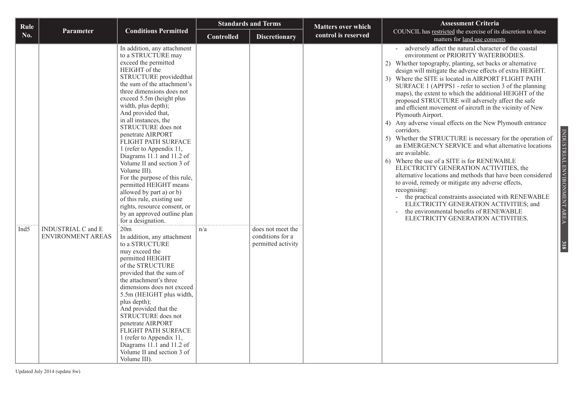| Rule             |                           |                                                                                                                                                                                                                                                                                                                                                                                                                                                                                                                                                                                                                                                                              | <b>Standards and Terms</b> |                                        | <b>Matters over which</b> | <b>Assessment Criteria</b>                                                                                                                                                                                                                                                                                                                                                                                                                                                                                                                                                                                                                                                                                                                                                                                                                                                                                                                                                                                                                                                                                                                                                                                  |
|------------------|---------------------------|------------------------------------------------------------------------------------------------------------------------------------------------------------------------------------------------------------------------------------------------------------------------------------------------------------------------------------------------------------------------------------------------------------------------------------------------------------------------------------------------------------------------------------------------------------------------------------------------------------------------------------------------------------------------------|----------------------------|----------------------------------------|---------------------------|-------------------------------------------------------------------------------------------------------------------------------------------------------------------------------------------------------------------------------------------------------------------------------------------------------------------------------------------------------------------------------------------------------------------------------------------------------------------------------------------------------------------------------------------------------------------------------------------------------------------------------------------------------------------------------------------------------------------------------------------------------------------------------------------------------------------------------------------------------------------------------------------------------------------------------------------------------------------------------------------------------------------------------------------------------------------------------------------------------------------------------------------------------------------------------------------------------------|
| No.              | <b>Parameter</b>          | <b>Conditions Permitted</b>                                                                                                                                                                                                                                                                                                                                                                                                                                                                                                                                                                                                                                                  | <b>Controlled</b>          | <b>Discretionary</b>                   | control is reserved       | COUNCIL has restricted the exercise of its discretion to these<br>matters for land use consents                                                                                                                                                                                                                                                                                                                                                                                                                                                                                                                                                                                                                                                                                                                                                                                                                                                                                                                                                                                                                                                                                                             |
| Ind <sub>5</sub> | <b>INDUSTRIAL C and E</b> | In addition, any attachment<br>to a STRUCTURE may<br>exceed the permitted<br>HEIGHT of the<br>STRUCTURE providedthat<br>the sum of the attachment's<br>three dimensions does not<br>exceed 5.5m (height plus<br>width, plus depth);<br>And provided that,<br>in all instances, the<br>STRUCTURE does not<br>penetrate AIRPORT<br>FLIGHT PATH SURFACE<br>1 (refer to Appendix 11,<br>Diagrams 11.1 and 11.2 of<br>Volume II and section 3 of<br>Volume III).<br>For the purpose of this rule,<br>permitted HEIGHT means<br>allowed by part a) or b)<br>of this rule, existing use<br>rights, resource consent, or<br>by an approved outline plan<br>for a designation.<br>20m | n/a                        | does not meet the                      |                           | adversely affect the natural character of the coastal<br>environment or PRIORITY WATERBODIES.<br>2) Whether topography, planting, set backs or alternative<br>design will mitigate the adverse effects of extra HEIGHT.<br>3) Where the SITE is located in AIRPORT FLIGHT PATH<br>SURFACE 1 (APFPS1 - refer to section 3 of the planning<br>maps), the extent to which the additional HEIGHT of the<br>proposed STRUCTURE will adversely affect the safe<br>and efficient movement of aircraft in the vicinity of New<br>Plymouth Airport.<br>4) Any adverse visual effects on the New Plymouth entrance<br>corridors.<br>INDUSTRIAL ENVIRONMENT AREA<br>5) Whether the STRUCTURE is necessary for the operation of<br>an EMERGENCY SERVICE and what alternative locations<br>are available.<br>6) Where the use of a SITE is for RENEWABLE<br>ELECTRICITY GENERATION ACTIVITIES, the<br>alternative locations and methods that have been considered<br>to avoid, remedy or mitigate any adverse effects,<br>recognising:<br>the practical constraints associated with RENEWABLE<br>ELECTRICITY GENERATION ACTIVITIES; and<br>the environmental benefits of RENEWABLE<br>ELECTRICITY GENERATION ACTIVITIES. |
|                  | <b>ENVIRONMENT AREAS</b>  | In addition, any attachment<br>to a STRUCTURE<br>may exceed the<br>permitted HEIGHT<br>of the STRUCTURE<br>provided that the sum of<br>the attachment's three<br>dimensions does not exceed<br>5.5m (HEIGHT plus width,<br>plus depth);<br>And provided that the<br>STRUCTURE does not<br>penetrate AIRPORT<br>FLIGHT PATH SURFACE<br>1 (refer to Appendix 11,<br>Diagrams 11.1 and 11.2 of<br>Volume II and section 3 of<br>Volume III).                                                                                                                                                                                                                                    |                            | conditions for a<br>permitted activity |                           | 318                                                                                                                                                                                                                                                                                                                                                                                                                                                                                                                                                                                                                                                                                                                                                                                                                                                                                                                                                                                                                                                                                                                                                                                                         |

Updated July 2014 (update 8w)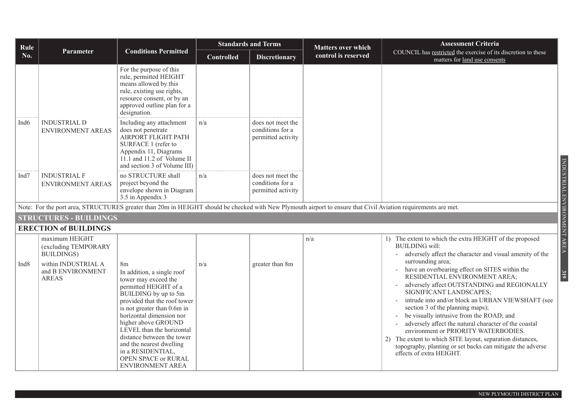| Rule             |                                                              |                                                                                                                                                                                                                                                                                                                                                                                           |                   | <b>Standards and Terms</b>                                  | <b>Matters over which</b> | <b>Assessment Criteria</b>                                                                                                                                                                                                                                                                                                                                                                                                                                                                                                                                                         |
|------------------|--------------------------------------------------------------|-------------------------------------------------------------------------------------------------------------------------------------------------------------------------------------------------------------------------------------------------------------------------------------------------------------------------------------------------------------------------------------------|-------------------|-------------------------------------------------------------|---------------------------|------------------------------------------------------------------------------------------------------------------------------------------------------------------------------------------------------------------------------------------------------------------------------------------------------------------------------------------------------------------------------------------------------------------------------------------------------------------------------------------------------------------------------------------------------------------------------------|
| <b>No.</b>       | Parameter                                                    | <b>Conditions Permitted</b>                                                                                                                                                                                                                                                                                                                                                               | <b>Controlled</b> | <b>Discretionary</b>                                        | control is reserved       | COUNCIL has restricted the exercise of its discretion to these<br>matters for land use consents                                                                                                                                                                                                                                                                                                                                                                                                                                                                                    |
|                  |                                                              | For the purpose of this<br>rule, permitted HEIGHT<br>means allowed by this<br>rule, existing use rights,<br>resource consent, or by an<br>approved outline plan for a<br>designation.                                                                                                                                                                                                     |                   |                                                             |                           |                                                                                                                                                                                                                                                                                                                                                                                                                                                                                                                                                                                    |
| Ind <sub>6</sub> | <b>INDUSTRIAL D</b><br><b>ENVIRONMENT AREAS</b>              | Including any attachment<br>does not penetrate<br>AIRPORT FLIGHT PATH<br>SURFACE 1 (refer to<br>Appendix 11, Diagrams<br>11.1 and 11.2 of Volume II<br>and section 3 of Volume III)                                                                                                                                                                                                       | n/a               | does not meet the<br>conditions for a<br>permitted activity |                           |                                                                                                                                                                                                                                                                                                                                                                                                                                                                                                                                                                                    |
| Ind7             | <b>INDUSTRIAL F</b><br>ENVIRONMENT AREAS                     | no STRUCTURE shall<br>project beyond the<br>envelope shown in Diagram<br>3.5 in Appendix 3                                                                                                                                                                                                                                                                                                | n/a               | does not meet the<br>conditions for a<br>permitted activity |                           | INDUSTRIAL ENVIRONMENT AREA                                                                                                                                                                                                                                                                                                                                                                                                                                                                                                                                                        |
|                  |                                                              | Note: For the port area, STRUCTURES greater than 20m in HEIGHT should be checked with New Plymouth airport to ensure that Civil Aviation requirements are met.                                                                                                                                                                                                                            |                   |                                                             |                           |                                                                                                                                                                                                                                                                                                                                                                                                                                                                                                                                                                                    |
|                  | <b>STRUCTURES - BUILDINGS</b>                                |                                                                                                                                                                                                                                                                                                                                                                                           |                   |                                                             |                           |                                                                                                                                                                                                                                                                                                                                                                                                                                                                                                                                                                                    |
|                  | <b>ERECTION of BUILDINGS</b>                                 |                                                                                                                                                                                                                                                                                                                                                                                           |                   |                                                             |                           |                                                                                                                                                                                                                                                                                                                                                                                                                                                                                                                                                                                    |
|                  | maximum HEIGHT<br>(excluding TEMPORARY<br><b>BUILDINGS</b> ) |                                                                                                                                                                                                                                                                                                                                                                                           |                   |                                                             | n/a                       | 1) The extent to which the extra HEIGHT of the proposed<br><b>BUILDING</b> will:<br>adversely affect the character and visual amenity of the                                                                                                                                                                                                                                                                                                                                                                                                                                       |
| Ind <sub>8</sub> | within INDUSTRIAL A<br>and B ENVIRONMENT<br><b>AREAS</b>     | 8m<br>In addition, a single roof<br>tower may exceed the<br>permitted HEIGHT of a<br>BUILDING by up to 5m<br>provided that the roof tower<br>is not greater than 0.6m in<br>horizontal dimension nor<br>higher above GROUND<br>LEVEL than the horizontal<br>distance between the tower<br>and the nearest dwelling<br>in a RESIDENTIAL,<br>OPEN SPACE or RURAL<br><b>ENVIRONMENT AREA</b> | n/a               | greater than 8m                                             |                           | surrounding area;<br>have an overbearing effect on SITES within the<br>319<br>RESIDENTIAL ENVIRONMENT AREA;<br>adversely affect OUTSTANDING and REGIONALLY<br>SIGNIFICANT LANDSCAPES;<br>intrude into and/or block an URBAN VIEWSHAFT (see<br>section 3 of the planning maps);<br>be visually intrusive from the ROAD; and<br>adversely affect the natural character of the coastal<br>environment or PRIORITY WATERBODIES.<br>2) The extent to which SITE layout, separation distances,<br>topography, planting or set backs can mitigate the adverse<br>effects of extra HEIGHT. |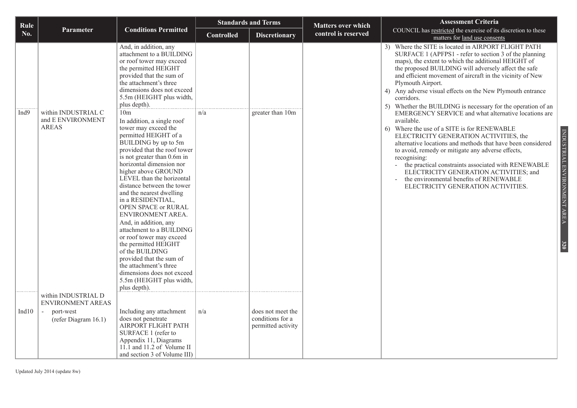| Rule  |                                                          |                                                                                                                                                                                                                                                                                                                                                                                                                                                                                                                                                                                                                      |                   | <b>Standards and Terms</b><br><b>Matters over which</b>     |                     | <b>Assessment Criteria</b>                                                                                                                                                                                                                                                                                                                                                                                                                                                                                                       |
|-------|----------------------------------------------------------|----------------------------------------------------------------------------------------------------------------------------------------------------------------------------------------------------------------------------------------------------------------------------------------------------------------------------------------------------------------------------------------------------------------------------------------------------------------------------------------------------------------------------------------------------------------------------------------------------------------------|-------------------|-------------------------------------------------------------|---------------------|----------------------------------------------------------------------------------------------------------------------------------------------------------------------------------------------------------------------------------------------------------------------------------------------------------------------------------------------------------------------------------------------------------------------------------------------------------------------------------------------------------------------------------|
| No.   | <b>Parameter</b>                                         | <b>Conditions Permitted</b>                                                                                                                                                                                                                                                                                                                                                                                                                                                                                                                                                                                          | <b>Controlled</b> | <b>Discretionary</b>                                        | control is reserved | COUNCIL has restricted the exercise of its discretion to these<br>matters for land use consents                                                                                                                                                                                                                                                                                                                                                                                                                                  |
| Ind9  | within INDUSTRIAL C<br>and E ENVIRONMENT<br><b>AREAS</b> | And, in addition, any<br>attachment to a BUILDING<br>or roof tower may exceed<br>the permitted HEIGHT<br>provided that the sum of<br>the attachment's three<br>dimensions does not exceed<br>5.5m (HEIGHT plus width,<br>plus depth).<br>10 <sub>m</sub><br>In addition, a single roof                                                                                                                                                                                                                                                                                                                               | n/a               | greater than 10m                                            |                     | 3) Where the SITE is located in AIRPORT FLIGHT PATH<br>SURFACE 1 (APFPS1 - refer to section 3 of the planning<br>maps), the extent to which the additional HEIGHT of<br>the proposed BUILDING will adversely affect the safe<br>and efficient movement of aircraft in the vicinity of New<br>Plymouth Airport.<br>4) Any adverse visual effects on the New Plymouth entrance<br>corridors.<br>5) Whether the BUILDING is necessary for the operation of an<br>EMERGENCY SERVICE and what alternative locations are<br>available. |
|       |                                                          | tower may exceed the<br>permitted HEIGHT of a<br>BUILDING by up to 5m<br>provided that the roof tower<br>is not greater than $0.6m$ in<br>horizontal dimension nor<br>higher above GROUND<br>LEVEL than the horizontal<br>distance between the tower<br>and the nearest dwelling<br>in a RESIDENTIAL,<br><b>OPEN SPACE or RURAL</b><br>ENVIRONMENT AREA.<br>And, in addition, any<br>attachment to a BUILDING<br>or roof tower may exceed<br>the permitted HEIGHT<br>of the BUILDING<br>provided that the sum of<br>the attachment's three<br>dimensions does not exceed<br>5.5m (HEIGHT plus width,<br>plus depth). |                   |                                                             |                     | 6) Where the use of a SITE is for RENEWABLE<br>INDUSTRIAL ENVIRONMENT AREA<br>ELECTRICITY GENERATION ACTIVITIES, the<br>alternative locations and methods that have been considered<br>to avoid, remedy or mitigate any adverse effects,<br>recognising:<br>the practical constraints associated with RENEWABLE<br>ELECTRICITY GENERATION ACTIVITIES; and<br>the environmental benefits of RENEWABLE<br>ELECTRICITY GENERATION ACTIVITIES.<br>320                                                                                |
|       | within INDUSTRIAL D<br>ENVIRONMENT AREAS                 |                                                                                                                                                                                                                                                                                                                                                                                                                                                                                                                                                                                                                      |                   |                                                             |                     |                                                                                                                                                                                                                                                                                                                                                                                                                                                                                                                                  |
| Ind10 | port-west<br>(refer Diagram 16.1)                        | Including any attachment<br>does not penetrate<br>AIRPORT FLIGHT PATH<br>SURFACE 1 (refer to<br>Appendix 11, Diagrams<br>11.1 and 11.2 of Volume II<br>and section 3 of Volume III)                                                                                                                                                                                                                                                                                                                                                                                                                                  | n/a               | does not meet the<br>conditions for a<br>permitted activity |                     |                                                                                                                                                                                                                                                                                                                                                                                                                                                                                                                                  |

Updated July 2014 (update 8w)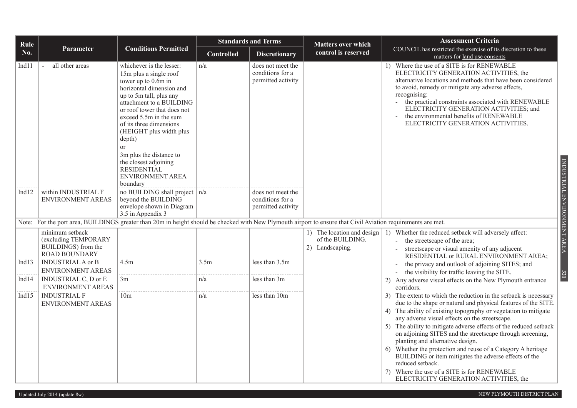| Rule     |                                                                                                                                         |                                                                                                                                                                                                                                                                                                                                                                                                                         | <b>Standards and Terms</b> |                                                             | <b>Matters over which</b>                                         | <b>Assessment Criteria</b>                                                                                                                                                                                                                                                                                                                                                                                                                                                                                                                                                                                                                                             |  |  |
|----------|-----------------------------------------------------------------------------------------------------------------------------------------|-------------------------------------------------------------------------------------------------------------------------------------------------------------------------------------------------------------------------------------------------------------------------------------------------------------------------------------------------------------------------------------------------------------------------|----------------------------|-------------------------------------------------------------|-------------------------------------------------------------------|------------------------------------------------------------------------------------------------------------------------------------------------------------------------------------------------------------------------------------------------------------------------------------------------------------------------------------------------------------------------------------------------------------------------------------------------------------------------------------------------------------------------------------------------------------------------------------------------------------------------------------------------------------------------|--|--|
| No.      | <b>Parameter</b>                                                                                                                        | <b>Conditions Permitted</b>                                                                                                                                                                                                                                                                                                                                                                                             | <b>Controlled</b>          | <b>Discretionary</b>                                        | control is reserved                                               | COUNCIL has restricted the exercise of its discretion to these<br>matters for land use consents                                                                                                                                                                                                                                                                                                                                                                                                                                                                                                                                                                        |  |  |
| Ind11    | all other areas                                                                                                                         | whichever is the lesser:<br>15m plus a single roof<br>tower up to 0.6m in<br>horizontal dimension and<br>up to 5m tall, plus any<br>attachment to a BUILDING<br>or roof tower that does not<br>exceed 5.5m in the sum<br>of its three dimensions<br>(HEIGHT plus width plus<br>depth)<br><sub>or</sub><br>3m plus the distance to<br>the closest adjoining<br><b>RESIDENTIAL</b><br><b>ENVIRONMENT AREA</b><br>boundary | n/a                        | does not meet the<br>conditions for a<br>permitted activity |                                                                   | 1) Where the use of a SITE is for RENEWABLE<br>ELECTRICITY GENERATION ACTIVITIES, the<br>alternative locations and methods that have been considered<br>to avoid, remedy or mitigate any adverse effects,<br>recognising:<br>the practical constraints associated with RENEWABLE<br>ELECTRICITY GENERATION ACTIVITIES; and<br>the environmental benefits of RENEWABLE<br>ELECTRICITY GENERATION ACTIVITIES.<br>INDUSTRIAL ENVIRONMENT AREA                                                                                                                                                                                                                             |  |  |
| Ind12    | within INDUSTRIAL F<br><b>ENVIRONMENT AREAS</b>                                                                                         | no BUILDING shall project $ n/a $<br>beyond the BUILDING<br>envelope shown in Diagram<br>3.5 in Appendix 3                                                                                                                                                                                                                                                                                                              |                            | does not meet the<br>conditions for a<br>permitted activity |                                                                   |                                                                                                                                                                                                                                                                                                                                                                                                                                                                                                                                                                                                                                                                        |  |  |
|          |                                                                                                                                         | Note: For the port area, BUILDINGS greater than 20m in height should be checked with New Plymouth airport to ensure that Civil Aviation requirements are met.                                                                                                                                                                                                                                                           |                            |                                                             |                                                                   |                                                                                                                                                                                                                                                                                                                                                                                                                                                                                                                                                                                                                                                                        |  |  |
| Ind13    | minimum setback<br>(excluding TEMPORARY<br>BUILDINGS) from the<br><b>ROAD BOUNDARY</b><br><b>INDUSTRIAL A or B</b><br>ENVIRONMENT AREAS | 4.5m                                                                                                                                                                                                                                                                                                                                                                                                                    | 3.5m                       | less than $3.5m$                                            | 1) The location and design<br>of the BUILDING.<br>2) Landscaping. | 1) Whether the reduced setback will adversely affect:<br>the streetscape of the area;<br>streetscape or visual amenity of any adjacent<br>RESIDENTIAL or RURAL ENVIRONMENT AREA;<br>the privacy and outlook of adjoining SITES; and<br>the visibility for traffic leaving the SITE.                                                                                                                                                                                                                                                                                                                                                                                    |  |  |
| Ind $14$ | INDUSTRIAL C, D or E<br>ENVIRONMENT AREAS                                                                                               | 3m                                                                                                                                                                                                                                                                                                                                                                                                                      | n/a                        | less than 3m                                                |                                                                   | 321<br>2) Any adverse visual effects on the New Plymouth entrance<br>corridors.                                                                                                                                                                                                                                                                                                                                                                                                                                                                                                                                                                                        |  |  |
| Ind $15$ | <b>INDUSTRIAL F</b><br><b>ENVIRONMENT AREAS</b>                                                                                         | 10 <sub>m</sub>                                                                                                                                                                                                                                                                                                                                                                                                         | n/a                        | less than 10m                                               |                                                                   | 3) The extent to which the reduction in the setback is necessary<br>due to the shape or natural and physical features of the SITE.<br>4) The ability of existing topography or vegetation to mitigate<br>any adverse visual effects on the streetscape.<br>5) The ability to mitigate adverse effects of the reduced setback<br>on adjoining SITES and the streetscape through screening,<br>planting and alternative design.<br>Whether the protection and reuse of a Category A heritage<br>6)<br>BUILDING or item mitigates the adverse effects of the<br>reduced setback.<br>7) Where the use of a SITE is for RENEWABLE<br>ELECTRICITY GENERATION ACTIVITIES, the |  |  |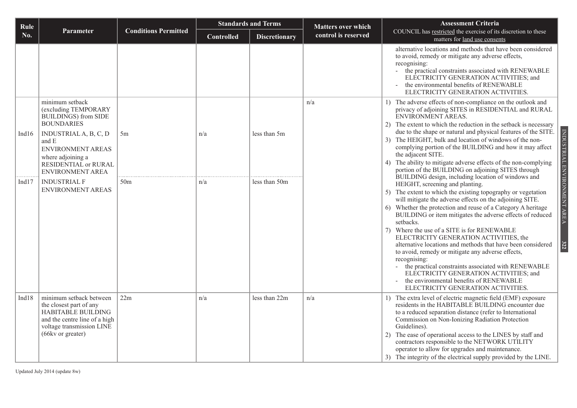| Rule     |                                                                                                                                                                                                         |                             | <b>Standards and Terms</b> |                      | <b>Matters over which</b> | <b>Assessment Criteria</b>                                                                                                                                                                                                                                                                                                                                                                                                                                                                                                                                                                                                                                                                                                                                                    |
|----------|---------------------------------------------------------------------------------------------------------------------------------------------------------------------------------------------------------|-----------------------------|----------------------------|----------------------|---------------------------|-------------------------------------------------------------------------------------------------------------------------------------------------------------------------------------------------------------------------------------------------------------------------------------------------------------------------------------------------------------------------------------------------------------------------------------------------------------------------------------------------------------------------------------------------------------------------------------------------------------------------------------------------------------------------------------------------------------------------------------------------------------------------------|
| No.      | Parameter                                                                                                                                                                                               | <b>Conditions Permitted</b> | <b>Controlled</b>          | <b>Discretionary</b> | control is reserved       | COUNCIL has restricted the exercise of its discretion to these<br>matters for land use consents                                                                                                                                                                                                                                                                                                                                                                                                                                                                                                                                                                                                                                                                               |
|          |                                                                                                                                                                                                         |                             |                            |                      |                           | alternative locations and methods that have been considered<br>to avoid, remedy or mitigate any adverse effects,<br>recognising:<br>- the practical constraints associated with RENEWABLE<br>ELECTRICITY GENERATION ACTIVITIES; and<br>the environmental benefits of RENEWABLE<br>ELECTRICITY GENERATION ACTIVITIES.                                                                                                                                                                                                                                                                                                                                                                                                                                                          |
| Ind $16$ | minimum setback<br>(excluding TEMPORARY<br><b>BUILDINGS</b> ) from SIDE<br><b>BOUNDARIES</b><br>INDUSTRIAL A, B, C, D<br>and E<br><b>ENVIRONMENT AREAS</b><br>where adjoining a<br>RESIDENTIAL or RURAL | 5m                          | n/a                        | less than 5m         | n/a                       | 1) The adverse effects of non-compliance on the outlook and<br>privacy of adjoining SITES in RESIDENTIAL and RURAL<br>ENVIRONMENT AREAS.<br>The extent to which the reduction in the setback is necessary<br>2)<br>due to the shape or natural and physical features of the SITE.<br>The HEIGHT, bulk and location of windows of the non-<br>3)<br>complying portion of the BUILDING and how it may affect<br>the adjacent SITE.<br>The ability to mitigate adverse effects of the non-complying<br>4)<br>portion of the BUILDING on adjoining SITES through                                                                                                                                                                                                                  |
| Ind $17$ | <b>ENVIRONMENT AREA</b><br><b>INDUSTRIAL F</b><br>ENVIRONMENT AREAS                                                                                                                                     | 50 <sub>m</sub>             | n/a                        | less than 50m        |                           | BUILDING design, including location of windows and<br>HEIGHT, screening and planting.<br>5) The extent to which the existing topography or vegetation<br>will mitigate the adverse effects on the adjoining SITE.<br>Whether the protection and reuse of a Category A heritage<br>6)<br>BUILDING or item mitigates the adverse effects of reduced<br>setbacks.<br>7) Where the use of a SITE is for RENEWABLE<br>ELECTRICITY GENERATION ACTIVITIES, the<br>alternative locations and methods that have been considered<br>to avoid, remedy or mitigate any adverse effects,<br>recognising:<br>the practical constraints associated with RENEWABLE<br>ELECTRICITY GENERATION ACTIVITIES; and<br>the environmental benefits of RENEWABLE<br>ELECTRICITY GENERATION ACTIVITIES. |
| Ind18    | minimum setback between<br>the closest part of any<br>HABITABLE BUILDING<br>and the centre line of a high<br>voltage transmission LINE<br>(66kv or greater)                                             | 22m                         | n/a                        | less than 22m        | n/a                       | The extra level of electric magnetic field (EMF) exposure<br>residents in the HABITABLE BUILDING encounter due<br>to a reduced separation distance (refer to International<br>Commission on Non-Ionizing Radiation Protection<br>Guidelines).<br>The ease of operational access to the LINES by staff and<br>2)<br>contractors responsible to the NETWORK UTILITY<br>operator to allow for upgrades and maintenance.<br>3) The integrity of the electrical supply provided by the LINE.                                                                                                                                                                                                                                                                                       |

INDUSTRIAL ENVIRONMENT AREA

**322**

Updated July 2014 (update 8w)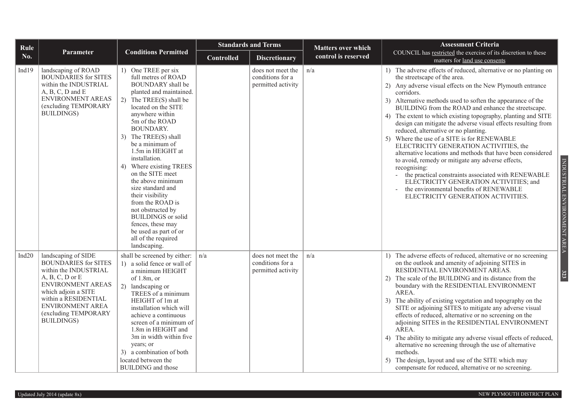| Rule     |                                                                                                                                                                                                                                          |                                                                                                                                                                                                                                                                                                                                                                                                                                                                                                                                                                |                   | <b>Standards and Terms</b><br><b>Matters over which</b>     |                     | <b>Assessment Criteria</b>                                                                                                                                                                                                                                                                                                                                                                                                                                                                                                                                                                                                                                                                                                                                                                                                                                                               |  |  |
|----------|------------------------------------------------------------------------------------------------------------------------------------------------------------------------------------------------------------------------------------------|----------------------------------------------------------------------------------------------------------------------------------------------------------------------------------------------------------------------------------------------------------------------------------------------------------------------------------------------------------------------------------------------------------------------------------------------------------------------------------------------------------------------------------------------------------------|-------------------|-------------------------------------------------------------|---------------------|------------------------------------------------------------------------------------------------------------------------------------------------------------------------------------------------------------------------------------------------------------------------------------------------------------------------------------------------------------------------------------------------------------------------------------------------------------------------------------------------------------------------------------------------------------------------------------------------------------------------------------------------------------------------------------------------------------------------------------------------------------------------------------------------------------------------------------------------------------------------------------------|--|--|
| No.      | <b>Parameter</b>                                                                                                                                                                                                                         | <b>Conditions Permitted</b>                                                                                                                                                                                                                                                                                                                                                                                                                                                                                                                                    | <b>Controlled</b> | <b>Discretionary</b>                                        | control is reserved | COUNCIL has restricted the exercise of its discretion to these<br>matters for land use consents                                                                                                                                                                                                                                                                                                                                                                                                                                                                                                                                                                                                                                                                                                                                                                                          |  |  |
| Ind19    | landscaping of ROAD<br><b>BOUNDARIES</b> for SITES<br>within the INDUSTRIAL<br>$A, B, C, D$ and $E$<br><b>ENVIRONMENT AREAS</b><br>(excluding TEMPORARY<br><b>BUILDINGS</b> )                                                            | 1) One TREE per six<br>full metres of ROAD<br><b>BOUNDARY</b> shall be<br>planted and maintained.<br>2) The TREE(S) shall be<br>located on the SITE<br>anywhere within<br>5m of the ROAD<br>BOUNDARY.<br>3) The TREE(S) shall<br>be a minimum of<br>1.5m in HEIGHT at<br>installation.<br>4) Where existing TREES<br>on the SITE meet<br>the above minimum<br>size standard and<br>their visibility<br>from the ROAD is<br>not obstructed by<br><b>BUILDINGS</b> or solid<br>fences, these may<br>be used as part of or<br>all of the required<br>landscaping. |                   | does not meet the<br>conditions for a<br>permitted activity | n/a                 | 1) The adverse effects of reduced, alternative or no planting on<br>the streetscape of the area.<br>Any adverse visual effects on the New Plymouth entrance<br>corridors.<br>3) Alternative methods used to soften the appearance of the<br>BUILDING from the ROAD and enhance the streetscape.<br>The extent to which existing topography, planting and SITE<br>4)<br>design can mitigate the adverse visual effects resulting from<br>reduced, alternative or no planting.<br>Where the use of a SITE is for RENEWABLE<br>ELECTRICITY GENERATION ACTIVITIES, the<br>alternative locations and methods that have been considered<br>to avoid, remedy or mitigate any adverse effects,<br>recognising:<br>the practical constraints associated with RENEWABLE<br>ELECTRICITY GENERATION ACTIVITIES; and<br>the environmental benefits of RENEWABLE<br>ELECTRICITY GENERATION ACTIVITIES. |  |  |
| Ind $20$ | landscaping of SIDE<br><b>BOUNDARIES for SITES</b><br>within the INDUSTRIAL<br>$A, B, C, D$ or $E$<br>ENVIRONMENT AREAS<br>which adjoin a SITE<br>within a RESIDENTIAL<br>ENVIRONMENT AREA<br>(excluding TEMPORARY<br><b>BUILDINGS</b> ) | shall be screened by either:<br>1) a solid fence or wall of<br>a minimum HEIGHT<br>of $1.8m$ , or<br>2) landscaping or<br>TREES of a minimum<br>HEIGHT of 1m at<br>installation which will<br>achieve a continuous<br>screen of a minimum of<br>1.8m in HEIGHT and<br>3m in width within five<br>years; or<br>3) a combination of both<br>located between the<br><b>BUILDING</b> and those                                                                                                                                                                     | n/a               | does not meet the<br>conditions for a<br>permitted activity | n/a                 | 1) The adverse effects of reduced, alternative or no screening<br>on the outlook and amenity of adjoining SITES in<br>RESIDENTIAL ENVIRONMENT AREAS.<br>The scale of the BUILDING and its distance from the<br>(2)<br>boundary with the RESIDENTIAL ENVIRONMENT<br>AREA.<br>The ability of existing vegetation and topography on the<br>3)<br>SITE or adjoining SITES to mitigate any adverse visual<br>effects of reduced, alternative or no screening on the<br>adjoining SITES in the RESIDENTIAL ENVIRONMENT<br>AREA.<br>The ability to mitigate any adverse visual effects of reduced,<br>4)<br>alternative no screening through the use of alternative<br>methods.<br>The design, layout and use of the SITE which may<br>5)<br>compensate for reduced, alternative or no screening.                                                                                               |  |  |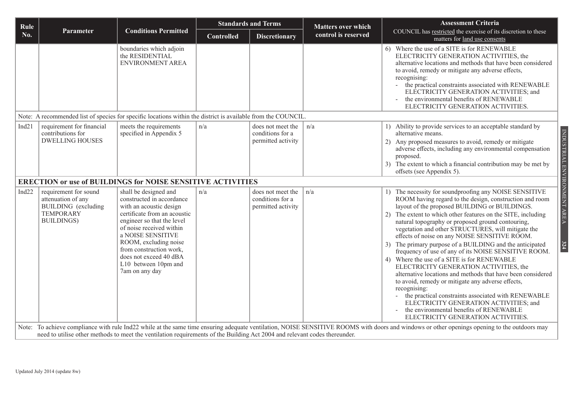| Rule              |                                                                                                                     |                                                                                                                                                                                                                                                                                                                      |                   | <b>Standards and Terms</b>                                  | <b>Matters over which</b> | <b>Assessment Criteria</b>                                                                                                                                                                                                                                                                                                                                                                                                                                                                                                                                                                                                                                                                                                                                                                                                                                                                                                                          |
|-------------------|---------------------------------------------------------------------------------------------------------------------|----------------------------------------------------------------------------------------------------------------------------------------------------------------------------------------------------------------------------------------------------------------------------------------------------------------------|-------------------|-------------------------------------------------------------|---------------------------|-----------------------------------------------------------------------------------------------------------------------------------------------------------------------------------------------------------------------------------------------------------------------------------------------------------------------------------------------------------------------------------------------------------------------------------------------------------------------------------------------------------------------------------------------------------------------------------------------------------------------------------------------------------------------------------------------------------------------------------------------------------------------------------------------------------------------------------------------------------------------------------------------------------------------------------------------------|
| No.               | Parameter                                                                                                           | <b>Conditions Permitted</b>                                                                                                                                                                                                                                                                                          | <b>Controlled</b> | <b>Discretionary</b>                                        | control is reserved       | COUNCIL has restricted the exercise of its discretion to these<br>matters for land use consents                                                                                                                                                                                                                                                                                                                                                                                                                                                                                                                                                                                                                                                                                                                                                                                                                                                     |
|                   |                                                                                                                     | boundaries which adjoin<br>the RESIDENTIAL<br>ENVIRONMENT AREA                                                                                                                                                                                                                                                       |                   |                                                             |                           | 6) Where the use of a SITE is for RENEWABLE<br>ELECTRICITY GENERATION ACTIVITIES, the<br>alternative locations and methods that have been considered<br>to avoid, remedy or mitigate any adverse effects,<br>recognising:<br>the practical constraints associated with RENEWABLE<br>$\blacksquare$<br>ELECTRICITY GENERATION ACTIVITIES; and<br>the environmental benefits of RENEWABLE<br>ELECTRICITY GENERATION ACTIVITIES.                                                                                                                                                                                                                                                                                                                                                                                                                                                                                                                       |
|                   |                                                                                                                     | Note: A recommended list of species for specific locations within the district is available from the COUNCIL.                                                                                                                                                                                                        |                   |                                                             |                           |                                                                                                                                                                                                                                                                                                                                                                                                                                                                                                                                                                                                                                                                                                                                                                                                                                                                                                                                                     |
| Ind21             | requirement for financial<br>contributions for<br><b>DWELLING HOUSES</b>                                            | meets the requirements<br>specified in Appendix 5                                                                                                                                                                                                                                                                    | n/a               | does not meet the<br>conditions for a<br>permitted activity | n/a                       | 1) Ability to provide services to an acceptable standard by<br>alternative means.<br>2) Any proposed measures to avoid, remedy or mitigate                                                                                                                                                                                                                                                                                                                                                                                                                                                                                                                                                                                                                                                                                                                                                                                                          |
|                   |                                                                                                                     |                                                                                                                                                                                                                                                                                                                      |                   |                                                             |                           | adverse effects, including any environmental compensation<br>proposed.<br>3) The extent to which a financial contribution may be met by<br>offsets (see Appendix 5).                                                                                                                                                                                                                                                                                                                                                                                                                                                                                                                                                                                                                                                                                                                                                                                |
|                   |                                                                                                                     | <b>ERECTION or use of BUILDINGS for NOISE SENSITIVE ACTIVITIES</b>                                                                                                                                                                                                                                                   |                   |                                                             |                           |                                                                                                                                                                                                                                                                                                                                                                                                                                                                                                                                                                                                                                                                                                                                                                                                                                                                                                                                                     |
| Ind <sub>22</sub> | requirement for sound<br>attenuation of any<br><b>BUILDING</b> (excluding<br><b>TEMPORARY</b><br><b>BUILDINGS</b> ) | shall be designed and<br>constructed in accordance<br>with an acoustic design<br>certificate from an acoustic<br>engineer so that the level<br>of noise received within<br>a NOISE SENSITIVE<br>ROOM, excluding noise<br>from construction work,<br>does not exceed 40 dBA<br>L10 between 10pm and<br>7am on any day | n/a               | does not meet the<br>conditions for a<br>permitted activity | n/a                       | 1) The necessity for soundproofing any NOISE SENSITIVE<br>ROOM having regard to the design, construction and room<br>layout of the proposed BUILDING or BUILDINGS.<br>2) The extent to which other features on the SITE, including<br>natural topography or proposed ground contouring,<br>vegetation and other STRUCTURES, will mitigate the<br>effects of noise on any NOISE SENSITIVE ROOM.<br>3) The primary purpose of a BUILDING and the anticipated<br>frequency of use of any of its NOISE SENSITIVE ROOM.<br>4) Where the use of a SITE is for RENEWABLE<br>ELECTRICITY GENERATION ACTIVITIES, the<br>alternative locations and methods that have been considered<br>to avoid, remedy or mitigate any adverse effects,<br>recognising:<br>the practical constraints associated with RENEWABLE<br>$\blacksquare$<br>ELECTRICITY GENERATION ACTIVITIES; and<br>the environmental benefits of RENEWABLE<br>ELECTRICITY GENERATION ACTIVITIES. |
|                   |                                                                                                                     | need to utilise other methods to meet the ventilation requirements of the Building Act 2004 and relevant codes thereunder.                                                                                                                                                                                           |                   |                                                             |                           | Note: To achieve compliance with rule Ind22 while at the same time ensuring adequate ventilation, NOISE SENSITIVE ROOMS with doors and windows or other openings opening to the outdoors may                                                                                                                                                                                                                                                                                                                                                                                                                                                                                                                                                                                                                                                                                                                                                        |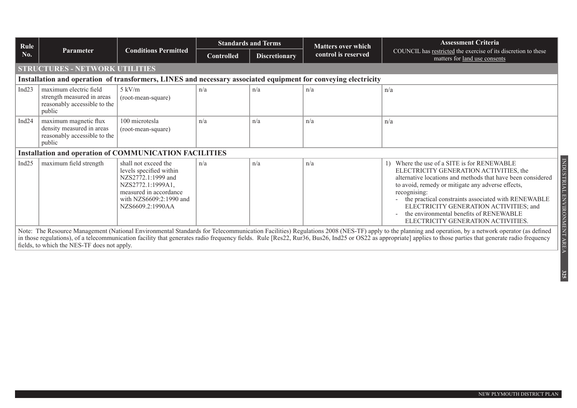| Rule     |                                                                                                                |                                                                                                                                                                     | <b>Standards and Terms</b><br><b>Matters over which</b> | <b>Assessment Criteria</b> |                     |                                                                                                                                                                                                                                                                                                                                                                                                                     |  |  |  |  |
|----------|----------------------------------------------------------------------------------------------------------------|---------------------------------------------------------------------------------------------------------------------------------------------------------------------|---------------------------------------------------------|----------------------------|---------------------|---------------------------------------------------------------------------------------------------------------------------------------------------------------------------------------------------------------------------------------------------------------------------------------------------------------------------------------------------------------------------------------------------------------------|--|--|--|--|
| No.      | <b>Parameter</b>                                                                                               | <b>Conditions Permitted</b>                                                                                                                                         | <b>Controlled</b>                                       | <b>Discretionary</b>       | control is reserved | COUNCIL has restricted the exercise of its discretion to these<br>matters for land use consents                                                                                                                                                                                                                                                                                                                     |  |  |  |  |
|          | <b>STRUCTURES - NETWORK UTILITIES</b>                                                                          |                                                                                                                                                                     |                                                         |                            |                     |                                                                                                                                                                                                                                                                                                                                                                                                                     |  |  |  |  |
|          | Installation and operation of transformers, LINES and necessary associated equipment for conveying electricity |                                                                                                                                                                     |                                                         |                            |                     |                                                                                                                                                                                                                                                                                                                                                                                                                     |  |  |  |  |
| Ind $23$ | maximum electric field<br>strength measured in areas<br>reasonably accessible to the<br>public                 | $5 \text{ kV/m}$<br>(root-mean-square)                                                                                                                              | n/a                                                     | n/a                        | n/a                 | n/a                                                                                                                                                                                                                                                                                                                                                                                                                 |  |  |  |  |
| Ind $24$ | maximum magnetic flux<br>density measured in areas<br>reasonably accessible to the<br>public                   | 100 microtesla<br>(root-mean-square)                                                                                                                                | n/a                                                     | n/a                        | n/a                 | n/a                                                                                                                                                                                                                                                                                                                                                                                                                 |  |  |  |  |
|          |                                                                                                                | <b>Installation and operation of COMMUNICATION FACILITIES</b>                                                                                                       |                                                         |                            |                     |                                                                                                                                                                                                                                                                                                                                                                                                                     |  |  |  |  |
| Ind $25$ | maximum field strength                                                                                         | shall not exceed the<br>levels specified within<br>NZS2772.1:1999 and<br>NZS2772.1:1999A1,<br>measured in accordance<br>with NZS6609:2:1990 and<br>NZS6609.2:1990AA | n/a                                                     | n/a                        | n/a                 | 1) Where the use of a SITE is for RENEWABLE<br>ELECTRICITY GENERATION ACTIVITIES, the<br>alternative locations and methods that have been considered<br>to avoid, remedy or mitigate any adverse effects,<br>recognising:<br>the practical constraints associated with RENEWABLE<br>ELECTRICITY GENERATION ACTIVITIES; and<br>the environmental benefits of RENEWABLE<br>ELECTRICITY GENERATION ACTIVITIES.         |  |  |  |  |
|          | fields, to which the NES-TF does not apply.                                                                    |                                                                                                                                                                     |                                                         |                            |                     | Note: The Resource Management (National Environmental Standards for Telecommunication Facilities) Regulations 2008 (NES-TF) apply to the planning and operation, by a network operator (as defined<br>in those regulations), of a telecommunication facility that generates radio frequency fields. Rule [Res22, Rur36, Bus26, Ind25 or OS22 as appropriate] applies to those parties that generate radio frequency |  |  |  |  |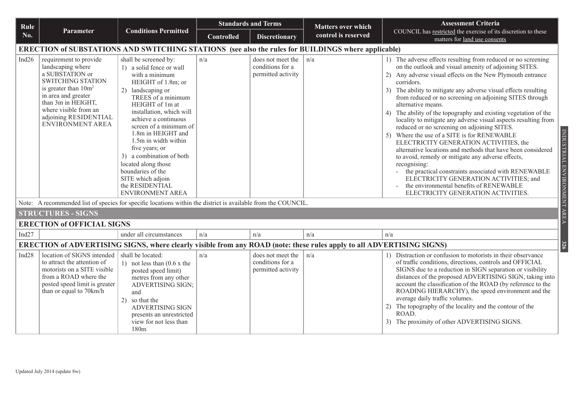| Rule              |                                                                                                                                                                                                                                          | <b>Standards and Terms</b>                                                                                                                                                                                                                                                                                                                                                                                                                       |                   |                                                             | <b>Matters over which</b> | <b>Assessment Criteria</b>                                                                                                                                                                                                                                                                                                                                                                                                                                                                                                                                                                                                                                                                                                                                                                                                                                                                                                                                |
|-------------------|------------------------------------------------------------------------------------------------------------------------------------------------------------------------------------------------------------------------------------------|--------------------------------------------------------------------------------------------------------------------------------------------------------------------------------------------------------------------------------------------------------------------------------------------------------------------------------------------------------------------------------------------------------------------------------------------------|-------------------|-------------------------------------------------------------|---------------------------|-----------------------------------------------------------------------------------------------------------------------------------------------------------------------------------------------------------------------------------------------------------------------------------------------------------------------------------------------------------------------------------------------------------------------------------------------------------------------------------------------------------------------------------------------------------------------------------------------------------------------------------------------------------------------------------------------------------------------------------------------------------------------------------------------------------------------------------------------------------------------------------------------------------------------------------------------------------|
| No.               | <b>Parameter</b>                                                                                                                                                                                                                         | <b>Conditions Permitted</b>                                                                                                                                                                                                                                                                                                                                                                                                                      | <b>Controlled</b> | <b>Discretionary</b>                                        | control is reserved       | COUNCIL has restricted the exercise of its discretion to these<br>matters for land use consents                                                                                                                                                                                                                                                                                                                                                                                                                                                                                                                                                                                                                                                                                                                                                                                                                                                           |
|                   | <b>ERECTION of SUBSTATIONS AND SWITCHING STATIONS</b> (see also the rules for BUILDINGS where applicable)                                                                                                                                |                                                                                                                                                                                                                                                                                                                                                                                                                                                  |                   |                                                             |                           |                                                                                                                                                                                                                                                                                                                                                                                                                                                                                                                                                                                                                                                                                                                                                                                                                                                                                                                                                           |
| Ind <sub>26</sub> | requirement to provide<br>landscaping where<br>a SUBSTATION or<br><b>SWITCHING STATION</b><br>is greater than $10m^2$<br>in area and greater<br>than 3m in HEIGHT,<br>where visible from an<br>adjoining RESIDENTIAL<br>ENVIRONMENT AREA | shall be screened by:<br>1) a solid fence or wall<br>with a minimum<br>HEIGHT of 1.8m; or<br>2) landscaping or<br>TREES of a minimum<br>HEIGHT of 1m at<br>installation, which will<br>achieve a continuous<br>screen of a minimum of<br>1.8m in HEIGHT and<br>1.5m in width within<br>five years; or<br>3) a combination of both<br>located along those<br>boundaries of the<br>SITE which adjoin<br>the RESIDENTIAL<br><b>ENVIRONMENT AREA</b> | n/a               | does not meet the<br>conditions for a<br>permitted activity | n/a                       | 1) The adverse effects resulting from reduced or no screening<br>on the outlook and visual amenity of adjoining SITES.<br>2) Any adverse visual effects on the New Plymouth entrance<br>corridors.<br>3) The ability to mitigate any adverse visual effects resulting<br>from reduced or no screening on adjoining SITES through<br>alternative means.<br>4) The ability of the topography and existing vegetation of the<br>locality to mitigate any adverse visual aspects resulting from<br>reduced or no screening on adjoining SITES.<br>5) Where the use of a SITE is for RENEWABLE<br>ELECTRICITY GENERATION ACTIVITIES, the<br>alternative locations and methods that have been considered<br>to avoid, remedy or mitigate any adverse effects,<br>recognising:<br>the practical constraints associated with RENEWABLE<br>ELECTRICITY GENERATION ACTIVITIES; and<br>the environmental benefits of RENEWABLE<br>ELECTRICITY GENERATION ACTIVITIES. |
|                   | Note: A recommended list of species for specific locations within the district is available from the COUNCIL.                                                                                                                            |                                                                                                                                                                                                                                                                                                                                                                                                                                                  |                   |                                                             |                           |                                                                                                                                                                                                                                                                                                                                                                                                                                                                                                                                                                                                                                                                                                                                                                                                                                                                                                                                                           |
|                   | <b>STRUCTURES - SIGNS</b>                                                                                                                                                                                                                |                                                                                                                                                                                                                                                                                                                                                                                                                                                  |                   |                                                             |                           |                                                                                                                                                                                                                                                                                                                                                                                                                                                                                                                                                                                                                                                                                                                                                                                                                                                                                                                                                           |
|                   | <b>ERECTION of OFFICIAL SIGNS</b>                                                                                                                                                                                                        |                                                                                                                                                                                                                                                                                                                                                                                                                                                  |                   |                                                             |                           |                                                                                                                                                                                                                                                                                                                                                                                                                                                                                                                                                                                                                                                                                                                                                                                                                                                                                                                                                           |
| Ind $27$          |                                                                                                                                                                                                                                          | under all circumstances                                                                                                                                                                                                                                                                                                                                                                                                                          | n/a               | n/a                                                         | n/a                       | n/a                                                                                                                                                                                                                                                                                                                                                                                                                                                                                                                                                                                                                                                                                                                                                                                                                                                                                                                                                       |
|                   | ERECTION of ADVERTISING SIGNS, where clearly visible from any ROAD (note: these rules apply to all ADVERTISING SIGNS)                                                                                                                    |                                                                                                                                                                                                                                                                                                                                                                                                                                                  |                   |                                                             |                           |                                                                                                                                                                                                                                                                                                                                                                                                                                                                                                                                                                                                                                                                                                                                                                                                                                                                                                                                                           |
| Ind28             | location of SIGNS intended<br>to attract the attention of<br>motorists on a SITE visible<br>from a ROAD where the<br>posted speed limit is greater<br>than or equal to 70km/h                                                            | shall be located:<br>1) not less than $(0.6 \times$ the<br>posted speed limit)<br>metres from any other<br><b>ADVERTISING SIGN;</b><br>and<br>2) so that the<br><b>ADVERTISING SIGN</b><br>presents an unrestricted<br>view for not less than<br>180m                                                                                                                                                                                            | n/a               | does not meet the<br>conditions for a<br>permitted activity | n/a                       | 1) Distraction or confusion to motorists in their observance<br>of traffic conditions, directions, controls and OFFICIAL<br>SIGNS due to a reduction in SIGN separation or visibility<br>distances of the proposed ADVERTISING SIGN, taking into<br>account the classification of the ROAD (by reference to the<br>ROADING HIERARCHY), the speed environment and the<br>average daily traffic volumes.<br>2) The topography of the locality and the contour of the<br>ROAD.<br>3) The proximity of other ADVERTISING SIGNS.                                                                                                                                                                                                                                                                                                                                                                                                                               |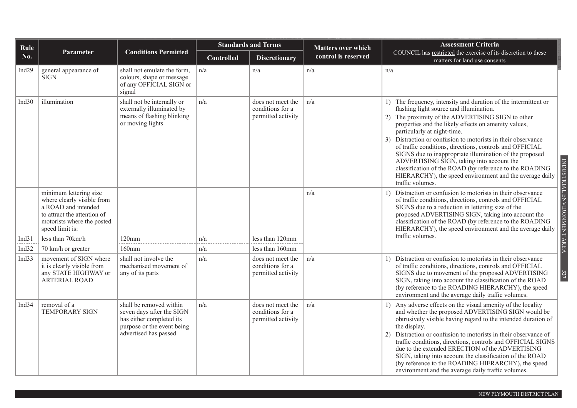| Rule              |                                                                                                                                                             | <b>Standards and Terms</b><br><b>Matters over which</b>                                                                                 |                   |                                                             | <b>Assessment Criteria</b> |                                                                                                                                                                                                                                                                                                                                                                                                                                                                                                                                                                                                                                         |
|-------------------|-------------------------------------------------------------------------------------------------------------------------------------------------------------|-----------------------------------------------------------------------------------------------------------------------------------------|-------------------|-------------------------------------------------------------|----------------------------|-----------------------------------------------------------------------------------------------------------------------------------------------------------------------------------------------------------------------------------------------------------------------------------------------------------------------------------------------------------------------------------------------------------------------------------------------------------------------------------------------------------------------------------------------------------------------------------------------------------------------------------------|
| No.               | <b>Parameter</b>                                                                                                                                            | <b>Conditions Permitted</b>                                                                                                             | <b>Controlled</b> | <b>Discretionary</b>                                        | control is reserved        | COUNCIL has restricted the exercise of its discretion to these<br>matters for land use consents                                                                                                                                                                                                                                                                                                                                                                                                                                                                                                                                         |
| Ind <sub>29</sub> | general appearance of<br><b>SIGN</b>                                                                                                                        | shall not emulate the form,<br>colours, shape or message<br>of any OFFICIAL SIGN or<br>signal                                           | n/a               | n/a                                                         | n/a                        | n/a                                                                                                                                                                                                                                                                                                                                                                                                                                                                                                                                                                                                                                     |
| Ind $30$          | illumination                                                                                                                                                | shall not be internally or<br>externally illuminated by<br>means of flashing blinking<br>or moving lights                               | n/a               | does not meet the<br>conditions for a<br>permitted activity | n/a                        | 1) The frequency, intensity and duration of the intermittent or<br>flashing light source and illumination.<br>The proximity of the ADVERTISING SIGN to other<br>2)<br>properties and the likely effects on amenity values,<br>particularly at night-time.<br>3) Distraction or confusion to motorists in their observance<br>of traffic conditions, directions, controls and OFFICIAL<br>SIGNS due to inappropriate illumination of the proposed<br>ADVERTISING SIGN, taking into account the<br>classification of the ROAD (by reference to the ROADING<br>HIERARCHY), the speed environment and the average daily<br>traffic volumes. |
|                   | minimum lettering size<br>where clearly visible from<br>a ROAD and intended<br>to attract the attention of<br>motorists where the posted<br>speed limit is: |                                                                                                                                         |                   |                                                             | n/a                        | INDUSTRIAL ENVIRONMENT AREA<br>Distraction or confusion to motorists in their observance<br>of traffic conditions, directions, controls and OFFICIAL<br>SIGNS due to a reduction in lettering size of the<br>proposed ADVERTISING SIGN, taking into account the<br>classification of the ROAD (by reference to the ROADING<br>HIERARCHY), the speed environment and the average daily                                                                                                                                                                                                                                                   |
| Ind31             | less than 70km/h                                                                                                                                            | 120mm                                                                                                                                   | n/a               | less than 120mm                                             |                            | traffic volumes.                                                                                                                                                                                                                                                                                                                                                                                                                                                                                                                                                                                                                        |
| Ind32             | 70 km/h or greater                                                                                                                                          | $160$ mm                                                                                                                                | n/a               | less than 160mm                                             |                            |                                                                                                                                                                                                                                                                                                                                                                                                                                                                                                                                                                                                                                         |
| Ind $33$          | movement of SIGN where<br>it is clearly visible from<br>any STATE HIGHWAY or<br><b>ARTERIAL ROAD</b>                                                        | shall not involve the<br>mechanised movement of<br>any of its parts                                                                     | n/a               | does not meet the<br>conditions for a<br>permitted activity | n/a                        | Distraction or confusion to motorists in their observance<br>of traffic conditions, directions, controls and OFFICIAL<br>327<br>SIGNS due to movement of the proposed ADVERTISING<br>SIGN, taking into account the classification of the ROAD<br>(by reference to the ROADING HIERARCHY), the speed<br>environment and the average daily traffic volumes.                                                                                                                                                                                                                                                                               |
| Ind <sub>34</sub> | removal of a<br><b>TEMPORARY SIGN</b>                                                                                                                       | shall be removed within<br>seven days after the SIGN<br>has either completed its<br>purpose or the event being<br>advertised has passed | n/a               | does not meet the<br>conditions for a<br>permitted activity | n/a                        | 1) Any adverse effects on the visual amenity of the locality<br>and whether the proposed ADVERTISING SIGN would be<br>obtrusively visible having regard to the intended duration of<br>the display.<br>2) Distraction or confusion to motorists in their observance of<br>traffic conditions, directions, controls and OFFICIAL SIGNS<br>due to the extended ERECTION of the ADVERTISING<br>SIGN, taking into account the classification of the ROAD<br>(by reference to the ROADING HIERARCHY), the speed<br>environment and the average daily traffic volumes.                                                                        |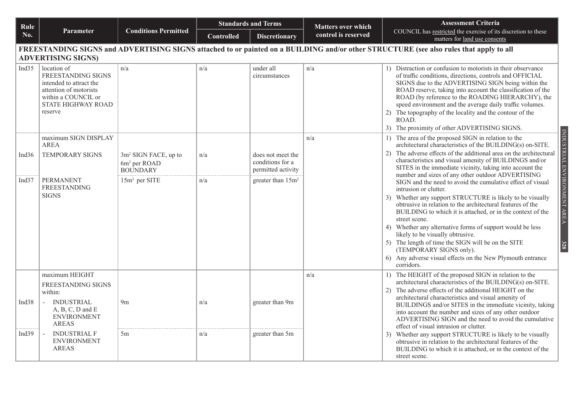| Rule              |                                                                                                                                                                     | <b>Standards and Terms</b>                                                      |                   |                                                             | <b>Matters over which</b> | <b>Assessment Criteria</b>                                                                                                                                                                                                                                                                                                                                                                                                                                                          |  |  |  |  |
|-------------------|---------------------------------------------------------------------------------------------------------------------------------------------------------------------|---------------------------------------------------------------------------------|-------------------|-------------------------------------------------------------|---------------------------|-------------------------------------------------------------------------------------------------------------------------------------------------------------------------------------------------------------------------------------------------------------------------------------------------------------------------------------------------------------------------------------------------------------------------------------------------------------------------------------|--|--|--|--|
| No.               | Parameter                                                                                                                                                           | <b>Conditions Permitted</b>                                                     | <b>Controlled</b> | <b>Discretionary</b>                                        | control is reserved       | COUNCIL has restricted the exercise of its discretion to these<br>matters for land use consents                                                                                                                                                                                                                                                                                                                                                                                     |  |  |  |  |
|                   | FREESTANDING SIGNS and ADVERTISING SIGNS attached to or painted on a BUILDING and/or other STRUCTURE (see also rules that apply to all<br><b>ADVERTISING SIGNS)</b> |                                                                                 |                   |                                                             |                           |                                                                                                                                                                                                                                                                                                                                                                                                                                                                                     |  |  |  |  |
| Ind <sub>35</sub> | location of<br><b>FREESTANDING SIGNS</b><br>intended to attract the<br>attention of motorists<br>within a COUNCIL or<br>STATE HIGHWAY ROAD<br>reserve               | n/a                                                                             | n/a               | under all<br>circumstances                                  | n/a                       | 1) Distraction or confusion to motorists in their observance<br>of traffic conditions, directions, controls and OFFICIAL<br>SIGNS due to the ADVERTISING SIGN being within the<br>ROAD reserve, taking into account the classification of the<br>ROAD (by reference to the ROADING HIERARCHY), the<br>speed environment and the average daily traffic volumes.<br>2) The topography of the locality and the contour of the<br>ROAD.<br>3) The proximity of other ADVERTISING SIGNS. |  |  |  |  |
|                   | maximum SIGN DISPLAY<br><b>AREA</b>                                                                                                                                 |                                                                                 |                   |                                                             | n/a                       | 1) The area of the proposed SIGN in relation to the<br>architectural characteristics of the BUILDING(s) on-SITE.                                                                                                                                                                                                                                                                                                                                                                    |  |  |  |  |
| Ind $36$          | <b>TEMPORARY SIGNS</b>                                                                                                                                              | 3m <sup>2</sup> SIGN FACE, up to<br>6m <sup>2</sup> per ROAD<br><b>BOUNDARY</b> | n/a               | does not meet the<br>conditions for a<br>permitted activity |                           | INDUSTRIAL ENVIRONMENT AREA<br>2) The adverse effects of the additional area on the architectural<br>characteristics and visual amenity of BUILDINGS and/or<br>SITES in the immediate vicinity, taking into account the                                                                                                                                                                                                                                                             |  |  |  |  |
| Ind $37$          | <b>PERMANENT</b><br><b>FREESTANDING</b><br><b>SIGNS</b>                                                                                                             | 15m <sup>2</sup> per SITE                                                       | n/a               | greater than 15m <sup>2</sup>                               |                           | number and sizes of any other outdoor ADVERTISING<br>SIGN and the need to avoid the cumulative effect of visual<br>intrusion or clutter.<br>3) Whether any support STRUCTURE is likely to be visually                                                                                                                                                                                                                                                                               |  |  |  |  |
|                   |                                                                                                                                                                     |                                                                                 |                   |                                                             |                           | obtrusive in relation to the architectural features of the<br>BUILDING to which it is attached, or in the context of the<br>street scene.                                                                                                                                                                                                                                                                                                                                           |  |  |  |  |
|                   |                                                                                                                                                                     |                                                                                 |                   |                                                             |                           | 4) Whether any alternative forms of support would be less<br>likely to be visually obtrusive.                                                                                                                                                                                                                                                                                                                                                                                       |  |  |  |  |
|                   |                                                                                                                                                                     |                                                                                 |                   |                                                             |                           | 5) The length of time the SIGN will be on the SITE<br>328<br>(TEMPORARY SIGNS only).                                                                                                                                                                                                                                                                                                                                                                                                |  |  |  |  |
|                   |                                                                                                                                                                     |                                                                                 |                   |                                                             |                           | 6) Any adverse visual effects on the New Plymouth entrance<br>corridors.                                                                                                                                                                                                                                                                                                                                                                                                            |  |  |  |  |
|                   | maximum HEIGHT<br>FREESTANDING SIGNS                                                                                                                                |                                                                                 |                   |                                                             | n/a                       | 1) The HEIGHT of the proposed SIGN in relation to the<br>architectural characteristics of the BUILDING(s) on-SITE.                                                                                                                                                                                                                                                                                                                                                                  |  |  |  |  |
|                   | within:                                                                                                                                                             |                                                                                 |                   |                                                             |                           | 2) The adverse effects of the additional HEIGHT on the<br>architectural characteristics and visual amenity of                                                                                                                                                                                                                                                                                                                                                                       |  |  |  |  |
| Ind $38$          | <b>INDUSTRIAL</b><br>$A, B, C, D$ and $E$<br><b>ENVIRONMENT</b><br><b>AREAS</b>                                                                                     | 9 <sub>m</sub>                                                                  | n/a               | greater than 9m                                             |                           | BUILDINGS and/or SITES in the immediate vicinity, taking<br>into account the number and sizes of any other outdoor<br>ADVERTISING SIGN and the need to avoid the cumulative<br>effect of visual intrusion or clutter.                                                                                                                                                                                                                                                               |  |  |  |  |
| Ind <sub>39</sub> | <b>INDUSTRIAL F</b><br><b>ENVIRONMENT</b><br><b>AREAS</b>                                                                                                           | 5m                                                                              | n/a               | greater than 5m                                             |                           | 3) Whether any support STRUCTURE is likely to be visually<br>obtrusive in relation to the architectural features of the<br>BUILDING to which it is attached, or in the context of the<br>street scene.                                                                                                                                                                                                                                                                              |  |  |  |  |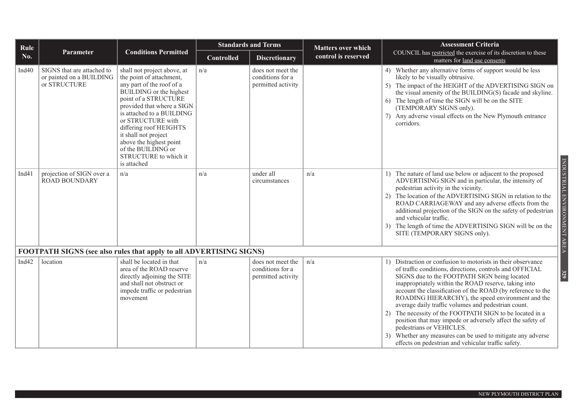| Rule     |                                                                        |                                                                                                                                                                                                                                                                                                                                                                    |                   | <b>Standards and Terms</b>                                  | <b>Matters over which</b> | <b>Assessment Criteria</b>                                                                                                                                                                                                                                                                                                                                                                                                                                                                                                                                                                                                                                                                    |
|----------|------------------------------------------------------------------------|--------------------------------------------------------------------------------------------------------------------------------------------------------------------------------------------------------------------------------------------------------------------------------------------------------------------------------------------------------------------|-------------------|-------------------------------------------------------------|---------------------------|-----------------------------------------------------------------------------------------------------------------------------------------------------------------------------------------------------------------------------------------------------------------------------------------------------------------------------------------------------------------------------------------------------------------------------------------------------------------------------------------------------------------------------------------------------------------------------------------------------------------------------------------------------------------------------------------------|
| No.      | Parameter                                                              | <b>Conditions Permitted</b>                                                                                                                                                                                                                                                                                                                                        | <b>Controlled</b> | <b>Discretionary</b>                                        | control is reserved       | COUNCIL has restricted the exercise of its discretion to these<br>matters for land use consents                                                                                                                                                                                                                                                                                                                                                                                                                                                                                                                                                                                               |
| Ind $40$ | SIGNS that are attached to<br>or painted on a BUILDING<br>or STRUCTURE | shall not project above, at<br>the point of attachment,<br>any part of the roof of a<br>BUILDING or the highest<br>point of a STRUCTURE<br>provided that where a SIGN<br>is attached to a BUILDING<br>or STRUCTURE with<br>differing roof HEIGHTS<br>it shall not project<br>above the highest point<br>of the BUILDING or<br>STRUCTURE to which it<br>is attached | n/a               | does not meet the<br>conditions for a<br>permitted activity |                           | 4) Whether any alternative forms of support would be less<br>likely to be visually obtrusive.<br>5) The impact of the HEIGHT of the ADVERTISING SIGN on<br>the visual amenity of the BUILDING(S) facade and skyline.<br>6) The length of time the SIGN will be on the SITE<br>(TEMPORARY SIGNS only).<br>7) Any adverse visual effects on the New Plymouth entrance<br>corridors.                                                                                                                                                                                                                                                                                                             |
| Ind41    | projection of SIGN over a<br><b>ROAD BOUNDARY</b>                      | n/a                                                                                                                                                                                                                                                                                                                                                                | n/a               | under all<br>circumstances                                  | n/a                       | 1) The nature of land use below or adjacent to the proposed<br>ADVERTISING SIGN and in particular, the intensity of<br>pedestrian activity in the vicinity.<br>2) The location of the ADVERTISING SIGN in relation to the<br>ROAD CARRIAGEWAY and any adverse effects from the<br>additional projection of the SIGN on the safety of pedestrian<br>and vehicular traffic.<br>3) The length of time the ADVERTISING SIGN will be on the<br>SITE (TEMPORARY SIGNS only).                                                                                                                                                                                                                        |
|          |                                                                        | FOOTPATH SIGNS (see also rules that apply to all ADVERTISING SIGNS)                                                                                                                                                                                                                                                                                                |                   |                                                             |                           |                                                                                                                                                                                                                                                                                                                                                                                                                                                                                                                                                                                                                                                                                               |
| Ind $42$ | location                                                               | shall be located in that<br>area of the ROAD reserve<br>directly adjoining the SITE<br>and shall not obstruct or<br>impede traffic or pedestrian<br>movement                                                                                                                                                                                                       | n/a               | does not meet the<br>conditions for a<br>permitted activity | n/a                       | 1) Distraction or confusion to motorists in their observance<br>of traffic conditions, directions, controls and OFFICIAL<br>SIGNS due to the FOOTPATH SIGN being located<br>inappropriately within the ROAD reserve, taking into<br>account the classification of the ROAD (by reference to the<br>ROADING HIERARCHY), the speed environment and the<br>average daily traffic volumes and pedestrian count.<br>The necessity of the FOOTPATH SIGN to be located in a<br>2)<br>position that may impede or adversely affect the safety of<br>pedestrians or VEHICLES.<br>Whether any measures can be used to mitigate any adverse<br>3)<br>effects on pedestrian and vehicular traffic safety. |

INDUSTRIAL ENVIRONMENT AREA INDUSTRIAL ENVIRONMENT AREA **329**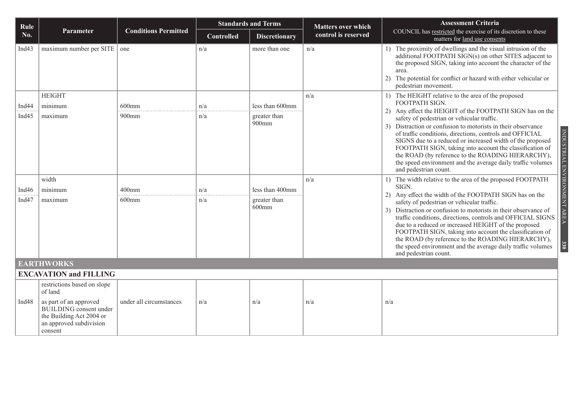| Rule              |                                                                                                                           |                             |                   | <b>Standards and Terms</b> | <b>Matters over which</b> | <b>Assessment Criteria</b>                                                                                                                                                                                                                                                                                                                                                                                                                           |  |
|-------------------|---------------------------------------------------------------------------------------------------------------------------|-----------------------------|-------------------|----------------------------|---------------------------|------------------------------------------------------------------------------------------------------------------------------------------------------------------------------------------------------------------------------------------------------------------------------------------------------------------------------------------------------------------------------------------------------------------------------------------------------|--|
| No.               | Parameter                                                                                                                 | <b>Conditions Permitted</b> | <b>Controlled</b> | <b>Discretionary</b>       | control is reserved       | COUNCIL has restricted the exercise of its discretion to these<br>matters for land use consents                                                                                                                                                                                                                                                                                                                                                      |  |
| Ind <sub>43</sub> | $maximum$ number per SITE $\vert$ one                                                                                     |                             | n/a               | more than one              | n/a                       | 1) The proximity of dwellings and the visual intrusion of the<br>additional FOOTPATH SIGN(s) on other SITES adjacent to<br>the proposed SIGN, taking into account the character of the<br>area.<br>2) The potential for conflict or hazard with either vehicular or<br>pedestrian movement.                                                                                                                                                          |  |
|                   | <b>HEIGHT</b>                                                                                                             |                             |                   |                            | n/a                       | 1) The HEIGHT relative to the area of the proposed                                                                                                                                                                                                                                                                                                                                                                                                   |  |
| Ind <sub>44</sub> | minimum                                                                                                                   | $600$ mm                    | n/a               | less than 600mm            |                           | FOOTPATH SIGN.<br>2) Any effect the HEIGHT of the FOOTPATH SIGN has on the                                                                                                                                                                                                                                                                                                                                                                           |  |
| Ind $45$          | maximum                                                                                                                   | 900mm                       | n/a               | greater than               |                           | safety of pedestrian or vehicular traffic.                                                                                                                                                                                                                                                                                                                                                                                                           |  |
|                   |                                                                                                                           |                             |                   | 900mm                      |                           | 3) Distraction or confusion to motorists in their observance<br>INDUSTRIAL ENVIRONMENT AREA<br>of traffic conditions, directions, controls and OFFICIAL<br>SIGNS due to a reduced or increased width of the proposed<br>FOOTPATH SIGN, taking into account the classification of<br>the ROAD (by reference to the ROADING HIERARCHY),<br>the speed environment and the average daily traffic volumes<br>and pedestrian count.                        |  |
|                   | width                                                                                                                     |                             |                   |                            | n/a                       | 1) The width relative to the area of the proposed FOOTPATH                                                                                                                                                                                                                                                                                                                                                                                           |  |
| Ind $46$          | minimum                                                                                                                   | $400$ mm                    | n/a               | less than 400mm            |                           | SIGN.<br>2) Any effect the width of the FOOTPATH SIGN has on the                                                                                                                                                                                                                                                                                                                                                                                     |  |
| Ind $47$          | maximum                                                                                                                   | $600$ mm                    | n/a               | greater than<br>$600$ mm   |                           | safety of pedestrian or vehicular traffic.<br>3) Distraction or confusion to motorists in their observance of<br>traffic conditions, directions, controls and OFFICIAL SIGNS<br>due to a reduced or increased HEIGHT of the proposed<br>FOOTPATH SIGN, taking into account the classification of<br>the ROAD (by reference to the ROADING HIERARCHY),<br>330<br>the speed environment and the average daily traffic volumes<br>and pedestrian count. |  |
|                   | <b>EARTHWORKS</b>                                                                                                         |                             |                   |                            |                           |                                                                                                                                                                                                                                                                                                                                                                                                                                                      |  |
|                   | <b>EXCAVATION and FILLING</b>                                                                                             |                             |                   |                            |                           |                                                                                                                                                                                                                                                                                                                                                                                                                                                      |  |
|                   | restrictions based on slope<br>of land                                                                                    |                             |                   |                            |                           |                                                                                                                                                                                                                                                                                                                                                                                                                                                      |  |
| Ind $48$          | as part of an approved<br><b>BUILDING</b> consent under<br>the Building Act 2004 or<br>an approved subdivision<br>consent | under all circumstances     | n/a               | n/a                        | n/a                       | n/a                                                                                                                                                                                                                                                                                                                                                                                                                                                  |  |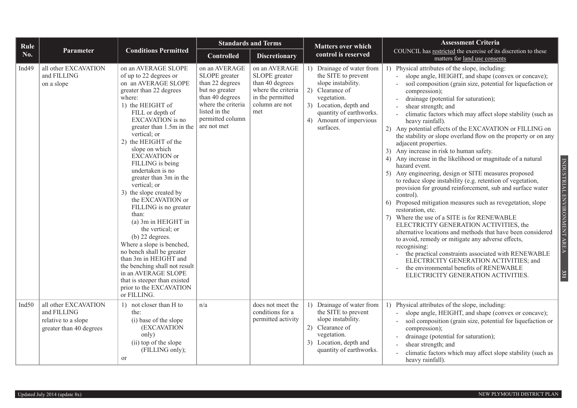| Rule              |                                                                                       |                                                                                                                                                                                                                                                                                                                                                                                                                                                                                                                                                                                                                                                                                                                                                     | <b>Standards and Terms</b>                                                                                                                                       |                                                                                                                      | <b>Matters over which</b>                                                                                                                                                                             | <b>Assessment Criteria</b>                                                                                                                                                                                                                                                                                                                                                                                                                                                                                                                                                                                                                                                                                                                                                                                                                                                                                                                                                                                                                                                                                                                                                                                                                                                                                                                                                 |
|-------------------|---------------------------------------------------------------------------------------|-----------------------------------------------------------------------------------------------------------------------------------------------------------------------------------------------------------------------------------------------------------------------------------------------------------------------------------------------------------------------------------------------------------------------------------------------------------------------------------------------------------------------------------------------------------------------------------------------------------------------------------------------------------------------------------------------------------------------------------------------------|------------------------------------------------------------------------------------------------------------------------------------------------------------------|----------------------------------------------------------------------------------------------------------------------|-------------------------------------------------------------------------------------------------------------------------------------------------------------------------------------------------------|----------------------------------------------------------------------------------------------------------------------------------------------------------------------------------------------------------------------------------------------------------------------------------------------------------------------------------------------------------------------------------------------------------------------------------------------------------------------------------------------------------------------------------------------------------------------------------------------------------------------------------------------------------------------------------------------------------------------------------------------------------------------------------------------------------------------------------------------------------------------------------------------------------------------------------------------------------------------------------------------------------------------------------------------------------------------------------------------------------------------------------------------------------------------------------------------------------------------------------------------------------------------------------------------------------------------------------------------------------------------------|
| No.               | Parameter                                                                             | <b>Conditions Permitted</b>                                                                                                                                                                                                                                                                                                                                                                                                                                                                                                                                                                                                                                                                                                                         | <b>Controlled</b>                                                                                                                                                | <b>Discretionary</b>                                                                                                 | control is reserved                                                                                                                                                                                   | COUNCIL has restricted the exercise of its discretion to these<br>matters for land use consents                                                                                                                                                                                                                                                                                                                                                                                                                                                                                                                                                                                                                                                                                                                                                                                                                                                                                                                                                                                                                                                                                                                                                                                                                                                                            |
| Ind <sub>49</sub> | all other EXCAVATION<br>and FILLING<br>on a slope                                     | on an AVERAGE SLOPE<br>of up to 22 degrees or<br>on an AVERAGE SLOPE<br>greater than 22 degrees<br>where:<br>1) the HEIGHT of<br>FILL or depth of<br><b>EXCAVATION</b> is no<br>greater than 1.5m in the<br>vertical; or<br>2) the HEIGHT of the<br>slope on which<br><b>EXCAVATION</b> or<br>FILLING is being<br>undertaken is no<br>greater than 3m in the<br>vertical; or<br>3) the slope created by<br>the EXCAVATION or<br>FILLING is no greater<br>than:<br>(a) 3m in HEIGHT in<br>the vertical; or<br>$(b)$ 22 degrees.<br>Where a slope is benched,<br>no bench shall be greater<br>than 3m in HEIGHT and<br>the benching shall not result<br>in an AVERAGE SLOPE<br>that is steeper than existed<br>prior to the EXCAVATION<br>or FILLING. | on an AVERAGE<br>SLOPE greater<br>than 22 degrees<br>but no greater<br>than 40 degrees<br>where the criteria<br>listed in the<br>permitted column<br>are not met | on an AVERAGE<br>SLOPE greater<br>than 40 degrees<br>where the criteria<br>in the permitted<br>column are not<br>met | 1) Drainage of water from<br>the SITE to prevent<br>slope instability.<br>2) Clearance of<br>vegetation.<br>3) Location, depth and<br>quantity of earthworks.<br>4) Amount of impervious<br>surfaces. | 1) Physical attributes of the slope, including:<br>slope angle, HEIGHT, and shape (convex or concave);<br>soil composition (grain size, potential for liquefaction or<br>compression);<br>drainage (potential for saturation);<br>$\overline{\phantom{a}}$<br>shear strength; and<br>climatic factors which may affect slope stability (such as<br>$\overline{a}$<br>heavy rainfall).<br>2) Any potential effects of the EXCAVATION or FILLING on<br>the stability or slope overland flow on the property or on any<br>adjacent properties.<br>3) Any increase in risk to human safety.<br>4) Any increase in the likelihood or magnitude of a natural<br>hazard event.<br>Any engineering, design or SITE measures proposed<br>5)<br>to reduce slope instability (e.g. retention of vegetation,<br>provision for ground reinforcement, sub and surface water<br>control).<br>6) Proposed mitigation measures such as revegetation, slope<br>restoration, etc.<br>Where the use of a SITE is for RENEWABLE<br>ELECTRICITY GENERATION ACTIVITIES, the<br>alternative locations and methods that have been considered<br>to avoid, remedy or mitigate any adverse effects,<br>recognising:<br>the practical constraints associated with RENEWABLE<br>ELECTRICITY GENERATION ACTIVITIES; and<br>the environmental benefits of RENEWABLE<br>ELECTRICITY GENERATION ACTIVITIES. |
| Ind $50$          | all other EXCAVATION<br>and FILLING<br>relative to a slope<br>greater than 40 degrees | 1) not closer than H to<br>the:<br>(i) base of the slope<br>(EXCAVATION<br>only)<br>(ii) top of the slope<br>(FILLING only);<br><b>or</b>                                                                                                                                                                                                                                                                                                                                                                                                                                                                                                                                                                                                           | n/a                                                                                                                                                              | does not meet the<br>conditions for a<br>permitted activity                                                          | 1) Drainage of water from<br>the SITE to prevent<br>slope instability.<br>2) Clearance of<br>vegetation.<br>3) Location, depth and<br>quantity of earthworks.                                         | Physical attributes of the slope, including:<br>1)<br>slope angle, HEIGHT, and shape (convex or concave);<br>soil composition (grain size, potential for liquefaction or<br>$\bar{a}$<br>compression);<br>drainage (potential for saturation);<br>$\overline{\phantom{a}}$<br>shear strength; and<br>climatic factors which may affect slope stability (such as<br>heavy rainfall).                                                                                                                                                                                                                                                                                                                                                                                                                                                                                                                                                                                                                                                                                                                                                                                                                                                                                                                                                                                        |

INDUSTRIAL ENVIRONMENT AREA INDUSTRIAL ENVIRONMENT AREA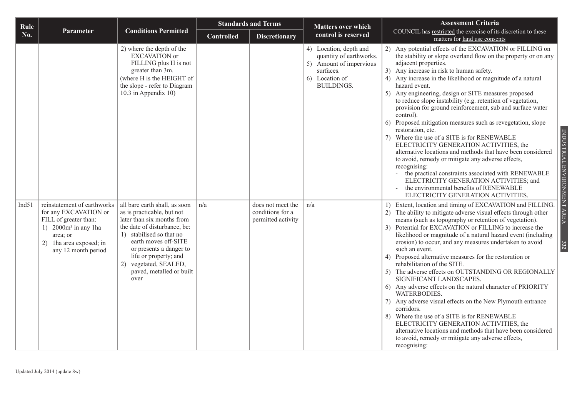| Rule  |                                                                                                                                                                        |                                                                                                                                                                                                                                                                                                | <b>Standards and Terms</b> |                                                             | <b>Matters over which</b>                                                                                                        | <b>Assessment Criteria</b>                                                                                                                                                                                                                                                                                                                                                                                                                                                                                                                                                                                                                                                                                                                                                                                                                                                                                                                                                                                            |
|-------|------------------------------------------------------------------------------------------------------------------------------------------------------------------------|------------------------------------------------------------------------------------------------------------------------------------------------------------------------------------------------------------------------------------------------------------------------------------------------|----------------------------|-------------------------------------------------------------|----------------------------------------------------------------------------------------------------------------------------------|-----------------------------------------------------------------------------------------------------------------------------------------------------------------------------------------------------------------------------------------------------------------------------------------------------------------------------------------------------------------------------------------------------------------------------------------------------------------------------------------------------------------------------------------------------------------------------------------------------------------------------------------------------------------------------------------------------------------------------------------------------------------------------------------------------------------------------------------------------------------------------------------------------------------------------------------------------------------------------------------------------------------------|
| No.   | Parameter                                                                                                                                                              | <b>Conditions Permitted</b>                                                                                                                                                                                                                                                                    | <b>Controlled</b>          | <b>Discretionary</b>                                        | control is reserved                                                                                                              | COUNCIL has restricted the exercise of its discretion to these<br>matters for land use consents                                                                                                                                                                                                                                                                                                                                                                                                                                                                                                                                                                                                                                                                                                                                                                                                                                                                                                                       |
|       |                                                                                                                                                                        | 2) where the depth of the<br><b>EXCAVATION</b> or<br>FILLING plus H is not<br>greater than 3m.<br>(where H is the HEIGHT of<br>the slope - refer to Diagram<br>10.3 in Appendix 10)                                                                                                            |                            |                                                             | 4) Location, depth and<br>quantity of earthworks.<br>5) Amount of impervious<br>surfaces.<br>6) Location of<br><b>BUILDINGS.</b> | 2) Any potential effects of the EXCAVATION or FILLING on<br>the stability or slope overland flow on the property or on any<br>adjacent properties.<br>3) Any increase in risk to human safety.<br>4) Any increase in the likelihood or magnitude of a natural<br>hazard event.<br>Any engineering, design or SITE measures proposed<br>5)<br>to reduce slope instability (e.g. retention of vegetation,<br>provision for ground reinforcement, sub and surface water<br>control).<br>6) Proposed mitigation measures such as revegetation, slope<br>restoration, etc.<br>Where the use of a SITE is for RENEWABLE<br>7)<br>ELECTRICITY GENERATION ACTIVITIES, the<br>alternative locations and methods that have been considered<br>to avoid, remedy or mitigate any adverse effects,<br>recognising:<br>- the practical constraints associated with RENEWABLE<br>ELECTRICITY GENERATION ACTIVITIES; and<br>the environmental benefits of RENEWABLE<br>$\overline{\phantom{a}}$<br>ELECTRICITY GENERATION ACTIVITIES. |
| Ind51 | reinstatement of earthworks<br>for any EXCAVATION or<br>FILL of greater than:<br>1) $2000m^3$ in any 1ha<br>area; or<br>2) 1ha area exposed; in<br>any 12 month period | all bare earth shall, as soon<br>as is practicable, but not<br>later than six months from<br>the date of disturbance, be:<br>1) stabilised so that no<br>earth moves off-SITE<br>or presents a danger to<br>life or property; and<br>2) vegetated, SEALED,<br>paved, metalled or built<br>over | n/a                        | does not meet the<br>conditions for a<br>permitted activity | n/a                                                                                                                              | 1) Extent, location and timing of EXCAVATION and FILLING.<br>2) The ability to mitigate adverse visual effects through other<br>means (such as topography or retention of vegetation).<br>3) Potential for EXCAVATION or FILLING to increase the<br>likelihood or magnitude of a natural hazard event (including<br>erosion) to occur, and any measures undertaken to avoid<br>such an event.<br>4) Proposed alternative measures for the restoration or<br>rehabilitation of the SITE.<br>5) The adverse effects on OUTSTANDING OR REGIONALLY<br>SIGNIFICANT LANDSCAPES.<br>6) Any adverse effects on the natural character of PRIORITY<br>WATERBODIES.<br>7) Any adverse visual effects on the New Plymouth entrance<br>corridors.<br>8) Where the use of a SITE is for RENEWABLE<br>ELECTRICITY GENERATION ACTIVITIES, the<br>alternative locations and methods that have been considered<br>to avoid, remedy or mitigate any adverse effects,<br>recognising:                                                     |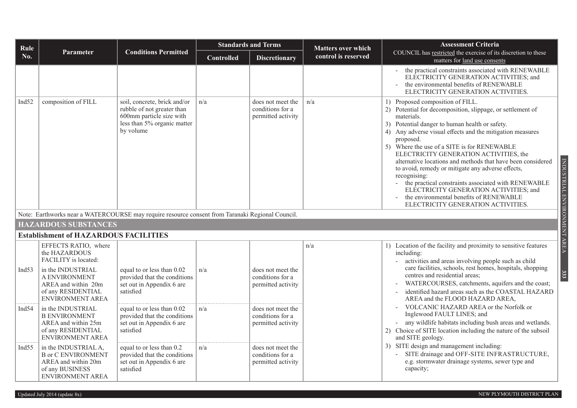| Rule              |                                                                                                                        |                                                                                                                                    |                   | <b>Standards and Terms</b>                                  | <b>Matters over which</b> | <b>Assessment Criteria</b>                                                                                                                                                                                                                                                                                                                                                                                                                                                                                                                                                                                                                                                             |
|-------------------|------------------------------------------------------------------------------------------------------------------------|------------------------------------------------------------------------------------------------------------------------------------|-------------------|-------------------------------------------------------------|---------------------------|----------------------------------------------------------------------------------------------------------------------------------------------------------------------------------------------------------------------------------------------------------------------------------------------------------------------------------------------------------------------------------------------------------------------------------------------------------------------------------------------------------------------------------------------------------------------------------------------------------------------------------------------------------------------------------------|
| No.               | <b>Parameter</b>                                                                                                       | <b>Conditions Permitted</b>                                                                                                        | <b>Controlled</b> | <b>Discretionary</b>                                        | control is reserved       | COUNCIL has restricted the exercise of its discretion to these<br>matters for land use consents                                                                                                                                                                                                                                                                                                                                                                                                                                                                                                                                                                                        |
|                   |                                                                                                                        |                                                                                                                                    |                   |                                                             |                           | the practical constraints associated with RENEWABLE<br>ELECTRICITY GENERATION ACTIVITIES; and<br>the environmental benefits of RENEWABLE<br>ELECTRICITY GENERATION ACTIVITIES.                                                                                                                                                                                                                                                                                                                                                                                                                                                                                                         |
| Ind <sub>52</sub> | composition of FILL                                                                                                    | soil, concrete, brick and/or<br>rubble of not greater than<br>600mm particle size with<br>less than 5% organic matter<br>by volume | n/a               | does not meet the<br>conditions for a<br>permitted activity | n/a                       | 1) Proposed composition of FILL.<br>2) Potential for decomposition, slippage, or settlement of<br>materials.<br>3) Potential danger to human health or safety.<br>4) Any adverse visual effects and the mitigation measures<br>proposed.<br>5) Where the use of a SITE is for RENEWABLE<br>ELECTRICITY GENERATION ACTIVITIES, the<br>INDUSTRIAL ENVIRONMENT AREA<br>alternative locations and methods that have been considered<br>to avoid, remedy or mitigate any adverse effects,<br>recognising:<br>the practical constraints associated with RENEWABLE<br>ELECTRICITY GENERATION ACTIVITIES; and<br>the environmental benefits of RENEWABLE<br>ELECTRICITY GENERATION ACTIVITIES. |
|                   |                                                                                                                        | Note: Earthworks near a WATERCOURSE may require resource consent from Taranaki Regional Council.                                   |                   |                                                             |                           |                                                                                                                                                                                                                                                                                                                                                                                                                                                                                                                                                                                                                                                                                        |
|                   | <b>HAZARDOUS SUBSTANCES</b>                                                                                            |                                                                                                                                    |                   |                                                             |                           |                                                                                                                                                                                                                                                                                                                                                                                                                                                                                                                                                                                                                                                                                        |
|                   | <b>Establishment of HAZARDOUS FACILITIES</b>                                                                           |                                                                                                                                    |                   |                                                             |                           |                                                                                                                                                                                                                                                                                                                                                                                                                                                                                                                                                                                                                                                                                        |
|                   | EFFECTS RATIO, where<br>the HAZARDOUS<br>FACILITY is located:                                                          |                                                                                                                                    |                   |                                                             | n/a                       | 1) Location of the facility and proximity to sensitive features<br>including:<br>activities and areas involving people such as child                                                                                                                                                                                                                                                                                                                                                                                                                                                                                                                                                   |
| Ind $53$          | in the INDUSTRIAL<br>A ENVIRONMENT<br>AREA and within 20m<br>of any RESIDENTIAL<br>ENVIRONMENT AREA                    | equal to or less than 0.02<br>provided that the conditions<br>set out in Appendix 6 are<br>satisfied                               | n/a               | does not meet the<br>conditions for a<br>permitted activity |                           | care facilities, schools, rest homes, hospitals, shopping<br>333<br>centres and residential areas;<br>WATERCOURSES, catchments, aquifers and the coast;<br>identified hazard areas such as the COASTAL HAZARD<br>AREA and the FLOOD HAZARD AREA,                                                                                                                                                                                                                                                                                                                                                                                                                                       |
| Ind $54$          | in the INDUSTRIAL<br><b>B ENVIRONMENT</b><br>AREA and within 25m<br>of any RESIDENTIAL<br><b>ENVIRONMENT AREA</b>      | equal to or less than 0.02<br>provided that the conditions<br>set out in Appendix 6 are<br>satisfied                               | n/a               | does not meet the<br>conditions for a<br>permitted activity |                           | VOLCANIC HAZARD AREA or the Norfolk or<br>Inglewood FAULT LINES; and<br>any wildlife habitats including bush areas and wetlands.<br>2) Choice of SITE location including the nature of the subsoil<br>and SITE geology.                                                                                                                                                                                                                                                                                                                                                                                                                                                                |
| Ind <sub>55</sub> | in the INDUSTRIAL A,<br><b>B</b> or C ENVIRONMENT<br>AREA and within 20m<br>of any BUSINESS<br><b>ENVIRONMENT AREA</b> | equal to or less than 0.2<br>provided that the conditions<br>set out in Appendix 6 are<br>satisfied                                | n/a               | does not meet the<br>conditions for a<br>permitted activity |                           | 3) SITE design and management including:<br>SITE drainage and OFF-SITE INFRASTRUCTURE,<br>e.g. stormwater drainage systems, sewer type and<br>capacity;                                                                                                                                                                                                                                                                                                                                                                                                                                                                                                                                |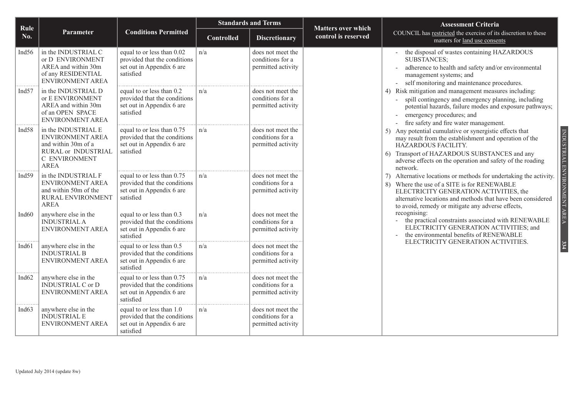| Rule              |                                                                                                                       |                                                                                                      |                   | <b>Standards and Terms</b>                                  | <b>Matters over which</b> | <b>Assessment Criteria</b>                                                                                                                                                                                                                                                                        |
|-------------------|-----------------------------------------------------------------------------------------------------------------------|------------------------------------------------------------------------------------------------------|-------------------|-------------------------------------------------------------|---------------------------|---------------------------------------------------------------------------------------------------------------------------------------------------------------------------------------------------------------------------------------------------------------------------------------------------|
| No.               | Parameter                                                                                                             | <b>Conditions Permitted</b>                                                                          | <b>Controlled</b> | <b>Discretionary</b>                                        | control is reserved       | COUNCIL has restricted the exercise of its discretion to these<br>matters for land use consents                                                                                                                                                                                                   |
| Ind <sub>56</sub> | in the INDUSTRIAL C<br>or D ENVIRONMENT<br>AREA and within 30m<br>of any RESIDENTIAL<br><b>ENVIRONMENT AREA</b>       | equal to or less than 0.02<br>provided that the conditions<br>set out in Appendix 6 are<br>satisfied | n/a               | does not meet the<br>conditions for a<br>permitted activity |                           | the disposal of wastes containing HAZARDOUS<br><b>SUBSTANCES;</b><br>adherence to health and safety and/or environmental<br>management systems; and<br>self monitoring and maintenance procedures.                                                                                                |
| Ind <sub>57</sub> | in the INDUSTRIAL D<br>or E ENVIRONMENT<br>AREA and within 30m<br>of an OPEN SPACE<br>ENVIRONMENT AREA                | equal to or less than 0.2<br>provided that the conditions<br>set out in Appendix 6 are<br>satisfied  | n/a               | does not meet the<br>conditions for a<br>permitted activity |                           | 4) Risk mitigation and management measures including:<br>spill contingency and emergency planning, including<br>potential hazards, failure modes and exposure pathways;<br>emergency procedures; and<br>fire safety and fire water management.                                                    |
| Ind58             | in the INDUSTRIAL E<br>ENVIRONMENT AREA<br>and within 30m of a<br>RURAL or INDUSTRIAL<br>C ENVIRONMENT<br><b>AREA</b> | equal to or less than 0.75<br>provided that the conditions<br>set out in Appendix 6 are<br>satisfied | n/a               | does not meet the<br>conditions for a<br>permitted activity |                           | INDUSTRIAL ENVIRONMENT AREA<br>Any potential cumulative or synergistic effects that<br>5)<br>may result from the establishment and operation of the<br>HAZARDOUS FACILITY.<br>Transport of HAZARDOUS SUBSTANCES and any<br>adverse effects on the operation and safety of the roading<br>network. |
| Ind59             | in the INDUSTRIAL F<br><b>ENVIRONMENT AREA</b><br>and within 50m of the<br>RURAL ENVIRONMENT<br><b>AREA</b>           | equal to or less than 0.75<br>provided that the conditions<br>set out in Appendix 6 are<br>satisfied | n/a               | does not meet the<br>conditions for a<br>permitted activity |                           | Alternative locations or methods for undertaking the activity.<br>7)<br>Where the use of a SITE is for RENEWABLE<br>8)<br>ELECTRICITY GENERATION ACTIVITIES, the<br>alternative locations and methods that have been considered<br>to avoid, remedy or mitigate any adverse effects,              |
| Ind <sub>60</sub> | anywhere else in the<br><b>INDUSTRIAL A</b><br>ENVIRONMENT AREA                                                       | equal to or less than 0.3<br>provided that the conditions<br>set out in Appendix 6 are<br>satisfied  | n/a               | does not meet the<br>conditions for a<br>permitted activity |                           | recognising:<br>the practical constraints associated with RENEWABLE<br>ELECTRICITY GENERATION ACTIVITIES; and<br>the environmental benefits of RENEWABLE                                                                                                                                          |
| Ind <sub>61</sub> | anywhere else in the<br><b>INDUSTRIAL B</b><br><b>ENVIRONMENT AREA</b>                                                | equal to or less than 0.5<br>provided that the conditions<br>set out in Appendix 6 are<br>satisfied  | n/a               | does not meet the<br>conditions for a<br>permitted activity |                           | ELECTRICITY GENERATION ACTIVITIES.<br>334                                                                                                                                                                                                                                                         |
| Ind <sub>62</sub> | anywhere else in the<br><b>INDUSTRIAL C or D</b><br>ENVIRONMENT AREA                                                  | equal to or less than 0.75<br>provided that the conditions<br>set out in Appendix 6 are<br>satisfied | n/a               | does not meet the<br>conditions for a<br>permitted activity |                           |                                                                                                                                                                                                                                                                                                   |
| Ind <sub>63</sub> | anywhere else in the<br><b>INDUSTRIAL E</b><br>ENVIRONMENT AREA                                                       | equal to or less than 1.0<br>provided that the conditions<br>set out in Appendix 6 are<br>satisfied  | n/a               | does not meet the<br>conditions for a<br>permitted activity |                           |                                                                                                                                                                                                                                                                                                   |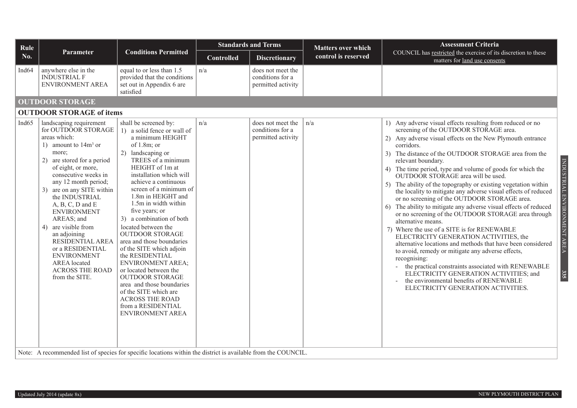| Rule              |                                                                                                                                                                                                                                                                                                                                                                                                                                                                                   |                                                                                                                                                                                                                                                                                                                                                                                                                                                                                                                                                                                                                                                                                    |                   | <b>Standards and Terms</b>                                  | <b>Matters over which</b> | <b>Assessment Criteria</b>                                                                                                                                                                                                                                                                                                                                                                                                                                                                                                                                                                                                                                                                                                                                                                                                                                                                                                                                                                                                                                                                                                                                      |
|-------------------|-----------------------------------------------------------------------------------------------------------------------------------------------------------------------------------------------------------------------------------------------------------------------------------------------------------------------------------------------------------------------------------------------------------------------------------------------------------------------------------|------------------------------------------------------------------------------------------------------------------------------------------------------------------------------------------------------------------------------------------------------------------------------------------------------------------------------------------------------------------------------------------------------------------------------------------------------------------------------------------------------------------------------------------------------------------------------------------------------------------------------------------------------------------------------------|-------------------|-------------------------------------------------------------|---------------------------|-----------------------------------------------------------------------------------------------------------------------------------------------------------------------------------------------------------------------------------------------------------------------------------------------------------------------------------------------------------------------------------------------------------------------------------------------------------------------------------------------------------------------------------------------------------------------------------------------------------------------------------------------------------------------------------------------------------------------------------------------------------------------------------------------------------------------------------------------------------------------------------------------------------------------------------------------------------------------------------------------------------------------------------------------------------------------------------------------------------------------------------------------------------------|
| No.               | Parameter                                                                                                                                                                                                                                                                                                                                                                                                                                                                         | <b>Conditions Permitted</b>                                                                                                                                                                                                                                                                                                                                                                                                                                                                                                                                                                                                                                                        | <b>Controlled</b> | <b>Discretionary</b>                                        | control is reserved       | COUNCIL has restricted the exercise of its discretion to these<br>matters for land use consents                                                                                                                                                                                                                                                                                                                                                                                                                                                                                                                                                                                                                                                                                                                                                                                                                                                                                                                                                                                                                                                                 |
| Ind <sub>64</sub> | anywhere else in the<br><b>INDUSTRIAL F</b><br>ENVIRONMENT AREA                                                                                                                                                                                                                                                                                                                                                                                                                   | equal to or less than 1.5<br>provided that the conditions<br>set out in Appendix 6 are<br>satisfied                                                                                                                                                                                                                                                                                                                                                                                                                                                                                                                                                                                | n/a               | does not meet the<br>conditions for a<br>permitted activity |                           |                                                                                                                                                                                                                                                                                                                                                                                                                                                                                                                                                                                                                                                                                                                                                                                                                                                                                                                                                                                                                                                                                                                                                                 |
|                   | <b>OUTDOOR STORAGE</b>                                                                                                                                                                                                                                                                                                                                                                                                                                                            |                                                                                                                                                                                                                                                                                                                                                                                                                                                                                                                                                                                                                                                                                    |                   |                                                             |                           |                                                                                                                                                                                                                                                                                                                                                                                                                                                                                                                                                                                                                                                                                                                                                                                                                                                                                                                                                                                                                                                                                                                                                                 |
|                   | <b>OUTDOOR STORAGE of items</b>                                                                                                                                                                                                                                                                                                                                                                                                                                                   |                                                                                                                                                                                                                                                                                                                                                                                                                                                                                                                                                                                                                                                                                    |                   |                                                             |                           |                                                                                                                                                                                                                                                                                                                                                                                                                                                                                                                                                                                                                                                                                                                                                                                                                                                                                                                                                                                                                                                                                                                                                                 |
| Ind $65$          | landscaping requirement<br>for OUTDOOR STORAGE<br>areas which:<br>1) amount to $14m3$ or<br>more;<br>2) are stored for a period<br>of eight, or more,<br>consecutive weeks in<br>any 12 month period;<br>3) are on any SITE within<br>the INDUSTRIAL<br>$A, B, C, D$ and $E$<br><b>ENVIRONMENT</b><br>AREAS; and<br>4) are visible from<br>an adjoining<br>RESIDENTIAL AREA<br>or a RESIDENTIAL<br><b>ENVIRONMENT</b><br>AREA located<br><b>ACROSS THE ROAD</b><br>from the SITE. | shall be screened by:<br>1) a solid fence or wall of<br>a minimum HEIGHT<br>of $1.8m$ ; or<br>2)<br>landscaping or<br>TREES of a minimum<br>HEIGHT of 1m at<br>installation which will<br>achieve a continuous<br>screen of a minimum of<br>1.8m in HEIGHT and<br>1.5m in width within<br>five years; or<br>3) a combination of both<br>located between the<br><b>OUTDOOR STORAGE</b><br>area and those boundaries<br>of the SITE which adjoin<br>the RESIDENTIAL<br><b>ENVIRONMENT AREA;</b><br>or located between the<br><b>OUTDOOR STORAGE</b><br>area and those boundaries<br>of the SITE which are<br><b>ACROSS THE ROAD</b><br>from a RESIDENTIAL<br><b>ENVIRONMENT AREA</b> | n/a               | does not meet the<br>conditions for a<br>permitted activity | n/a                       | 1) Any adverse visual effects resulting from reduced or no<br>screening of the OUTDOOR STORAGE area.<br>2) Any adverse visual effects on the New Plymouth entrance<br>corridors.<br>3) The distance of the OUTDOOR STORAGE area from the<br>INDUSTRIAL ENVIRONMENT AREA<br>relevant boundary.<br>4) The time period, type and volume of goods for which the<br>OUTDOOR STORAGE area will be used.<br>5) The ability of the topography or existing vegetation within<br>the locality to mitigate any adverse visual effects of reduced<br>or no screening of the OUTDOOR STORAGE area.<br>The ability to mitigate any adverse visual effects of reduced<br>6)<br>or no screening of the OUTDOOR STORAGE area through<br>alternative means.<br>7) Where the use of a SITE is for RENEWABLE<br>ELECTRICITY GENERATION ACTIVITIES, the<br>alternative locations and methods that have been considered<br>to avoid, remedy or mitigate any adverse effects,<br>recognising:<br>the practical constraints associated with RENEWABLE<br>335<br>ELECTRICITY GENERATION ACTIVITIES; and<br>the environmental benefits of RENEWABLE<br>ELECTRICITY GENERATION ACTIVITIES. |
|                   | Note: A recommended list of species for specific locations within the district is available from the COUNCIL.                                                                                                                                                                                                                                                                                                                                                                     |                                                                                                                                                                                                                                                                                                                                                                                                                                                                                                                                                                                                                                                                                    |                   |                                                             |                           |                                                                                                                                                                                                                                                                                                                                                                                                                                                                                                                                                                                                                                                                                                                                                                                                                                                                                                                                                                                                                                                                                                                                                                 |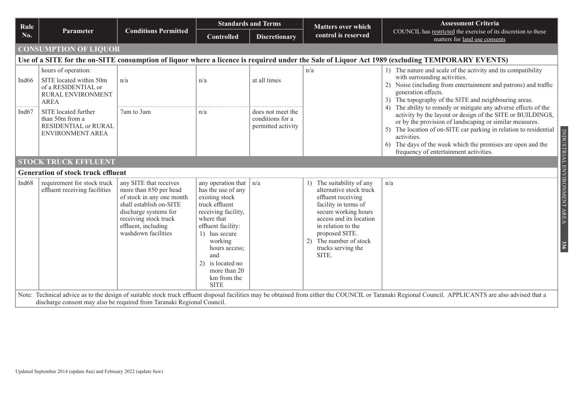| Rule              |                                                                                                           |                                                                                                                                                                                                          |                                                                                                                                                                                                                                                               | <b>Standards and Terms</b><br><b>Matters over which</b>     | <b>Assessment Criteria</b>                                                                                                                                                                                                                             |                                                                                                                                                                                                                                                                                                                                                                                      |                                                                                                                                                                                           |
|-------------------|-----------------------------------------------------------------------------------------------------------|----------------------------------------------------------------------------------------------------------------------------------------------------------------------------------------------------------|---------------------------------------------------------------------------------------------------------------------------------------------------------------------------------------------------------------------------------------------------------------|-------------------------------------------------------------|--------------------------------------------------------------------------------------------------------------------------------------------------------------------------------------------------------------------------------------------------------|--------------------------------------------------------------------------------------------------------------------------------------------------------------------------------------------------------------------------------------------------------------------------------------------------------------------------------------------------------------------------------------|-------------------------------------------------------------------------------------------------------------------------------------------------------------------------------------------|
| No.               | <b>Parameter</b>                                                                                          | <b>Conditions Permitted</b>                                                                                                                                                                              | <b>Controlled</b>                                                                                                                                                                                                                                             | <b>Discretionary</b>                                        | control is reserved                                                                                                                                                                                                                                    | COUNCIL has restricted the exercise of its discretion to these<br>matters for land use consents                                                                                                                                                                                                                                                                                      |                                                                                                                                                                                           |
|                   | <b>CONSUMPTION OF LIQUOR</b>                                                                              |                                                                                                                                                                                                          |                                                                                                                                                                                                                                                               |                                                             |                                                                                                                                                                                                                                                        |                                                                                                                                                                                                                                                                                                                                                                                      |                                                                                                                                                                                           |
|                   |                                                                                                           |                                                                                                                                                                                                          |                                                                                                                                                                                                                                                               |                                                             |                                                                                                                                                                                                                                                        | Use of a SITE for the on-SITE consumption of liquor where a licence is required under the Sale of Liquor Act 1989 (excluding TEMPORARY EVENTS)                                                                                                                                                                                                                                       |                                                                                                                                                                                           |
| Ind <sub>66</sub> | hours of operation:<br>SITE located within 50m<br>of a RESIDENTIAL or<br>RURAL ENVIRONMENT<br><b>AREA</b> | n/a                                                                                                                                                                                                      | n/a                                                                                                                                                                                                                                                           | at all times                                                | n/a                                                                                                                                                                                                                                                    | with surrounding activities.<br>generation effects.                                                                                                                                                                                                                                                                                                                                  | 1) The nature and scale of the activity and its compatibility<br>2) Noise (including from entertainment and patrons) and traffic<br>3) The topography of the SITE and neighbouring areas. |
| Ind <sub>67</sub> | SITE located further<br>than 50m from a<br><b>RESIDENTIAL or RURAL</b><br><b>ENVIRONMENT AREA</b>         | 7am to 3am                                                                                                                                                                                               | n/a                                                                                                                                                                                                                                                           | does not meet the<br>conditions for a<br>permitted activity |                                                                                                                                                                                                                                                        | 4) The ability to remedy or mitigate any adverse effects of the<br>activity by the layout or design of the SITE or BUILDINGS,<br>or by the provision of landscaping or similar measures.<br>The location of on-SITE car parking in relation to residential<br>activities.<br>The days of the week which the premises are open and the<br>6<br>frequency of entertainment activities. |                                                                                                                                                                                           |
|                   | <b>STOCK TRUCK EFFLUENT</b>                                                                               |                                                                                                                                                                                                          |                                                                                                                                                                                                                                                               |                                                             |                                                                                                                                                                                                                                                        |                                                                                                                                                                                                                                                                                                                                                                                      |                                                                                                                                                                                           |
|                   | <b>Generation of stock truck effluent</b>                                                                 |                                                                                                                                                                                                          |                                                                                                                                                                                                                                                               |                                                             |                                                                                                                                                                                                                                                        |                                                                                                                                                                                                                                                                                                                                                                                      |                                                                                                                                                                                           |
| Ind68             | requirement for stock truck<br>effluent receiving facilities                                              | any SITE that receives<br>more than 850 per head<br>of stock in any one month<br>shall establish on-SITE<br>discharge systems for<br>receiving stock truck<br>effluent, including<br>washdown facilities | any operation that<br>has the use of any<br>existing stock<br>truck effluent<br>receiving facility,<br>where that<br>effluent facility:<br>1) has secure<br>working<br>hours access:<br>and<br>2) is located no<br>more than 20<br>km from the<br><b>SITE</b> | n/a                                                         | The suitability of any<br>alternative stock truck<br>effluent receiving<br>facility in terms of<br>secure working hours<br>access and its location<br>in relation to the<br>proposed SITE.<br>The number of stock<br>2)<br>trucks serving the<br>SITE. | n/a                                                                                                                                                                                                                                                                                                                                                                                  |                                                                                                                                                                                           |
|                   | discharge consent may also be required from Taranaki Regional Council.                                    |                                                                                                                                                                                                          |                                                                                                                                                                                                                                                               |                                                             |                                                                                                                                                                                                                                                        | Note: Technical advice as to the design of suitable stock truck effluent disposal facilities may be obtained from either the COUNCIL or Taranaki Regional Council. APPLICANTS are also advised that a                                                                                                                                                                                |                                                                                                                                                                                           |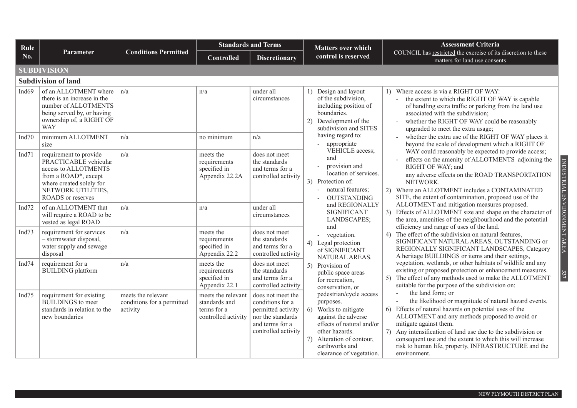| Rule     |                                                                                                                                                                        |                                                              | <b>Standards and Terms</b>                                                |                                                                                                                            | <b>Matters over which</b>                                                                                                                                                                                       | <b>Assessment Criteria</b>                                                                                                                                                                                                                                                                                                                                                                                            |                  |                                                                                                                                                                                                                                                |
|----------|------------------------------------------------------------------------------------------------------------------------------------------------------------------------|--------------------------------------------------------------|---------------------------------------------------------------------------|----------------------------------------------------------------------------------------------------------------------------|-----------------------------------------------------------------------------------------------------------------------------------------------------------------------------------------------------------------|-----------------------------------------------------------------------------------------------------------------------------------------------------------------------------------------------------------------------------------------------------------------------------------------------------------------------------------------------------------------------------------------------------------------------|------------------|------------------------------------------------------------------------------------------------------------------------------------------------------------------------------------------------------------------------------------------------|
| No.      | <b>Parameter</b>                                                                                                                                                       | <b>Conditions Permitted</b>                                  | <b>Controlled</b>                                                         | <b>Discretionary</b>                                                                                                       | control is reserved                                                                                                                                                                                             | COUNCIL has restricted the exercise of its discretion to these<br>matters for land use consents                                                                                                                                                                                                                                                                                                                       |                  |                                                                                                                                                                                                                                                |
|          | <b>SUBDIVISION</b>                                                                                                                                                     |                                                              |                                                                           |                                                                                                                            |                                                                                                                                                                                                                 |                                                                                                                                                                                                                                                                                                                                                                                                                       |                  |                                                                                                                                                                                                                                                |
|          | <b>Subdivision of land</b>                                                                                                                                             |                                                              |                                                                           |                                                                                                                            |                                                                                                                                                                                                                 |                                                                                                                                                                                                                                                                                                                                                                                                                       |                  |                                                                                                                                                                                                                                                |
| Ind69    | of an ALLOTMENT where<br>there is an increase in the<br>number of ALLOTMENTS<br>being served by, or having<br>ownership of, a RIGHT OF<br><b>WAY</b>                   | $\ln/a$                                                      | n/a                                                                       | under all<br>circumstances                                                                                                 | 1) Design and layout<br>of the subdivision,<br>including position of<br>boundaries.<br>2) Development of the<br>subdivision and SITES                                                                           | 1) Where access is via a RIGHT OF WAY:<br>the extent to which the RIGHT OF WAY is capable<br>of handling extra traffic or parking from the land use<br>associated with the subdivision;<br>whether the RIGHT OF WAY could be reasonably<br>upgraded to meet the extra usage;                                                                                                                                          |                  |                                                                                                                                                                                                                                                |
| Ind70    | minimum ALLOTMENT<br>size                                                                                                                                              | n/a                                                          | no minimum                                                                | n/a                                                                                                                        | having regard to:<br>appropriate                                                                                                                                                                                | whether the extra use of the RIGHT OF WAY places it<br>beyond the scale of development which a RIGHT OF                                                                                                                                                                                                                                                                                                               |                  |                                                                                                                                                                                                                                                |
| Ind $71$ | requirement to provide<br>PRACTICABLE vehicular<br>access to ALLOTMENTS<br>from a ROAD*, except<br>where created solely for<br>NETWORK UTILITIES,<br>ROADS or reserves | n/a                                                          | meets the<br>requirements<br>specified in<br>Appendix 22.2A               | does not meet<br>the standards<br>and terms for a<br>controlled activity                                                   | VEHICLE access;<br>and<br>provision and<br>location of services.<br>3) Protection of:<br>natural features;<br>$\sim$<br><b>OUTSTANDING</b>                                                                      | WAY could reasonably be expected to provide access;<br>effects on the amenity of ALLOTMENTS adjoining the<br>INDUSTRIAL ENVIRONMENT AREA<br>RIGHT OF WAY; and<br>any adverse effects on the ROAD TRANSPORTATION<br>NETWORK.<br>2) Where an ALLOTMENT includes a CONTAMINATED<br>SITE, the extent of contamination, proposed use of the                                                                                |                  |                                                                                                                                                                                                                                                |
| Ind $72$ | of an ALLOTMENT that<br>will require a ROAD to be<br>vested as legal ROAD                                                                                              | n/a                                                          | n/a                                                                       | under all<br>circumstances                                                                                                 | and REGIONALLY<br><b>SIGNIFICANT</b><br>LANDSCAPES;                                                                                                                                                             | ALLOTMENT and mitigation measures proposed.<br>3) Effects of ALLOTMENT size and shape on the character of<br>the area, amenities of the neighbourhood and the potential                                                                                                                                                                                                                                               |                  |                                                                                                                                                                                                                                                |
| Ind $73$ | requirement for services<br>- stormwater disposal,<br>water supply and sewage<br>disposal                                                                              | n/a                                                          | meets the<br>requirements<br>specified in<br>Appendix 22.2                | does not meet<br>the standards<br>and terms for a<br>controlled activity                                                   | and<br>- vegetation.<br>4) Legal protection<br>of SIGNIFICANT                                                                                                                                                   | efficiency and range of uses of the land.<br>4) The effect of the subdivision on natural features,<br>SIGNIFICANT NATURAL AREAS, OUTSTANDING or<br>REGIONALLY SIGNIFICANT LANDSCAPES, Category<br>A heritage BUILDINGS or items and their settings,                                                                                                                                                                   |                  |                                                                                                                                                                                                                                                |
| Ind $74$ | requirement for a<br><b>BUILDING</b> platform                                                                                                                          | n/a                                                          | meets the<br>requirements<br>specified in<br>Appendix 22.1                | does not meet<br>the standards<br>and terms for a<br>controlled activity                                                   | NATURAL AREAS.<br>public space areas<br>for recreation,                                                                                                                                                         | 5) Provision of                                                                                                                                                                                                                                                                                                                                                                                                       | conservation, or | vegetation, wetlands, or other habitats of wildlife and any<br>existing or proposed protection or enhancement measures.<br>$337$<br>5) The effect of any methods used to make the ALLOTMENT<br>suitable for the purpose of the subdivision on: |
| Ind $75$ | requirement for existing<br><b>BUILDINGS</b> to meet<br>standards in relation to the<br>new boundaries                                                                 | meets the relevant<br>conditions for a permitted<br>activity | meets the relevant<br>standards and<br>terms for a<br>controlled activity | does not meet the<br>conditions for a<br>permitted activity<br>nor the standards<br>and terms for a<br>controlled activity | pedestrian/cycle access<br>purposes.<br>Works to mitigate<br>6<br>against the adverse<br>effects of natural and/or<br>other hazards.<br>7) Alteration of contour,<br>earthworks and<br>clearance of vegetation. | the land form; or<br>the likelihood or magnitude of natural hazard events.<br>6) Effects of natural hazards on potential uses of the<br>ALLOTMENT and any methods proposed to avoid or<br>mitigate against them.<br>7) Any intensification of land use due to the subdivision or<br>consequent use and the extent to which this will increase<br>risk to human life, property, INFRASTRUCTURE and the<br>environment. |                  |                                                                                                                                                                                                                                                |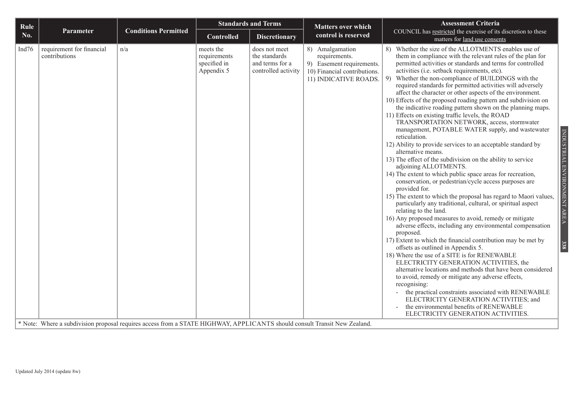| Rule<br><b>Matters over which</b><br><b>Conditions Permitted</b><br>Parameter<br>COUNCIL has restricted the exercise of its discretion to these<br>control is reserved<br>No.<br><b>Controlled</b><br><b>Discretionary</b><br>matters for land use consents<br>Whether the size of the ALLOTMENTS enables use of<br>Ind76<br>requirement for financial<br>meets the<br>does not meet<br>8) Amalgamation<br>n/a<br>8)<br>contributions<br>the standards<br>requirements.<br>them in compliance with the relevant rules of the plan for<br>requirements<br>specified in<br>and terms for a<br>permitted activities or standards and terms for controlled<br>9) Easement requirements.<br>Appendix 5<br>controlled activity<br>activities (i.e. setback requirements, etc).<br>10) Financial contributions.<br>Whether the non-compliance of BUILDINGS with the<br>9)<br>11) INDICATIVE ROADS.                                                                                                                                                                                                                                                                                                                                                                                                                                                                                                                                                                                                                                                                                                                                                                                                             |  |
|---------------------------------------------------------------------------------------------------------------------------------------------------------------------------------------------------------------------------------------------------------------------------------------------------------------------------------------------------------------------------------------------------------------------------------------------------------------------------------------------------------------------------------------------------------------------------------------------------------------------------------------------------------------------------------------------------------------------------------------------------------------------------------------------------------------------------------------------------------------------------------------------------------------------------------------------------------------------------------------------------------------------------------------------------------------------------------------------------------------------------------------------------------------------------------------------------------------------------------------------------------------------------------------------------------------------------------------------------------------------------------------------------------------------------------------------------------------------------------------------------------------------------------------------------------------------------------------------------------------------------------------------------------------------------------------------------------|--|
|                                                                                                                                                                                                                                                                                                                                                                                                                                                                                                                                                                                                                                                                                                                                                                                                                                                                                                                                                                                                                                                                                                                                                                                                                                                                                                                                                                                                                                                                                                                                                                                                                                                                                                         |  |
| required standards for permitted activities will adversely<br>affect the character or other aspects of the environment.<br>10) Effects of the proposed roading pattern and subdivision on<br>the indicative roading pattern shown on the planning maps.<br>11) Effects on existing traffic levels, the ROAD<br>TRANSPORTATION NETWORK, access, stormwater<br>management, POTABLE WATER supply, and wastewater<br>reticulation.<br>12) Ability to provide services to an acceptable standard by<br>alternative means.<br>13) The effect of the subdivision on the ability to service<br>adjoining ALLOTMENTS.<br>14) The extent to which public space areas for recreation,<br>conservation, or pedestrian/cycle access purposes are<br>provided for.<br>15) The extent to which the proposal has regard to Maori values,<br>particularly any traditional, cultural, or spiritual aspect<br>relating to the land.<br>16) Any proposed measures to avoid, remedy or mitigate<br>adverse effects, including any environmental compensation<br>proposed.<br>17) Extent to which the financial contribution may be met by<br>offsets as outlined in Appendix 5.<br>18) Where the use of a SITE is for RENEWABLE<br>ELECTRICITY GENERATION ACTIVITIES, the<br>alternative locations and methods that have been considered<br>to avoid, remedy or mitigate any adverse effects,<br>recognising:<br>the practical constraints associated with RENEWABLE<br>ELECTRICITY GENERATION ACTIVITIES; and<br>the environmental benefits of RENEWABLE<br>ELECTRICITY GENERATION ACTIVITIES.<br>* Note: Where a subdivision proposal requires access from a STATE HIGHWAY, APPLICANTS should consult Transit New Zealand. |  |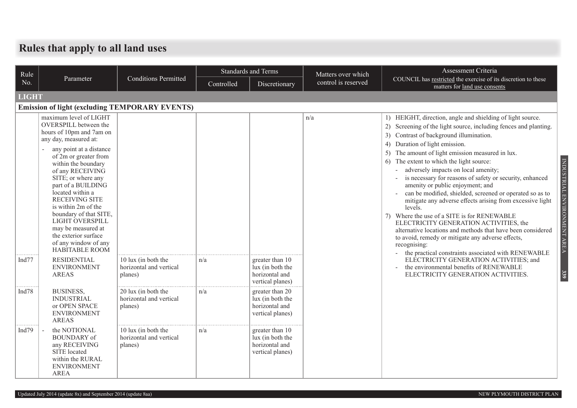## **Rules that apply to all land uses**

| Rule         |                                                                                                                                                                                                                                                                                                                                                                                                                                                                                       |                                                           |            | <b>Standards and Terms</b>                                                | Matters over which  | Assessment Criteria                                                                                                                                                                                                                                                                                                                                                                                                                                                                                                                                                                                                                                                                                                                                                                                                                                                                                                                                           |  |  |  |  |  |  |
|--------------|---------------------------------------------------------------------------------------------------------------------------------------------------------------------------------------------------------------------------------------------------------------------------------------------------------------------------------------------------------------------------------------------------------------------------------------------------------------------------------------|-----------------------------------------------------------|------------|---------------------------------------------------------------------------|---------------------|---------------------------------------------------------------------------------------------------------------------------------------------------------------------------------------------------------------------------------------------------------------------------------------------------------------------------------------------------------------------------------------------------------------------------------------------------------------------------------------------------------------------------------------------------------------------------------------------------------------------------------------------------------------------------------------------------------------------------------------------------------------------------------------------------------------------------------------------------------------------------------------------------------------------------------------------------------------|--|--|--|--|--|--|
| No.          | Parameter                                                                                                                                                                                                                                                                                                                                                                                                                                                                             | <b>Conditions Permitted</b>                               | Controlled | Discretionary                                                             | control is reserved | COUNCIL has restricted the exercise of its discretion to these<br>matters for land use consents                                                                                                                                                                                                                                                                                                                                                                                                                                                                                                                                                                                                                                                                                                                                                                                                                                                               |  |  |  |  |  |  |
| <b>LIGHT</b> |                                                                                                                                                                                                                                                                                                                                                                                                                                                                                       |                                                           |            |                                                                           |                     |                                                                                                                                                                                                                                                                                                                                                                                                                                                                                                                                                                                                                                                                                                                                                                                                                                                                                                                                                               |  |  |  |  |  |  |
|              | <b>Emission of light (excluding TEMPORARY EVENTS)</b>                                                                                                                                                                                                                                                                                                                                                                                                                                 |                                                           |            |                                                                           |                     |                                                                                                                                                                                                                                                                                                                                                                                                                                                                                                                                                                                                                                                                                                                                                                                                                                                                                                                                                               |  |  |  |  |  |  |
| Ind $77$     | maximum level of LIGHT<br>OVERSPILL between the<br>hours of 10pm and 7am on<br>any day, measured at:<br>any point at a distance<br>of 2m or greater from<br>within the boundary<br>of any RECEIVING<br>SITE; or where any<br>part of a BUILDING<br>located within a<br><b>RECEIVING SITE</b><br>is within 2m of the<br>boundary of that SITE,<br>LIGHT OVERSPILL<br>may be measured at<br>the exterior surface<br>of any window of any<br><b>HABITABLE ROOM</b><br><b>RESIDENTIAL</b> | 10 lux (in both the                                       | n/a        | greater than 10                                                           | n/a                 | 1) HEIGHT, direction, angle and shielding of light source.<br>2) Screening of the light source, including fences and planting.<br>3) Contrast of background illumination.<br>4) Duration of light emission.<br>The amount of light emission measured in lux.<br>INDUSTRIAL ENVIRONMENT AREA<br>The extent to which the light source:<br>6)<br>adversely impacts on local amenity;<br>is necessary for reasons of safety or security, enhanced<br>amenity or public enjoyment; and<br>can be modified, shielded, screened or operated so as to<br>mitigate any adverse effects arising from excessive light<br>levels.<br>7) Where the use of a SITE is for RENEWABLE<br>ELECTRICITY GENERATION ACTIVITIES, the<br>alternative locations and methods that have been considered<br>to avoid, remedy or mitigate any adverse effects,<br>recognising:<br>the practical constraints associated with RENEWABLE<br>$\sim$<br>ELECTRICITY GENERATION ACTIVITIES; and |  |  |  |  |  |  |
|              | <b>ENVIRONMENT</b><br><b>AREAS</b>                                                                                                                                                                                                                                                                                                                                                                                                                                                    | horizontal and vertical<br>planes)                        |            | lux (in both the<br>horizontal and<br>vertical planes)                    |                     | the environmental benefits of RENEWABLE<br>339<br>ELECTRICITY GENERATION ACTIVITIES.                                                                                                                                                                                                                                                                                                                                                                                                                                                                                                                                                                                                                                                                                                                                                                                                                                                                          |  |  |  |  |  |  |
| Ind78        | <b>BUSINESS,</b><br><b>INDUSTRIAL</b><br>or OPEN SPACE<br><b>ENVIRONMENT</b><br><b>AREAS</b>                                                                                                                                                                                                                                                                                                                                                                                          | 20 lux (in both the<br>horizontal and vertical<br>planes) | n/a        | greater than 20<br>lux (in both the<br>horizontal and<br>vertical planes) |                     |                                                                                                                                                                                                                                                                                                                                                                                                                                                                                                                                                                                                                                                                                                                                                                                                                                                                                                                                                               |  |  |  |  |  |  |
| Ind $79$     | the NOTIONAL<br><b>BOUNDARY</b> of<br>any RECEIVING<br>SITE located<br>within the RURAL<br><b>ENVIRONMENT</b><br><b>AREA</b>                                                                                                                                                                                                                                                                                                                                                          | 10 lux (in both the<br>horizontal and vertical<br>planes) | n/a        | greater than 10<br>lux (in both the<br>horizontal and<br>vertical planes) |                     |                                                                                                                                                                                                                                                                                                                                                                                                                                                                                                                                                                                                                                                                                                                                                                                                                                                                                                                                                               |  |  |  |  |  |  |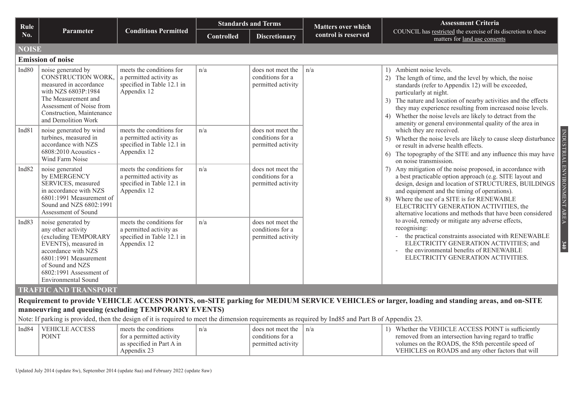| Rule              |                                                                                                                                                                                                                       |                                                                                                  |                   | <b>Standards and Terms</b>                                  | <b>Matters over which</b> | <b>Assessment Criteria</b>                                                                                                                                                                                                                                                                                                                                                                                                     |
|-------------------|-----------------------------------------------------------------------------------------------------------------------------------------------------------------------------------------------------------------------|--------------------------------------------------------------------------------------------------|-------------------|-------------------------------------------------------------|---------------------------|--------------------------------------------------------------------------------------------------------------------------------------------------------------------------------------------------------------------------------------------------------------------------------------------------------------------------------------------------------------------------------------------------------------------------------|
| No.               | Parameter                                                                                                                                                                                                             | <b>Conditions Permitted</b>                                                                      | <b>Controlled</b> | <b>Discretionary</b>                                        | control is reserved       | COUNCIL has restricted the exercise of its discretion to these<br>matters for land use consents                                                                                                                                                                                                                                                                                                                                |
| <b>NOISE</b>      |                                                                                                                                                                                                                       |                                                                                                  |                   |                                                             |                           |                                                                                                                                                                                                                                                                                                                                                                                                                                |
|                   | <b>Emission of noise</b>                                                                                                                                                                                              |                                                                                                  |                   |                                                             |                           |                                                                                                                                                                                                                                                                                                                                                                                                                                |
| Ind <sub>80</sub> | noise generated by<br>CONSTRUCTION WORK,<br>measured in accordance<br>with NZS 6803P:1984<br>The Measurement and<br>Assessment of Noise from<br>Construction, Maintenance<br>and Demolition Work                      | meets the conditions for<br>a permitted activity as<br>specified in Table 12.1 in<br>Appendix 12 | n/a               | does not meet the<br>conditions for a<br>permitted activity | n/a                       | 1) Ambient noise levels.<br>2) The length of time, and the level by which, the noise<br>standards (refer to Appendix 12) will be exceeded,<br>particularly at night.<br>3) The nature and location of nearby activities and the effects<br>they may experience resulting from increased noise levels.<br>4) Whether the noise levels are likely to detract from the<br>amenity or general environmental quality of the area in |
| Ind81             | noise generated by wind<br>turbines, measured in<br>accordance with NZS<br>$6808:2010$ Acoustics -<br>Wind Farm Noise                                                                                                 | meets the conditions for<br>a permitted activity as<br>specified in Table 12.1 in<br>Appendix 12 | n/a               | does not meet the<br>conditions for a<br>permitted activity |                           | which they are received.<br>Whether the noise levels are likely to cause sleep disturbance<br>5)<br>or result in adverse health effects.<br>The topography of the SITE and any influence this may have<br>6)<br>on noise transmission.                                                                                                                                                                                         |
| Ind82             | noise generated<br>by EMERGENCY<br>SERVICES, measured<br>in accordance with NZS<br>6801:1991 Measurement of<br>Sound and NZS 6802:1991<br>Assessment of Sound                                                         | meets the conditions for<br>a permitted activity as<br>specified in Table 12.1 in<br>Appendix 12 | n/a               | does not meet the<br>conditions for a<br>permitted activity |                           | <b>ENVIRONMEN</b><br>Any mitigation of the noise proposed, in accordance with<br>7)<br>a best practicable option approach (e.g. SITE layout and<br>design, design and location of STRUCTURES, BUILDINGS<br>and equipment and the timing of operations).<br>Where the use of a SITE is for RENEWABLE<br>8)<br>ELECTRICITY GENERATION ACTIVITIES, the<br>alternative locations and methods that have been considered             |
| Ind83             | noise generated by<br>any other activity<br>(excluding TEMPORARY<br>EVENTS), measured in<br>accordance with NZS<br>6801:1991 Measurement<br>of Sound and NZS<br>6802:1991 Assessment of<br><b>Environmental Sound</b> | meets the conditions for<br>a permitted activity as<br>specified in Table 12.1 in<br>Appendix 12 | n/a               | does not meet the<br>conditions for a<br>permitted activity |                           | to avoid, remedy or mitigate any adverse effects,<br>recognising:<br>the practical constraints associated with RENEWABLE<br>ELECTRICITY GENERATION ACTIVITIES; and<br>140<br>the environmental benefits of RENEWABLE<br>ELECTRICITY GENERATION ACTIVITIES.                                                                                                                                                                     |
|                   | <b>TRAFFIC AND TRANSPORT</b>                                                                                                                                                                                          |                                                                                                  |                   |                                                             |                           |                                                                                                                                                                                                                                                                                                                                                                                                                                |
|                   |                                                                                                                                                                                                                       |                                                                                                  |                   |                                                             |                           | Requirement to provide VEHICLE ACCESS POINTS, on-SITE parking for MEDIUM SERVICE VEHICLES or larger, loading and standing areas, and on-SITE                                                                                                                                                                                                                                                                                   |
|                   | manoeuvring and queuing (excluding TEMPORARY EVENTS)                                                                                                                                                                  |                                                                                                  |                   |                                                             |                           |                                                                                                                                                                                                                                                                                                                                                                                                                                |
|                   | Note: If parking is provided, then the design of it is required to meet the dimension requirements as required by Ind85 and Part B of Appendix 23.                                                                    |                                                                                                  |                   |                                                             |                           |                                                                                                                                                                                                                                                                                                                                                                                                                                |
| Ind84             | <b>VEHICLE ACCESS</b><br><b>POINT</b>                                                                                                                                                                                 | meets the conditions<br>for a permitted activity<br>as specified in Part A in                    | n/a               | does not meet the<br>conditions for a<br>permitted activity | n/a                       | 1) Whether the VEHICLE ACCESS POINT is sufficiently<br>removed from an intersection having regard to traffic<br>volumes on the ROADS, the 85th percentile speed of                                                                                                                                                                                                                                                             |

VEHICLES on ROADS and any other factors that will

Appendix 23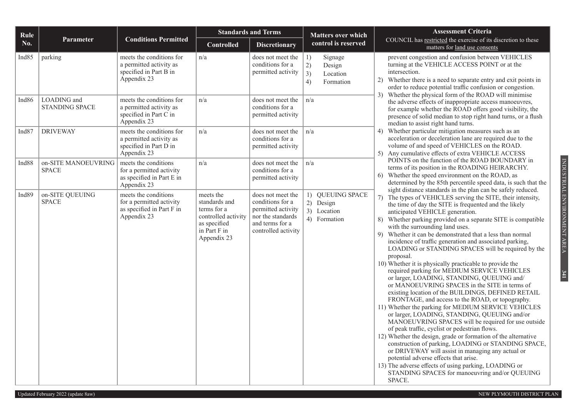| Rule              |                                      |                                                                                              |                                                                                                                 | <b>Standards and Terms</b>                                                                                                 | <b>Matters over which</b>                                          | <b>Assessment Criteria</b>                                                                                                                                                                                                                                                                                                                                                                                                                                                                                                                                                                                                                                                                                                                                                                                                                                                                                                                                                                                                                                                                                                                                                                                                                                                                                                         |  |  |  |  |  |  |
|-------------------|--------------------------------------|----------------------------------------------------------------------------------------------|-----------------------------------------------------------------------------------------------------------------|----------------------------------------------------------------------------------------------------------------------------|--------------------------------------------------------------------|------------------------------------------------------------------------------------------------------------------------------------------------------------------------------------------------------------------------------------------------------------------------------------------------------------------------------------------------------------------------------------------------------------------------------------------------------------------------------------------------------------------------------------------------------------------------------------------------------------------------------------------------------------------------------------------------------------------------------------------------------------------------------------------------------------------------------------------------------------------------------------------------------------------------------------------------------------------------------------------------------------------------------------------------------------------------------------------------------------------------------------------------------------------------------------------------------------------------------------------------------------------------------------------------------------------------------------|--|--|--|--|--|--|
| No.               | Parameter                            | <b>Conditions Permitted</b>                                                                  | <b>Controlled</b>                                                                                               | <b>Discretionary</b>                                                                                                       | control is reserved                                                | COUNCIL has restricted the exercise of its discretion to these<br>matters for land use consents                                                                                                                                                                                                                                                                                                                                                                                                                                                                                                                                                                                                                                                                                                                                                                                                                                                                                                                                                                                                                                                                                                                                                                                                                                    |  |  |  |  |  |  |
| Ind85             | parking                              | meets the conditions for<br>a permitted activity as<br>specified in Part B in<br>Appendix 23 | n/a                                                                                                             | does not meet the<br>conditions for a<br>permitted activity                                                                | 1)<br>Signage<br>2)<br>Design<br>3)<br>Location<br>4)<br>Formation | prevent congestion and confusion between VEHICLES<br>turning at the VEHICLE ACCESS POINT or at the<br>intersection.<br>2) Whether there is a need to separate entry and exit points in<br>order to reduce potential traffic confusion or congestion.<br>3) Whether the physical form of the ROAD will minimise                                                                                                                                                                                                                                                                                                                                                                                                                                                                                                                                                                                                                                                                                                                                                                                                                                                                                                                                                                                                                     |  |  |  |  |  |  |
| Ind <sub>86</sub> | LOADING and<br><b>STANDING SPACE</b> | meets the conditions for<br>a permitted activity as<br>specified in Part C in<br>Appendix 23 | n/a                                                                                                             | does not meet the<br>conditions for a<br>permitted activity                                                                | n/a                                                                | the adverse effects of inappropriate access manoeuvres,<br>for example whether the ROAD offers good visibility, the<br>presence of solid median to stop right hand turns, or a flush<br>median to assist right hand turns.                                                                                                                                                                                                                                                                                                                                                                                                                                                                                                                                                                                                                                                                                                                                                                                                                                                                                                                                                                                                                                                                                                         |  |  |  |  |  |  |
| Ind <sub>87</sub> | <b>DRIVEWAY</b>                      | meets the conditions for<br>a permitted activity as<br>specified in Part D in<br>Appendix 23 | n/a                                                                                                             | does not meet the<br>conditions for a<br>permitted activity                                                                | n/a                                                                | 4) Whether particular mitigation measures such as an<br>acceleration or deceleration lane are required due to the<br>volume of and speed of VEHICLES on the ROAD.<br>5) Any cumulative effects of extra VEHICLE ACCESS                                                                                                                                                                                                                                                                                                                                                                                                                                                                                                                                                                                                                                                                                                                                                                                                                                                                                                                                                                                                                                                                                                             |  |  |  |  |  |  |
| Ind88             | on-SITE MANOEUVRING<br><b>SPACE</b>  | meets the conditions<br>for a permitted activity<br>as specified in Part E in<br>Appendix 23 | n/a                                                                                                             | does not meet the<br>conditions for a<br>permitted activity                                                                | n/a                                                                | POINTS on the function of the ROAD BOUNDARY in<br>terms of its position in the ROADING HEIRARCHY.<br>6) Whether the speed environment on the ROAD, as<br>determined by the 85th percentile speed data, is such that the<br>sight distance standards in the plan can be safely reduced.                                                                                                                                                                                                                                                                                                                                                                                                                                                                                                                                                                                                                                                                                                                                                                                                                                                                                                                                                                                                                                             |  |  |  |  |  |  |
| Ind <sub>89</sub> | on-SITE QUEUING<br><b>SPACE</b>      | meets the conditions<br>for a permitted activity<br>as specified in Part F in<br>Appendix 23 | meets the<br>standards and<br>terms for a<br>controlled activity<br>as specified<br>in Part F in<br>Appendix 23 | does not meet the<br>conditions for a<br>permitted activity<br>nor the standards<br>and terms for a<br>controlled activity | 1) QUEUING SPACE<br>2) Design<br>3) Location<br>4) Formation       | 7) The types of VEHICLES serving the SITE, their intensity,<br>the time of day the SITE is frequented and the likely<br>anticipated VEHICLE generation.<br>8) Whether parking provided on a separate SITE is compatible<br>with the surrounding land uses.<br>9) Whether it can be demonstrated that a less than normal<br>incidence of traffic generation and associated parking,<br>LOADING or STANDING SPACES will be required by the<br>proposal.<br>10) Whether it is physically practicable to provide the<br>required parking for MEDIUM SERVICE VEHICLES<br>or larger, LOADING, STANDING, QUEUING and/<br>or MANOEUVRING SPACES in the SITE in terms of<br>existing location of the BUILDINGS, DEFINED RETAIL<br>FRONTAGE, and access to the ROAD, or topography.<br>11) Whether the parking for MEDIUM SERVICE VEHICLES<br>or larger, LOADING, STANDING, QUEUING and/or<br>MANOEUVRING SPACES will be required for use outside<br>of peak traffic, cyclist or pedestrian flows.<br>12) Whether the design, grade or formation of the alternative<br>construction of parking, LOADING or STANDING SPACE,<br>or DRIVEWAY will assist in managing any actual or<br>potential adverse effects that arise.<br>13) The adverse effects of using parking, LOADING or<br>STANDING SPACES for manoeuvring and/or QUEUING<br>SPACE. |  |  |  |  |  |  |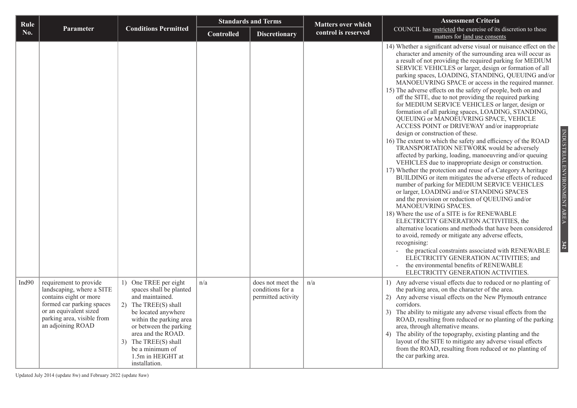| Rule       |                                                                                                                                                                                         |                                                                                                                                                                                                                                                                                |                   | <b>Standards and Terms</b>                                  | <b>Matters over which</b> | <b>Assessment Criteria</b>                                                                                                                                                                                                                                                                                                                                                                                                                                                                                                                                                                                                                                                                                                                                                                                                                                                                                                                                                                                                                                                                                                                                                                                                                                                                                                                                                                                                                                                                                                                                                                                                                                                                         |  |  |  |  |  |  |
|------------|-----------------------------------------------------------------------------------------------------------------------------------------------------------------------------------------|--------------------------------------------------------------------------------------------------------------------------------------------------------------------------------------------------------------------------------------------------------------------------------|-------------------|-------------------------------------------------------------|---------------------------|----------------------------------------------------------------------------------------------------------------------------------------------------------------------------------------------------------------------------------------------------------------------------------------------------------------------------------------------------------------------------------------------------------------------------------------------------------------------------------------------------------------------------------------------------------------------------------------------------------------------------------------------------------------------------------------------------------------------------------------------------------------------------------------------------------------------------------------------------------------------------------------------------------------------------------------------------------------------------------------------------------------------------------------------------------------------------------------------------------------------------------------------------------------------------------------------------------------------------------------------------------------------------------------------------------------------------------------------------------------------------------------------------------------------------------------------------------------------------------------------------------------------------------------------------------------------------------------------------------------------------------------------------------------------------------------------------|--|--|--|--|--|--|
| <b>No.</b> | <b>Parameter</b>                                                                                                                                                                        | <b>Conditions Permitted</b>                                                                                                                                                                                                                                                    | <b>Controlled</b> | <b>Discretionary</b>                                        | control is reserved       | COUNCIL has restricted the exercise of its discretion to these<br>matters for land use consents                                                                                                                                                                                                                                                                                                                                                                                                                                                                                                                                                                                                                                                                                                                                                                                                                                                                                                                                                                                                                                                                                                                                                                                                                                                                                                                                                                                                                                                                                                                                                                                                    |  |  |  |  |  |  |
|            |                                                                                                                                                                                         |                                                                                                                                                                                                                                                                                |                   |                                                             |                           | 14) Whether a significant adverse visual or nuisance effect on the<br>character and amenity of the surrounding area will occur as<br>a result of not providing the required parking for MEDIUM<br>SERVICE VEHICLES or larger, design or formation of all<br>parking spaces, LOADING, STANDING, QUEUING and/or<br>MANOEUVRING SPACE or access in the required manner.<br>15) The adverse effects on the safety of people, both on and<br>off the SITE, due to not providing the required parking<br>for MEDIUM SERVICE VEHICLES or larger, design or<br>formation of all parking spaces, LOADING, STANDING,<br>QUEUING or MANOEUVRING SPACE, VEHICLE<br>ACCESS POINT or DRIVEWAY and/or inappropriate<br>design or construction of these.<br>16) The extent to which the safety and efficiency of the ROAD<br>TRANSPORTATION NETWORK would be adversely<br>affected by parking, loading, manoeuvring and/or queuing<br>VEHICLES due to inappropriate design or construction.<br>17) Whether the protection and reuse of a Category A heritage<br>BUILDING or item mitigates the adverse effects of reduced<br>number of parking for MEDIUM SERVICE VEHICLES<br>or larger, LOADING and/or STANDING SPACES<br>and the provision or reduction of QUEUING and/or<br>MANOEUVRING SPACES.<br>18) Where the use of a SITE is for RENEWABLE<br>ELECTRICITY GENERATION ACTIVITIES, the<br>alternative locations and methods that have been considered<br>to avoid, remedy or mitigate any adverse effects,<br>recognising:<br>the practical constraints associated with RENEWABLE<br>ELECTRICITY GENERATION ACTIVITIES; and<br>the environmental benefits of RENEWABLE<br>ELECTRICITY GENERATION ACTIVITIES. |  |  |  |  |  |  |
| Ind $90$   | requirement to provide<br>landscaping, where a SITE<br>contains eight or more<br>formed car parking spaces<br>or an equivalent sized<br>parking area, visible from<br>an adjoining ROAD | 1) One TREE per eight<br>spaces shall be planted<br>and maintained.<br>2) The TREE(S) shall<br>be located anywhere<br>within the parking area<br>or between the parking<br>area and the ROAD.<br>3) The TREE(S) shall<br>be a minimum of<br>1.5m in HEIGHT at<br>installation. | n/a               | does not meet the<br>conditions for a<br>permitted activity | n/a                       | 1) Any adverse visual effects due to reduced or no planting of<br>the parking area, on the character of the area.<br>2) Any adverse visual effects on the New Plymouth entrance<br>corridors.<br>3) The ability to mitigate any adverse visual effects from the<br>ROAD, resulting from reduced or no planting of the parking<br>area, through alternative means.<br>4) The ability of the topography, existing planting and the<br>layout of the SITE to mitigate any adverse visual effects<br>from the ROAD, resulting from reduced or no planting of<br>the car parking area.                                                                                                                                                                                                                                                                                                                                                                                                                                                                                                                                                                                                                                                                                                                                                                                                                                                                                                                                                                                                                                                                                                                  |  |  |  |  |  |  |

Updated July 2014 (update 8w) and February 2022 (update 8aw)

INDUSTRIAL ENVIRONMENT AREA INDUSTRIAL ENVIRONMENT AREA **342**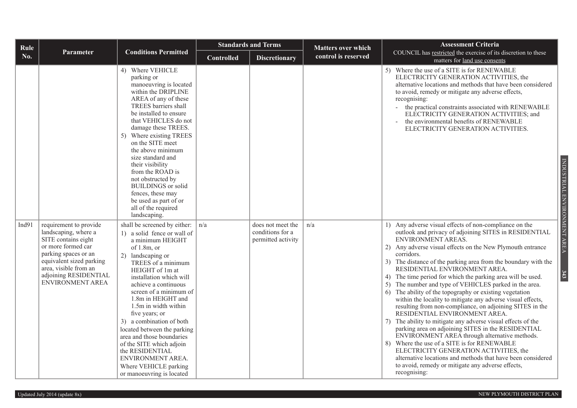| Rule  |                                                                                                                                                                                                                              |                                                                                                                                                                                                                                                                                                                                                                                                                                                                                                                                | <b>Standards and Terms</b> |                                                             | <b>Matters over which</b> | <b>Assessment Criteria</b>                                                                                                                                                                                                                                                                                                                                                                                                                                                                                                                                                                                                                                                                                                                                                                                                                                                                                                                                                                                                                                               |  |  |  |  |  |
|-------|------------------------------------------------------------------------------------------------------------------------------------------------------------------------------------------------------------------------------|--------------------------------------------------------------------------------------------------------------------------------------------------------------------------------------------------------------------------------------------------------------------------------------------------------------------------------------------------------------------------------------------------------------------------------------------------------------------------------------------------------------------------------|----------------------------|-------------------------------------------------------------|---------------------------|--------------------------------------------------------------------------------------------------------------------------------------------------------------------------------------------------------------------------------------------------------------------------------------------------------------------------------------------------------------------------------------------------------------------------------------------------------------------------------------------------------------------------------------------------------------------------------------------------------------------------------------------------------------------------------------------------------------------------------------------------------------------------------------------------------------------------------------------------------------------------------------------------------------------------------------------------------------------------------------------------------------------------------------------------------------------------|--|--|--|--|--|
| No.   | <b>Parameter</b>                                                                                                                                                                                                             | <b>Conditions Permitted</b>                                                                                                                                                                                                                                                                                                                                                                                                                                                                                                    | <b>Controlled</b>          | <b>Discretionary</b>                                        | control is reserved       | COUNCIL has restricted the exercise of its discretion to these<br>matters for land use consents                                                                                                                                                                                                                                                                                                                                                                                                                                                                                                                                                                                                                                                                                                                                                                                                                                                                                                                                                                          |  |  |  |  |  |
|       |                                                                                                                                                                                                                              | 4) Where VEHICLE<br>parking or<br>manoeuvring is located<br>within the DRIPLINE<br>AREA of any of these<br>TREES barriers shall<br>be installed to ensure<br>that VEHICLES do not<br>damage these TREES.<br>5) Where existing TREES<br>on the SITE meet<br>the above minimum<br>size standard and<br>their visibility<br>from the ROAD is<br>not obstructed by<br><b>BUILDINGS</b> or solid<br>fences, these may<br>be used as part of or<br>all of the required<br>landscaping.                                               |                            |                                                             |                           | 5) Where the use of a SITE is for RENEWABLE<br>ELECTRICITY GENERATION ACTIVITIES, the<br>alternative locations and methods that have been considered<br>to avoid, remedy or mitigate any adverse effects,<br>recognising:<br>- the practical constraints associated with RENEWABLE<br>ELECTRICITY GENERATION ACTIVITIES; and<br>the environmental benefits of RENEWABLE<br>ELECTRICITY GENERATION ACTIVITIES.                                                                                                                                                                                                                                                                                                                                                                                                                                                                                                                                                                                                                                                            |  |  |  |  |  |
| Ind91 | requirement to provide<br>landscaping, where a<br>SITE contains eight<br>or more formed car<br>parking spaces or an<br>equivalent sized parking<br>area, visible from an<br>adjoining RESIDENTIAL<br><b>ENVIRONMENT AREA</b> | shall be screened by either:<br>1) a solid fence or wall of<br>a minimum HEIGHT<br>of $1.8m$ , or<br>2) landscaping or<br>TREES of a minimum<br>HEIGHT of 1m at<br>installation which will<br>achieve a continuous<br>screen of a minimum of<br>1.8m in HEIGHT and<br>1.5m in width within<br>five years; or<br>3) a combination of both<br>located between the parking<br>area and those boundaries<br>of the SITE which adjoin<br>the RESIDENTIAL<br>ENVIRONMENT AREA.<br>Where VEHICLE parking<br>or manoeuvring is located | n/a                        | does not meet the<br>conditions for a<br>permitted activity | n/a                       | 1) Any adverse visual effects of non-compliance on the<br>outlook and privacy of adjoining SITES in RESIDENTIAL<br>ENVIRONMENT AREAS.<br>2) Any adverse visual effects on the New Plymouth entrance<br>corridors.<br>3) The distance of the parking area from the boundary with the<br>RESIDENTIAL ENVIRONMENT AREA.<br>4) The time period for which the parking area will be used.<br>5) The number and type of VEHICLES parked in the area.<br>The ability of the topography or existing vegetation<br>within the locality to mitigate any adverse visual effects,<br>resulting from non-compliance, on adjoining SITES in the<br>RESIDENTIAL ENVIRONMENT AREA.<br>The ability to mitigate any adverse visual effects of the<br>7)<br>parking area on adjoining SITES in the RESIDENTIAL<br>ENVIRONMENT AREA through alternative methods.<br>8) Where the use of a SITE is for RENEWABLE<br>ELECTRICITY GENERATION ACTIVITIES, the<br>alternative locations and methods that have been considered<br>to avoid, remedy or mitigate any adverse effects,<br>recognising: |  |  |  |  |  |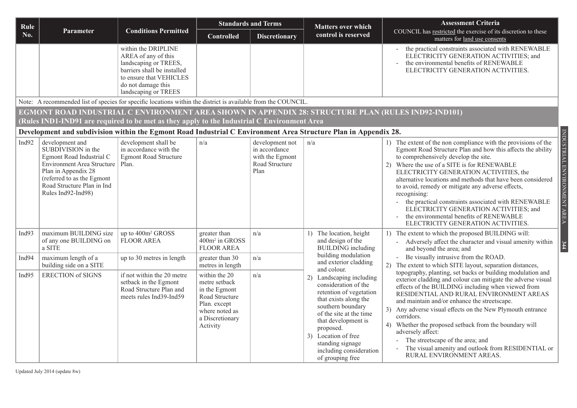| Rule                                                                                                                                                                                               | <b>Assessment Criteria</b><br><b>Standards and Terms</b><br><b>Matters over which</b>                                                                                                                            |                                                                                                                                                                             |                                                                                                                                    |                                                                               |                                                                                                                                                                                                                                                                                    |                                                                                                                                                                                                                                                                                                                                                                                                                                                                                                                                                                                                                     |  |  |  |  |
|----------------------------------------------------------------------------------------------------------------------------------------------------------------------------------------------------|------------------------------------------------------------------------------------------------------------------------------------------------------------------------------------------------------------------|-----------------------------------------------------------------------------------------------------------------------------------------------------------------------------|------------------------------------------------------------------------------------------------------------------------------------|-------------------------------------------------------------------------------|------------------------------------------------------------------------------------------------------------------------------------------------------------------------------------------------------------------------------------------------------------------------------------|---------------------------------------------------------------------------------------------------------------------------------------------------------------------------------------------------------------------------------------------------------------------------------------------------------------------------------------------------------------------------------------------------------------------------------------------------------------------------------------------------------------------------------------------------------------------------------------------------------------------|--|--|--|--|
| No.                                                                                                                                                                                                | <b>Parameter</b>                                                                                                                                                                                                 | <b>Conditions Permitted</b>                                                                                                                                                 | Controlled                                                                                                                         | <b>Discretionary</b>                                                          | control is reserved                                                                                                                                                                                                                                                                | COUNCIL has restricted the exercise of its discretion to these<br>matters for land use consents                                                                                                                                                                                                                                                                                                                                                                                                                                                                                                                     |  |  |  |  |
|                                                                                                                                                                                                    |                                                                                                                                                                                                                  | within the DRIPLINE<br>AREA of any of this<br>landscaping or TREES,<br>barriers shall be installed<br>to ensure that VEHICLES<br>do not damage this<br>landscaping or TREES |                                                                                                                                    |                                                                               |                                                                                                                                                                                                                                                                                    | the practical constraints associated with RENEWABLE<br>ELECTRICITY GENERATION ACTIVITIES; and<br>the environmental benefits of RENEWABLE<br>ELECTRICITY GENERATION ACTIVITIES.                                                                                                                                                                                                                                                                                                                                                                                                                                      |  |  |  |  |
| Note: A recommended list of species for specific locations within the district is available from the COUNCIL.                                                                                      |                                                                                                                                                                                                                  |                                                                                                                                                                             |                                                                                                                                    |                                                                               |                                                                                                                                                                                                                                                                                    |                                                                                                                                                                                                                                                                                                                                                                                                                                                                                                                                                                                                                     |  |  |  |  |
| EGMONT ROAD INDUSTRIAL C ENVIRONMENT AREA SHOWN IN APPENDIX 28: STRUCTURE PLAN (RULES IND92-IND101)<br>(Rules IND1-IND91 are required to be met as they apply to the Industrial C Environment Area |                                                                                                                                                                                                                  |                                                                                                                                                                             |                                                                                                                                    |                                                                               |                                                                                                                                                                                                                                                                                    |                                                                                                                                                                                                                                                                                                                                                                                                                                                                                                                                                                                                                     |  |  |  |  |
|                                                                                                                                                                                                    |                                                                                                                                                                                                                  |                                                                                                                                                                             |                                                                                                                                    |                                                                               | Development and subdivision within the Egmont Road Industrial C Environment Area Structure Plan in Appendix 28.                                                                                                                                                                    |                                                                                                                                                                                                                                                                                                                                                                                                                                                                                                                                                                                                                     |  |  |  |  |
| Ind92                                                                                                                                                                                              | development and<br>SUBDIVISION in the<br>Egmont Road Industrial C<br>Environment Area Structure   Plan.<br>Plan in Appendix 28<br>(referred to as the Egmont<br>Road Structure Plan in Ind<br>Rules Ind92-Ind98) | development shall be<br>in accordance with the<br><b>Egmont Road Structure</b>                                                                                              | n/a                                                                                                                                | development not<br>in accordance<br>with the Egmont<br>Road Structure<br>Plan | n/a                                                                                                                                                                                                                                                                                | INDUSTRIAL ENVIRONMENT AREA<br>1) The extent of the non compliance with the provisions of the<br>Egmont Road Structure Plan and how this affects the ability<br>to comprehensively develop the site.<br>2) Where the use of a SITE is for RENEWABLE<br>ELECTRICITY GENERATION ACTIVITIES, the<br>alternative locations and methods that have been considered<br>to avoid, remedy or mitigate any adverse effects,<br>recognising:<br>the practical constraints associated with RENEWABLE<br>ELECTRICITY GENERATION ACTIVITIES; and<br>the environmental benefits of RENEWABLE<br>ELECTRICITY GENERATION ACTIVITIES. |  |  |  |  |
| Ind $93$                                                                                                                                                                                           | maximum BUILDING size<br>of any one BUILDING on<br>a SITE                                                                                                                                                        | up to 400m <sup>2</sup> GROSS<br>FLOOR AREA                                                                                                                                 | greater than<br>400m <sup>2</sup> in GROSS<br><b>FLOOR AREA</b>                                                                    | n/a                                                                           | The location, height<br>and design of the<br><b>BUILDING</b> including                                                                                                                                                                                                             | 1) The extent to which the proposed BUILDING will:<br>Adversely affect the character and visual amenity within<br>344<br>and beyond the area; and                                                                                                                                                                                                                                                                                                                                                                                                                                                                   |  |  |  |  |
| Ind94                                                                                                                                                                                              | maximum length of a<br>building side on a SITE                                                                                                                                                                   | up to 30 metres in length                                                                                                                                                   | greater than 30<br>metres in length                                                                                                | n/a                                                                           | building modulation<br>and exterior cladding<br>and colour.                                                                                                                                                                                                                        | Be visually intrusive from the ROAD.<br>2) The extent to which SITE layout, separation distances,                                                                                                                                                                                                                                                                                                                                                                                                                                                                                                                   |  |  |  |  |
| Ind95                                                                                                                                                                                              | <b>ERECTION of SIGNS</b>                                                                                                                                                                                         | if not within the 20 metre<br>setback in the Egmont<br>Road Structure Plan and<br>meets rules Ind39-Ind59                                                                   | within the 20<br>metre setback<br>in the Egmont<br>Road Structure<br>Plan. except<br>where noted as<br>a Discretionary<br>Activity | n/a                                                                           | 2) Landscaping including<br>consideration of the<br>retention of vegetation<br>that exists along the<br>southern boundary<br>of the site at the time<br>that development is<br>proposed.<br>3) Location of free<br>standing signage<br>including consideration<br>of grouping free | topography, planting, set backs or building modulation and<br>exterior cladding and colour can mitigate the adverse visual<br>effects of the BUILDING including when viewed from<br>RESIDENTIAL AND RURAL ENVIRONMENT AREAS<br>and maintain and/or enhance the streetscape.<br>3) Any adverse visual effects on the New Plymouth entrance<br>corridors.<br>4) Whether the proposed setback from the boundary will<br>adversely affect:<br>The streetscape of the area; and<br>The visual amenity and outlook from RESIDENTIAL or<br>RURAL ENVIRONMENT AREAS.                                                        |  |  |  |  |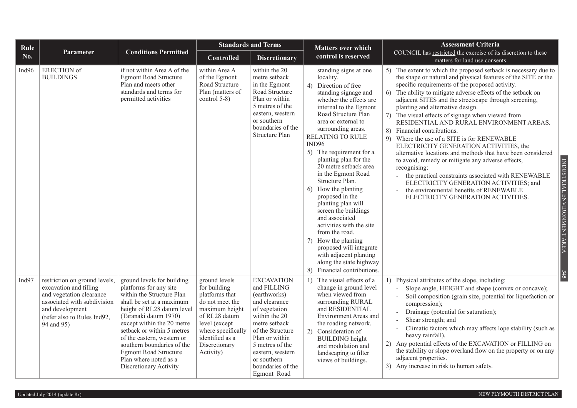| Rule  |                                                                                                                                                                                    |                                                                                                                                                                                                                                                                                                                                                                                  |                                                                                                                                                                                               | <b>Standards and Terms</b>                                                                                                                                                                                                                           | <b>Matters over which</b>                                                                                                                                                                                                                                                                                                                                                                                                                                                                                                                                                                                                                                          | <b>Assessment Criteria</b>                                                                                                                                                                                                                                                                                                                                                                                                                                                                                                                                                                                                                                                                                                                                                                                                                                                                                                        |  |  |  |  |  |
|-------|------------------------------------------------------------------------------------------------------------------------------------------------------------------------------------|----------------------------------------------------------------------------------------------------------------------------------------------------------------------------------------------------------------------------------------------------------------------------------------------------------------------------------------------------------------------------------|-----------------------------------------------------------------------------------------------------------------------------------------------------------------------------------------------|------------------------------------------------------------------------------------------------------------------------------------------------------------------------------------------------------------------------------------------------------|--------------------------------------------------------------------------------------------------------------------------------------------------------------------------------------------------------------------------------------------------------------------------------------------------------------------------------------------------------------------------------------------------------------------------------------------------------------------------------------------------------------------------------------------------------------------------------------------------------------------------------------------------------------------|-----------------------------------------------------------------------------------------------------------------------------------------------------------------------------------------------------------------------------------------------------------------------------------------------------------------------------------------------------------------------------------------------------------------------------------------------------------------------------------------------------------------------------------------------------------------------------------------------------------------------------------------------------------------------------------------------------------------------------------------------------------------------------------------------------------------------------------------------------------------------------------------------------------------------------------|--|--|--|--|--|
| No.   | <b>Parameter</b>                                                                                                                                                                   | <b>Conditions Permitted</b>                                                                                                                                                                                                                                                                                                                                                      | <b>Controlled</b>                                                                                                                                                                             | <b>Discretionary</b>                                                                                                                                                                                                                                 | control is reserved                                                                                                                                                                                                                                                                                                                                                                                                                                                                                                                                                                                                                                                | COUNCIL has restricted the exercise of its discretion to these<br>matters for land use consents                                                                                                                                                                                                                                                                                                                                                                                                                                                                                                                                                                                                                                                                                                                                                                                                                                   |  |  |  |  |  |
| Ind96 | <b>ERECTION</b> of<br><b>BUILDINGS</b>                                                                                                                                             | if not within Area A of the<br><b>Egmont Road Structure</b><br>Plan and meets other<br>standards and terms for<br>permitted activities                                                                                                                                                                                                                                           | within Area A<br>of the Egmont<br>Road Structure<br>Plan (matters of<br>control 5-8)                                                                                                          | within the 20<br>metre setback<br>in the Egmont<br>Road Structure<br>Plan or within<br>5 metres of the<br>eastern, western<br>or southern<br>boundaries of the<br><b>Structure Plan</b>                                                              | standing signs at one<br>locality.<br>4) Direction of free<br>standing signage and<br>whether the effects are<br>internal to the Egmont<br>Road Structure Plan<br>area or external to<br>surrounding areas.<br>RELATING TO RULE<br>IND96<br>5) The requirement for a<br>planting plan for the<br>20 metre setback area<br>in the Egmont Road<br>Structure Plan.<br>How the planting<br>6<br>proposed in the<br>planting plan will<br>screen the buildings<br>and associated<br>activities with the site<br>from the road.<br>How the planting<br>7)<br>proposed will integrate<br>with adjacent planting<br>along the state highway<br>8) Financial contributions. | 5) The extent to which the proposed setback is necessary due to<br>the shape or natural and physical features of the SITE or the<br>specific requirements of the proposed activity.<br>6) The ability to mitigate adverse effects of the setback on<br>adjacent SITES and the streetscape through screening,<br>planting and alternative design.<br>The visual effects of signage when viewed from<br>7)<br>RESIDENTIAL AND RURAL ENVIRONMENT AREAS.<br>8) Financial contributions.<br>9) Where the use of a SITE is for RENEWABLE<br>ELECTRICITY GENERATION ACTIVITIES, the<br>alternative locations and methods that have been considered<br>INDUSTRIAL ENVIRONMENT AREA<br>to avoid, remedy or mitigate any adverse effects,<br>recognising:<br>the practical constraints associated with RENEWABLE<br>ELECTRICITY GENERATION ACTIVITIES; and<br>the environmental benefits of RENEWABLE<br>ELECTRICITY GENERATION ACTIVITIES. |  |  |  |  |  |
| Ind97 | restriction on ground levels,<br>excavation and filling<br>and vegetation clearance<br>associated with subdivision<br>and development<br>(refer also to Rules Ind92,<br>94 and 95) | ground levels for building<br>platforms for any site<br>within the Structure Plan<br>shall be set at a maximum<br>height of RL28 datum level<br>(Taranaki datum 1970)<br>except within the 20 metre<br>setback or within 5 metres<br>of the eastern, western or<br>southern boundaries of the<br><b>Egmont Road Structure</b><br>Plan where noted as a<br>Discretionary Activity | ground levels<br>for building<br>platforms that<br>do not meet the<br>maximum height<br>of RL28 datum<br>level (except<br>where specifically<br>identified as a<br>Discretionary<br>Activity) | <b>EXCAVATION</b><br>and FILLING<br>(earthworks)<br>and clearance<br>of vegetation<br>within the 20<br>metre setback<br>of the Structure<br>Plan or within<br>5 metres of the<br>eastern, western<br>or southern<br>boundaries of the<br>Egmont Road | 1) The visual effects of a<br>change in ground level<br>when viewed from<br>surrounding RURAL<br>and RESIDENTIAL<br>Environment Areas and<br>the roading network.<br>2) Consideration of<br><b>BUILDING</b> height<br>and modulation and<br>landscaping to filter<br>views of buildings.                                                                                                                                                                                                                                                                                                                                                                           | 345<br>1) Physical attributes of the slope, including:<br>Slope angle, HEIGHT and shape (convex or concave);<br>Soil composition (grain size, potential for liquefaction or<br>compression);<br>Drainage (potential for saturation);<br>Shear strength; and<br>Climatic factors which may affects lope stability (such as<br>heavy rainfall).<br>2) Any potential effects of the EXCAVATION or FILLING on<br>the stability or slope overland flow on the property or on any<br>adjacent properties.<br>3) Any increase in risk to human safety.                                                                                                                                                                                                                                                                                                                                                                                   |  |  |  |  |  |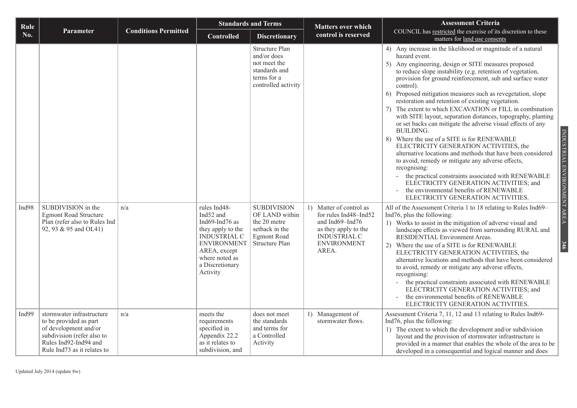| Rule  |                                                                                                                                                                                |                             |                                                                                                                                                                | <b>Standards and Terms</b>                                                                                                        | <b>Matters over which</b>                                                                                              | <b>Assessment Criteria</b>                                                                                                                                                                                                                                                                                                                                                                                                                                                                                                                                                                                                                                                                                                                                                                                                                                                                                                                                                                                                                                                                                                            |
|-------|--------------------------------------------------------------------------------------------------------------------------------------------------------------------------------|-----------------------------|----------------------------------------------------------------------------------------------------------------------------------------------------------------|-----------------------------------------------------------------------------------------------------------------------------------|------------------------------------------------------------------------------------------------------------------------|---------------------------------------------------------------------------------------------------------------------------------------------------------------------------------------------------------------------------------------------------------------------------------------------------------------------------------------------------------------------------------------------------------------------------------------------------------------------------------------------------------------------------------------------------------------------------------------------------------------------------------------------------------------------------------------------------------------------------------------------------------------------------------------------------------------------------------------------------------------------------------------------------------------------------------------------------------------------------------------------------------------------------------------------------------------------------------------------------------------------------------------|
| No.   | Parameter                                                                                                                                                                      | <b>Conditions Permitted</b> | <b>Controlled</b>                                                                                                                                              | <b>Discretionary</b>                                                                                                              | control is reserved                                                                                                    | COUNCIL has restricted the exercise of its discretion to these<br>matters for land use consents                                                                                                                                                                                                                                                                                                                                                                                                                                                                                                                                                                                                                                                                                                                                                                                                                                                                                                                                                                                                                                       |
| Ind98 | SUBDIVISION in the                                                                                                                                                             | n/a                         | rules Ind48-                                                                                                                                                   | <b>Structure Plan</b><br>and/or does<br>not meet the<br>standards and<br>terms for a<br>controlled activity<br><b>SUBDIVISION</b> | 1) Matter of control as                                                                                                | 4) Any increase in the likelihood or magnitude of a natural<br>hazard event.<br>5) Any engineering, design or SITE measures proposed<br>to reduce slope instability (e.g. retention of vegetation,<br>provision for ground reinforcement, sub and surface water<br>control).<br>6) Proposed mitigation measures such as revegetation, slope<br>restoration and retention of existing vegetation.<br>The extent to which EXCAVATION or FILL in combination<br>7)<br>with SITE layout, separation distances, topography, planting<br>or set backs can mitigate the adverse visual effects of any<br><b>BUILDING.</b><br>INDUSTRIAL ENVIRONMENT AREA<br>8) Where the use of a SITE is for RENEWABLE<br>ELECTRICITY GENERATION ACTIVITIES, the<br>alternative locations and methods that have been considered<br>to avoid, remedy or mitigate any adverse effects,<br>recognising:<br>- the practical constraints associated with RENEWABLE<br>ELECTRICITY GENERATION ACTIVITIES; and<br>the environmental benefits of RENEWABLE<br>ELECTRICITY GENERATION ACTIVITIES.<br>All of the Assessment Criteria 1 to 18 relating to Rules Ind69- |
|       | <b>Egmont Road Structure</b><br>Plan (refer also to Rules Ind<br>92, 93 & 95 and OL41)                                                                                         |                             | Ind52 and<br>Ind69-Ind76 as<br>they apply to the<br><b>INDUSTRIAL C</b><br><b>ENVIRONMENT</b><br>AREA, except<br>where noted as<br>a Discretionary<br>Activity | OF LAND within<br>the 20 metre<br>setback in the<br><b>Egmont Road</b><br>Structure Plan                                          | for rules Ind48-Ind52<br>and Ind69-Ind76<br>as they apply to the<br><b>INDUSTRIAL C</b><br><b>ENVIRONMENT</b><br>AREA. | Ind76, plus the following:<br>1) Works to assist in the mitigation of adverse visual and<br>landscape effects as viewed from surrounding RURAL and<br>RESIDENTIAL Environment Areas.<br>346<br>2) Where the use of a SITE is for RENEWABLE<br>ELECTRICITY GENERATION ACTIVITIES, the<br>alternative locations and methods that have been considered<br>to avoid, remedy or mitigate any adverse effects,<br>recognising:<br>the practical constraints associated with RENEWABLE<br>ELECTRICITY GENERATION ACTIVITIES; and<br>the environmental benefits of RENEWABLE<br>ELECTRICITY GENERATION ACTIVITIES.                                                                                                                                                                                                                                                                                                                                                                                                                                                                                                                            |
| Ind99 | stormwater infrastructure<br>to be provided as part<br>of development and/or<br>subdivision (refer also to<br>Rules Ind92-Ind94 and<br>Rule Ind <sub>73</sub> as it relates to | n/a                         | meets the<br>requirements<br>specified in<br>Appendix 22.2<br>as it relates to<br>subdivision, and                                                             | does not meet<br>the standards<br>and terms for<br>a Controlled<br>Activity                                                       | 1) Management of<br>stormwater flows.                                                                                  | Assessment Criteria 7, 11, 12 and 13 relating to Rules Ind69-<br>Ind76, plus the following:<br>1) The extent to which the development and/or subdivision<br>layout and the provision of stormwater infrastructure is<br>provided in a manner that enables the whole of the area to be<br>developed in a consequential and logical manner and does                                                                                                                                                                                                                                                                                                                                                                                                                                                                                                                                                                                                                                                                                                                                                                                     |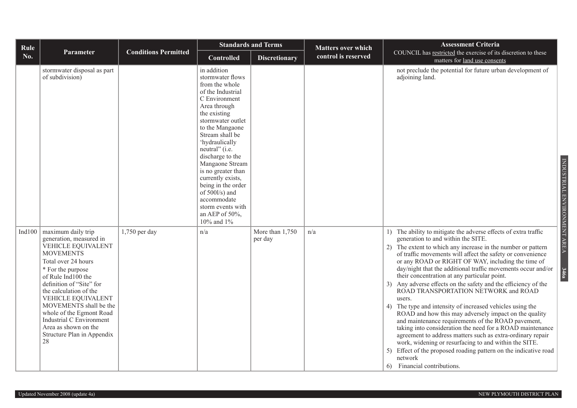| Rule   |                                                                                                                                                                                                                                                                                                                                                                                     |                             |                                                                                                                                                                                                                                                                                                                                                                                                                          | <b>Standards and Terms</b> | <b>Matters over which</b> | <b>Assessment Criteria</b>                                                                                                                                                                                                                                                                                                                                                                                                                                                                                                                                                                                                                                                                                                                                                                                                                                                                                                                                                                                                |
|--------|-------------------------------------------------------------------------------------------------------------------------------------------------------------------------------------------------------------------------------------------------------------------------------------------------------------------------------------------------------------------------------------|-----------------------------|--------------------------------------------------------------------------------------------------------------------------------------------------------------------------------------------------------------------------------------------------------------------------------------------------------------------------------------------------------------------------------------------------------------------------|----------------------------|---------------------------|---------------------------------------------------------------------------------------------------------------------------------------------------------------------------------------------------------------------------------------------------------------------------------------------------------------------------------------------------------------------------------------------------------------------------------------------------------------------------------------------------------------------------------------------------------------------------------------------------------------------------------------------------------------------------------------------------------------------------------------------------------------------------------------------------------------------------------------------------------------------------------------------------------------------------------------------------------------------------------------------------------------------------|
| No.    | Parameter                                                                                                                                                                                                                                                                                                                                                                           | <b>Conditions Permitted</b> | <b>Controlled</b>                                                                                                                                                                                                                                                                                                                                                                                                        | <b>Discretionary</b>       | control is reserved       | COUNCIL has restricted the exercise of its discretion to these<br>matters for land use consents                                                                                                                                                                                                                                                                                                                                                                                                                                                                                                                                                                                                                                                                                                                                                                                                                                                                                                                           |
|        | stormwater disposal as part<br>of subdivision)                                                                                                                                                                                                                                                                                                                                      |                             | in addition<br>stormwater flows<br>from the whole<br>of the Industrial<br>C Environment<br>Area through<br>the existing<br>stormwater outlet<br>to the Mangaone<br>Stream shall be<br>'hydraulically<br>neutral" (i.e.<br>discharge to the<br>Mangaone Stream<br>is no greater than<br>currently exists,<br>being in the order<br>of 500l/s) and<br>accommodate<br>storm events with<br>an AEP of $50\%$ ,<br>10% and 1% |                            |                           | not preclude the potential for future urban development of<br>adjoining land.<br>INDUSTRIAL ENVIRONMENT AREA                                                                                                                                                                                                                                                                                                                                                                                                                                                                                                                                                                                                                                                                                                                                                                                                                                                                                                              |
| Ind100 | maximum daily trip<br>generation, measured in<br>VEHICLE EQUIVALENT<br><b>MOVEMENTS</b><br>Total over 24 hours<br>* For the purpose<br>of Rule Ind100 the<br>definition of "Site" for<br>the calculation of the<br>VEHICLE EQUIVALENT<br>MOVEMENTS shall be the<br>whole of the Egmont Road<br>Industrial C Environment<br>Area as shown on the<br>Structure Plan in Appendix<br>28 | $1,750$ per day             | n/a                                                                                                                                                                                                                                                                                                                                                                                                                      | More than 1,750<br>per day | n/a                       | 1) The ability to mitigate the adverse effects of extra traffic<br>generation to and within the SITE.<br>The extent to which any increase in the number or pattern<br>2)<br>of traffic movements will affect the safety or convenience<br>or any ROAD or RIGHT OF WAY, including the time of<br>day/night that the additional traffic movements occur and/or<br>346a<br>their concentration at any particular point.<br>Any adverse effects on the safety and the efficiency of the<br>ROAD TRANSPORTATION NETWORK and ROAD<br>users.<br>The type and intensity of increased vehicles using the<br>4)<br>ROAD and how this may adversely impact on the quality<br>and maintenance requirements of the ROAD pavement,<br>taking into consideration the need for a ROAD maintenance<br>agreement to address matters such as extra-ordinary repair<br>work, widening or resurfacing to and within the SITE.<br>Effect of the proposed roading pattern on the indicative road<br>5)<br>network<br>6) Financial contributions. |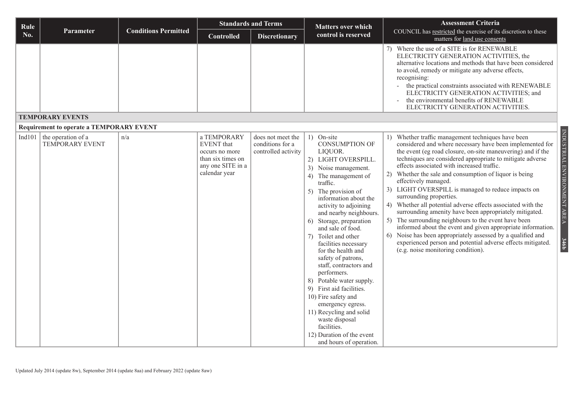| Rule   |                                                 |                             |                                                                                                               | <b>Standards and Terms</b>                                   | <b>Matters over which</b>                                                                                                                                                                                                                                                                                                                                                                                                                                                                                                                                                                                                                                 | <b>Assessment Criteria</b>                                                                                                                                                                                                                                                                                                                                                                                                                                                                                                                                                                                                                                                                                                                                                                                                                                                          |  |  |  |  |  |
|--------|-------------------------------------------------|-----------------------------|---------------------------------------------------------------------------------------------------------------|--------------------------------------------------------------|-----------------------------------------------------------------------------------------------------------------------------------------------------------------------------------------------------------------------------------------------------------------------------------------------------------------------------------------------------------------------------------------------------------------------------------------------------------------------------------------------------------------------------------------------------------------------------------------------------------------------------------------------------------|-------------------------------------------------------------------------------------------------------------------------------------------------------------------------------------------------------------------------------------------------------------------------------------------------------------------------------------------------------------------------------------------------------------------------------------------------------------------------------------------------------------------------------------------------------------------------------------------------------------------------------------------------------------------------------------------------------------------------------------------------------------------------------------------------------------------------------------------------------------------------------------|--|--|--|--|--|
| No.    | Parameter                                       | <b>Conditions Permitted</b> | <b>Controlled</b>                                                                                             | <b>Discretionary</b>                                         | control is reserved                                                                                                                                                                                                                                                                                                                                                                                                                                                                                                                                                                                                                                       | COUNCIL has restricted the exercise of its discretion to these<br>matters for land use consents                                                                                                                                                                                                                                                                                                                                                                                                                                                                                                                                                                                                                                                                                                                                                                                     |  |  |  |  |  |
|        |                                                 |                             |                                                                                                               |                                                              |                                                                                                                                                                                                                                                                                                                                                                                                                                                                                                                                                                                                                                                           | 7) Where the use of a SITE is for RENEWABLE<br>ELECTRICITY GENERATION ACTIVITIES, the<br>alternative locations and methods that have been considered<br>to avoid, remedy or mitigate any adverse effects,<br>recognising:<br>- the practical constraints associated with RENEWABLE<br>ELECTRICITY GENERATION ACTIVITIES; and<br>the environmental benefits of RENEWABLE<br>$\overline{\phantom{a}}$<br>ELECTRICITY GENERATION ACTIVITIES.                                                                                                                                                                                                                                                                                                                                                                                                                                           |  |  |  |  |  |
|        | <b>TEMPORARY EVENTS</b>                         |                             |                                                                                                               |                                                              |                                                                                                                                                                                                                                                                                                                                                                                                                                                                                                                                                                                                                                                           |                                                                                                                                                                                                                                                                                                                                                                                                                                                                                                                                                                                                                                                                                                                                                                                                                                                                                     |  |  |  |  |  |
|        | <b>Requirement to operate a TEMPORARY EVENT</b> |                             |                                                                                                               |                                                              |                                                                                                                                                                                                                                                                                                                                                                                                                                                                                                                                                                                                                                                           |                                                                                                                                                                                                                                                                                                                                                                                                                                                                                                                                                                                                                                                                                                                                                                                                                                                                                     |  |  |  |  |  |
| Ind101 | the operation of a<br><b>TEMPORARY EVENT</b>    | n/a                         | a TEMPORARY<br><b>EVENT</b> that<br>occurs no more<br>than six times on<br>any one SITE in a<br>calendar year | does not meet the<br>conditions for a<br>controlled activity | 1) On-site<br><b>CONSUMPTION OF</b><br>LIQUOR.<br>2) LIGHT OVERSPILL.<br>3) Noise management.<br>The management of<br>4)<br>traffic.<br>5) The provision of<br>information about the<br>activity to adjoining<br>and nearby neighbours.<br>Storage, preparation<br>6)<br>and sale of food.<br>Toilet and other<br>7)<br>facilities necessary<br>for the health and<br>safety of patrons,<br>staff, contractors and<br>performers.<br>8) Potable water supply.<br>9) First aid facilities.<br>10) Fire safety and<br>emergency egress.<br>11) Recycling and solid<br>waste disposal<br>facilities.<br>12) Duration of the event<br>and hours of operation. | 1) Whether traffic management techniques have been<br>considered and where necessary have been implemented for<br>the event (eg road closure, on-site maneuvering) and if the<br>techniques are considered appropriate to mitigate adverse<br>effects associated with increased traffic.<br>2) Whether the sale and consumption of liquor is being<br>effectively managed.<br>3) LIGHT OVERSPILL is managed to reduce impacts on<br>surrounding properties.<br>4) Whether all potential adverse effects associated with the<br>surrounding amenity have been appropriately mitigated.<br>5) The surrounding neighbours to the event have been<br>informed about the event and given appropriate information.<br>Noise has been appropriately assessed by a qualified and<br>6)<br>experienced person and potential adverse effects mitigated.<br>(e.g. noise monitoring condition). |  |  |  |  |  |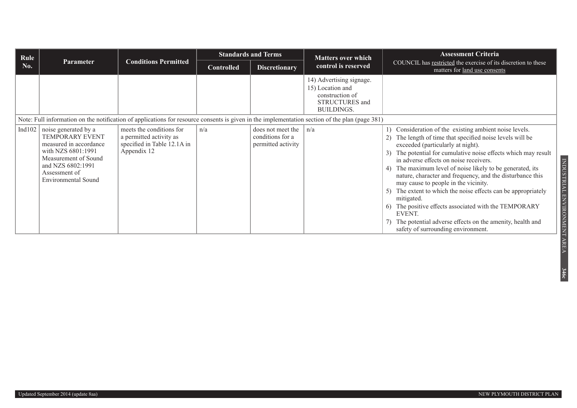| Rule      |                                                                                                                                                                              |                                                                                                   |                   | <b>Standards and Terms</b>                                          | <b>Matters over which</b>                                                                                                                      | <b>Assessment Criteria</b>                                                                                                                                                                                                                                                                                                                                                                                                                                                                                                                                                                                                                                                                 |
|-----------|------------------------------------------------------------------------------------------------------------------------------------------------------------------------------|---------------------------------------------------------------------------------------------------|-------------------|---------------------------------------------------------------------|------------------------------------------------------------------------------------------------------------------------------------------------|--------------------------------------------------------------------------------------------------------------------------------------------------------------------------------------------------------------------------------------------------------------------------------------------------------------------------------------------------------------------------------------------------------------------------------------------------------------------------------------------------------------------------------------------------------------------------------------------------------------------------------------------------------------------------------------------|
| No.       | <b>Parameter</b>                                                                                                                                                             | <b>Conditions Permitted</b>                                                                       | <b>Controlled</b> | <b>Discretionary</b>                                                | control is reserved                                                                                                                            | COUNCIL has restricted the exercise of its discretion to these<br>matters for land use consents                                                                                                                                                                                                                                                                                                                                                                                                                                                                                                                                                                                            |
|           |                                                                                                                                                                              |                                                                                                   |                   |                                                                     | 14) Advertising signage.<br>15) Location and<br>construction of<br><b>STRUCTURES</b> and<br><b>BUILDINGS.</b>                                  |                                                                                                                                                                                                                                                                                                                                                                                                                                                                                                                                                                                                                                                                                            |
|           |                                                                                                                                                                              |                                                                                                   |                   |                                                                     | Note: Full information on the notification of applications for resource consents is given in the implementation section of the plan (page 381) |                                                                                                                                                                                                                                                                                                                                                                                                                                                                                                                                                                                                                                                                                            |
| Ind $102$ | noise generated by a<br>TEMPORARY EVENT<br>measured in accordance<br>with NZS 6801:1991<br>Measurement of Sound<br>and NZS 6802:1991<br>Assessment of<br>Environmental Sound | meets the conditions for<br>a permitted activity as<br>specified in Table 12.1A in<br>Appendix 12 | n/a               | does not meet the $ n/a $<br>conditions for a<br>permitted activity |                                                                                                                                                | Consideration of the existing ambient noise levels.<br>The length of time that specified noise levels will be<br>exceeded (particularly at night).<br>The potential for cumulative noise effects which may result<br>in adverse effects on noise receivers.<br>The maximum level of noise likely to be generated, its<br>4)<br>nature, character and frequency, and the disturbance this<br>may cause to people in the vicinity.<br>The extent to which the noise effects can be appropriately<br>5)<br>mitigated.<br>The positive effects associated with the TEMPORARY<br>6)<br>EVENT.<br>The potential adverse effects on the amenity, health and<br>safety of surrounding environment. |

INDUSTRIAL ENVIRONMENT AREA

**346c**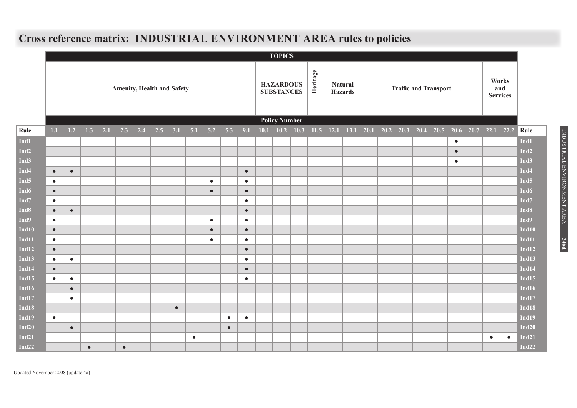## **Cross reference matrix: INDUSTRIAL ENVIRONMENT AREA rules to policies**

|                  |           |                                   |           |     |           |     |     |           |           |           |                                       |           |  | <b>TOPICS</b>        |                                  |  |                              |  |  |  |  |  |  |                                 |                                                                            |           |           |                  |
|------------------|-----------|-----------------------------------|-----------|-----|-----------|-----|-----|-----------|-----------|-----------|---------------------------------------|-----------|--|----------------------|----------------------------------|--|------------------------------|--|--|--|--|--|--|---------------------------------|----------------------------------------------------------------------------|-----------|-----------|------------------|
|                  |           | <b>Amenity, Health and Safety</b> |           |     |           |     |     |           |           |           | <b>HAZARDOUS</b><br><b>SUBSTANCES</b> |           |  | Heritage             | <b>Natural</b><br><b>Hazards</b> |  | <b>Traffic and Transport</b> |  |  |  |  |  |  | Works<br>and<br><b>Services</b> |                                                                            |           |           |                  |
|                  |           |                                   |           |     |           |     |     |           |           |           |                                       |           |  | <b>Policy Number</b> |                                  |  |                              |  |  |  |  |  |  |                                 |                                                                            |           |           |                  |
| Rule             | 1.1       | $1.2\,$                           | 1.3       | 2.1 | 2.3       | 2.4 | 2.5 | 3.1       | 5.1       | 5.2       | 5.3                                   | 9.1       |  |                      |                                  |  |                              |  |  |  |  |  |  |                                 | 10.1 10.2 10.3 11.5 12.1 13.1 20.1 20.2 20.3 20.4 20.5 20.6 20.7 22.1 22.2 |           |           | Rule             |
| Ind1             |           |                                   |           |     |           |     |     |           |           |           |                                       |           |  |                      |                                  |  |                              |  |  |  |  |  |  | $\bullet$                       |                                                                            |           |           | Ind1             |
| Ind <sub>2</sub> |           |                                   |           |     |           |     |     |           |           |           |                                       |           |  |                      |                                  |  |                              |  |  |  |  |  |  | $\bullet$                       |                                                                            |           |           | Ind <sub>2</sub> |
| Ind3             |           |                                   |           |     |           |     |     |           |           |           |                                       |           |  |                      |                                  |  |                              |  |  |  |  |  |  | $\bullet$                       |                                                                            |           |           | Ind <sub>3</sub> |
| Ind <sub>4</sub> | $\bullet$ | $\bullet$                         |           |     |           |     |     |           |           |           |                                       | $\bullet$ |  |                      |                                  |  |                              |  |  |  |  |  |  |                                 |                                                                            |           |           | Ind <sub>4</sub> |
| Ind <sub>5</sub> | $\bullet$ |                                   |           |     |           |     |     |           |           | $\bullet$ |                                       | $\bullet$ |  |                      |                                  |  |                              |  |  |  |  |  |  |                                 |                                                                            |           |           | Ind <sub>5</sub> |
| Ind <sub>6</sub> | $\bullet$ |                                   |           |     |           |     |     |           |           | $\bullet$ |                                       | $\bullet$ |  |                      |                                  |  |                              |  |  |  |  |  |  |                                 |                                                                            |           |           | Ind <sub>6</sub> |
| Ind <sub>7</sub> | $\bullet$ |                                   |           |     |           |     |     |           |           |           |                                       | $\bullet$ |  |                      |                                  |  |                              |  |  |  |  |  |  |                                 |                                                                            |           |           | Ind7             |
| Ind <sub>8</sub> | $\bullet$ | $\bullet$                         |           |     |           |     |     |           |           |           |                                       | $\bullet$ |  |                      |                                  |  |                              |  |  |  |  |  |  |                                 |                                                                            |           |           | Ind <sub>8</sub> |
| Ind9             | $\bullet$ |                                   |           |     |           |     |     |           |           | $\bullet$ |                                       | $\bullet$ |  |                      |                                  |  |                              |  |  |  |  |  |  |                                 |                                                                            |           |           | Ind9             |
| Ind10            | $\bullet$ |                                   |           |     |           |     |     |           |           | $\bullet$ |                                       | $\bullet$ |  |                      |                                  |  |                              |  |  |  |  |  |  |                                 |                                                                            |           |           | Ind10            |
| Ind11            | $\bullet$ |                                   |           |     |           |     |     |           |           | $\bullet$ |                                       | $\bullet$ |  |                      |                                  |  |                              |  |  |  |  |  |  |                                 |                                                                            |           |           | Ind11            |
| Ind12            | $\bullet$ |                                   |           |     |           |     |     |           |           |           |                                       | $\bullet$ |  |                      |                                  |  |                              |  |  |  |  |  |  |                                 |                                                                            |           |           | <b>Ind12</b>     |
| Ind13            | $\bullet$ | $\bullet$                         |           |     |           |     |     |           |           |           |                                       | $\bullet$ |  |                      |                                  |  |                              |  |  |  |  |  |  |                                 |                                                                            |           |           | Ind13            |
| Ind14            | $\bullet$ |                                   |           |     |           |     |     |           |           |           |                                       | $\bullet$ |  |                      |                                  |  |                              |  |  |  |  |  |  |                                 |                                                                            |           |           | Ind14            |
| Ind15            | $\bullet$ | $\bullet$                         |           |     |           |     |     |           |           |           |                                       | $\bullet$ |  |                      |                                  |  |                              |  |  |  |  |  |  |                                 |                                                                            |           |           | <b>Ind15</b>     |
| Ind16            |           | $\bullet$                         |           |     |           |     |     |           |           |           |                                       |           |  |                      |                                  |  |                              |  |  |  |  |  |  |                                 |                                                                            |           |           | Ind16            |
| Ind $17$         |           | $\bullet$                         |           |     |           |     |     |           |           |           |                                       |           |  |                      |                                  |  |                              |  |  |  |  |  |  |                                 |                                                                            |           |           | <b>Ind17</b>     |
| Ind18            |           |                                   |           |     |           |     |     | $\bullet$ |           |           |                                       |           |  |                      |                                  |  |                              |  |  |  |  |  |  |                                 |                                                                            |           |           | Ind18            |
| Ind19            | $\bullet$ |                                   |           |     |           |     |     |           |           |           | $\bullet$                             | $\bullet$ |  |                      |                                  |  |                              |  |  |  |  |  |  |                                 |                                                                            |           |           | Ind19            |
| Ind20            |           | $\bullet$                         |           |     |           |     |     |           |           |           | $\bullet$                             |           |  |                      |                                  |  |                              |  |  |  |  |  |  |                                 |                                                                            |           |           | Ind20            |
| Ind21            |           |                                   |           |     |           |     |     |           | $\bullet$ |           |                                       |           |  |                      |                                  |  |                              |  |  |  |  |  |  |                                 |                                                                            | $\bullet$ | $\bullet$ | Ind21            |
| Ind22            |           |                                   | $\bullet$ |     | $\bullet$ |     |     |           |           |           |                                       |           |  |                      |                                  |  |                              |  |  |  |  |  |  |                                 |                                                                            |           |           | Ind22            |

Updated November 2008 (update 4a)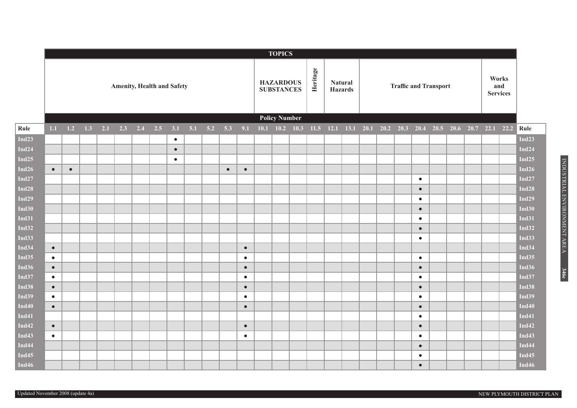|              | <b>TOPICS</b>                     |           |     |     |     |     |     |           |     |     |           |           |                                       |             |                      |          |                                  |                      |                              |  |  |           |  |  |  |                                         |                                 |              |  |
|--------------|-----------------------------------|-----------|-----|-----|-----|-----|-----|-----------|-----|-----|-----------|-----------|---------------------------------------|-------------|----------------------|----------|----------------------------------|----------------------|------------------------------|--|--|-----------|--|--|--|-----------------------------------------|---------------------------------|--------------|--|
|              | <b>Amenity, Health and Safety</b> |           |     |     |     |     |     |           |     |     |           |           | <b>HAZARDOUS</b><br><b>SUBSTANCES</b> |             |                      | Heritage | <b>Natural</b><br><b>Hazards</b> |                      | <b>Traffic and Transport</b> |  |  |           |  |  |  |                                         | Works<br>and<br><b>Services</b> |              |  |
|              |                                   |           |     |     |     |     |     |           |     |     |           |           |                                       |             | <b>Policy Number</b> |          |                                  |                      |                              |  |  |           |  |  |  |                                         |                                 |              |  |
| Rule         | 1.1                               | 1.2       | 1.3 | 2.1 | 2.3 | 2.4 | 2.5 | 3.1       | 5.1 | 5.2 | 5.3       | 9.1       | 10.1                                  | $10.2$ 10.3 |                      | 11.5     |                                  | $12.1$ $13.1$ $20.1$ |                              |  |  |           |  |  |  | 20.2 20.3 20.4 20.5 20.6 20.7 22.1 22.2 |                                 | Rule         |  |
| Ind23        |                                   |           |     |     |     |     |     | $\bullet$ |     |     |           |           |                                       |             |                      |          |                                  |                      |                              |  |  |           |  |  |  |                                         |                                 | Ind $23$     |  |
| Ind24        |                                   |           |     |     |     |     |     | $\bullet$ |     |     |           |           |                                       |             |                      |          |                                  |                      |                              |  |  |           |  |  |  |                                         |                                 | <b>Ind24</b> |  |
| Ind $25$     |                                   |           |     |     |     |     |     | $\bullet$ |     |     |           |           |                                       |             |                      |          |                                  |                      |                              |  |  |           |  |  |  |                                         |                                 | Ind $25$     |  |
| Ind26        | $\bullet$                         | $\bullet$ |     |     |     |     |     |           |     |     | $\bullet$ | $\bullet$ |                                       |             |                      |          |                                  |                      |                              |  |  |           |  |  |  |                                         |                                 | Ind $26$     |  |
| Ind27        |                                   |           |     |     |     |     |     |           |     |     |           |           |                                       |             |                      |          |                                  |                      |                              |  |  | $\bullet$ |  |  |  |                                         |                                 | Ind $27$     |  |
| Ind28        |                                   |           |     |     |     |     |     |           |     |     |           |           |                                       |             |                      |          |                                  |                      |                              |  |  | $\bullet$ |  |  |  |                                         |                                 | <b>Ind28</b> |  |
| Ind29        |                                   |           |     |     |     |     |     |           |     |     |           |           |                                       |             |                      |          |                                  |                      |                              |  |  | $\bullet$ |  |  |  |                                         |                                 | <b>Ind29</b> |  |
| Ind30        |                                   |           |     |     |     |     |     |           |     |     |           |           |                                       |             |                      |          |                                  |                      |                              |  |  | $\bullet$ |  |  |  |                                         |                                 | Ind $30$     |  |
| <b>Ind31</b> |                                   |           |     |     |     |     |     |           |     |     |           |           |                                       |             |                      |          |                                  |                      |                              |  |  | $\bullet$ |  |  |  |                                         |                                 | <b>Ind31</b> |  |
| Ind32        |                                   |           |     |     |     |     |     |           |     |     |           |           |                                       |             |                      |          |                                  |                      |                              |  |  | $\bullet$ |  |  |  |                                         |                                 | <b>Ind32</b> |  |
| Ind33        |                                   |           |     |     |     |     |     |           |     |     |           |           |                                       |             |                      |          |                                  |                      |                              |  |  | $\bullet$ |  |  |  |                                         |                                 | <b>Ind33</b> |  |
| Ind $34$     | $\bullet$                         |           |     |     |     |     |     |           |     |     |           | $\bullet$ |                                       |             |                      |          |                                  |                      |                              |  |  |           |  |  |  |                                         |                                 | Ind34        |  |
| Ind35        | $\bullet$                         |           |     |     |     |     |     |           |     |     |           | $\bullet$ |                                       |             |                      |          |                                  |                      |                              |  |  | $\bullet$ |  |  |  |                                         |                                 | <b>Ind35</b> |  |
| Ind36        | $\bullet$                         |           |     |     |     |     |     |           |     |     |           | $\bullet$ |                                       |             |                      |          |                                  |                      |                              |  |  | $\bullet$ |  |  |  |                                         |                                 | <b>Ind36</b> |  |
| Ind $37$     | $\bullet$                         |           |     |     |     |     |     |           |     |     |           | $\bullet$ |                                       |             |                      |          |                                  |                      |                              |  |  | $\bullet$ |  |  |  |                                         |                                 | <b>Ind37</b> |  |
| Ind38        | $\bullet$                         |           |     |     |     |     |     |           |     |     |           | $\bullet$ |                                       |             |                      |          |                                  |                      |                              |  |  | $\bullet$ |  |  |  |                                         |                                 | <b>Ind38</b> |  |
| Ind39        | $\bullet$                         |           |     |     |     |     |     |           |     |     |           | $\bullet$ |                                       |             |                      |          |                                  |                      |                              |  |  | $\bullet$ |  |  |  |                                         |                                 | <b>Ind39</b> |  |
| Ind40        | $\bullet$                         |           |     |     |     |     |     |           |     |     |           | $\bullet$ |                                       |             |                      |          |                                  |                      |                              |  |  | $\bullet$ |  |  |  |                                         |                                 | Ind $40$     |  |
| Ind41        |                                   |           |     |     |     |     |     |           |     |     |           |           |                                       |             |                      |          |                                  |                      |                              |  |  | $\bullet$ |  |  |  |                                         |                                 | <b>Ind41</b> |  |
| Ind42        | $\bullet$                         |           |     |     |     |     |     |           |     |     |           | $\bullet$ |                                       |             |                      |          |                                  |                      |                              |  |  | $\bullet$ |  |  |  |                                         |                                 | <b>Ind42</b> |  |
| Ind $43$     | $\bullet$                         |           |     |     |     |     |     |           |     |     |           | $\bullet$ |                                       |             |                      |          |                                  |                      |                              |  |  | $\bullet$ |  |  |  |                                         |                                 | <b>Ind43</b> |  |
| Ind44        |                                   |           |     |     |     |     |     |           |     |     |           |           |                                       |             |                      |          |                                  |                      |                              |  |  | $\bullet$ |  |  |  |                                         |                                 | Ind44        |  |
| Ind $45$     |                                   |           |     |     |     |     |     |           |     |     |           |           |                                       |             |                      |          |                                  |                      |                              |  |  | $\bullet$ |  |  |  |                                         |                                 | Ind $45$     |  |
| Ind $46$     |                                   |           |     |     |     |     |     |           |     |     |           |           |                                       |             |                      |          |                                  |                      |                              |  |  | $\bullet$ |  |  |  |                                         |                                 | Ind $46$     |  |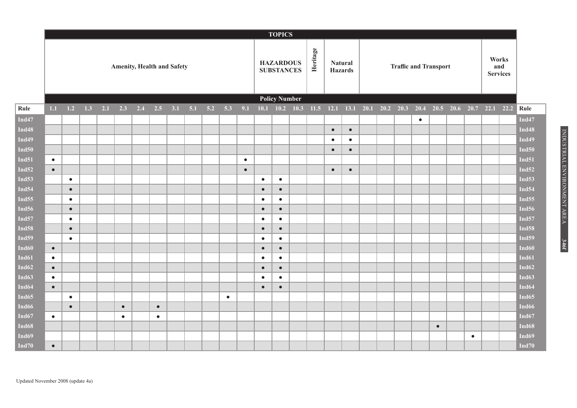|                   | <b>TOPICS</b> |                                   |     |     |           |     |           |  |             |     |           |           |           |           |                                                   |  |           |           |  |                              |                                 |           |           |                                                             |  |                   |
|-------------------|---------------|-----------------------------------|-----|-----|-----------|-----|-----------|--|-------------|-----|-----------|-----------|-----------|-----------|---------------------------------------------------|--|-----------|-----------|--|------------------------------|---------------------------------|-----------|-----------|-------------------------------------------------------------|--|-------------------|
|                   |               | <b>Amenity, Health and Safety</b> |     |     |           |     |           |  |             |     |           |           |           |           | Heritage<br><b>HAZARDOUS</b><br><b>SUBSTANCES</b> |  |           |           |  | <b>Traffic and Transport</b> | Works<br>and<br><b>Services</b> |           |           |                                                             |  |                   |
|                   |               |                                   |     |     |           |     |           |  |             |     |           |           |           |           | <b>Policy Number</b>                              |  |           |           |  |                              |                                 |           |           |                                                             |  |                   |
| Rule              | $1.1$         | 1.2                               | 1.3 | 2.1 | 2.3       | 2.4 | 2.5       |  | $3.1$ $5.1$ | 5.2 | 5.3       | 9.1       |           |           | $10.1$ $10.2$ $10.3$                              |  |           |           |  |                              |                                 |           |           | 11.5 12.1 13.1 20.1 20.2 20.3 20.4 20.5 20.6 20.7 22.1 22.2 |  | Rule              |
| Ind $47$          |               |                                   |     |     |           |     |           |  |             |     |           |           |           |           |                                                   |  |           |           |  |                              | $\bullet$                       |           |           |                                                             |  | Ind $47$          |
| <b>Ind48</b>      |               |                                   |     |     |           |     |           |  |             |     |           |           |           |           |                                                   |  | $\bullet$ | $\bullet$ |  |                              |                                 |           |           |                                                             |  | Ind48             |
| Ind $49$          |               |                                   |     |     |           |     |           |  |             |     |           |           |           |           |                                                   |  | $\bullet$ | $\bullet$ |  |                              |                                 |           |           |                                                             |  | Ind49             |
| Ind $50$          |               |                                   |     |     |           |     |           |  |             |     |           |           |           |           |                                                   |  | $\bullet$ | $\bullet$ |  |                              |                                 |           |           |                                                             |  | Ind <sub>50</sub> |
| <b>Ind51</b>      | $\bullet$     |                                   |     |     |           |     |           |  |             |     |           | $\bullet$ |           |           |                                                   |  |           |           |  |                              |                                 |           |           |                                                             |  | <b>Ind51</b>      |
| Ind $52$          | $\bullet$     |                                   |     |     |           |     |           |  |             |     |           | $\bullet$ |           |           |                                                   |  | $\bullet$ | $\bullet$ |  |                              |                                 |           |           |                                                             |  | Ind $52$          |
| Ind <sub>53</sub> |               | $\bullet$                         |     |     |           |     |           |  |             |     |           |           | $\bullet$ | $\bullet$ |                                                   |  |           |           |  |                              |                                 |           |           |                                                             |  | <b>Ind53</b>      |
| Ind <sub>54</sub> |               | $\bullet$                         |     |     |           |     |           |  |             |     |           |           | $\bullet$ | $\bullet$ |                                                   |  |           |           |  |                              |                                 |           |           |                                                             |  | Ind <sub>54</sub> |
| Ind $55$          |               | $\bullet$                         |     |     |           |     |           |  |             |     |           |           | $\bullet$ | $\bullet$ |                                                   |  |           |           |  |                              |                                 |           |           |                                                             |  | Ind $55$          |
| <b>Ind56</b>      |               | $\bullet$                         |     |     |           |     |           |  |             |     |           |           | $\bullet$ | $\bullet$ |                                                   |  |           |           |  |                              |                                 |           |           |                                                             |  | Ind <sub>56</sub> |
| <b>Ind57</b>      |               | $\bullet$                         |     |     |           |     |           |  |             |     |           |           | $\bullet$ | $\bullet$ |                                                   |  |           |           |  |                              |                                 |           |           |                                                             |  | Ind <sub>57</sub> |
| <b>Ind58</b>      |               | $\bullet$                         |     |     |           |     |           |  |             |     |           |           | $\bullet$ | $\bullet$ |                                                   |  |           |           |  |                              |                                 |           |           |                                                             |  | Ind <sub>58</sub> |
| Ind <sub>59</sub> |               | $\bullet$                         |     |     |           |     |           |  |             |     |           |           | $\bullet$ | $\bullet$ |                                                   |  |           |           |  |                              |                                 |           |           |                                                             |  | <b>Ind59</b>      |
| <b>Ind60</b>      | $\bullet$     |                                   |     |     |           |     |           |  |             |     |           |           | $\bullet$ | $\bullet$ |                                                   |  |           |           |  |                              |                                 |           |           |                                                             |  | Ind60             |
| Ind61             | $\bullet$     |                                   |     |     |           |     |           |  |             |     |           |           | $\bullet$ | $\bullet$ |                                                   |  |           |           |  |                              |                                 |           |           |                                                             |  | Ind61             |
| Ind $62$          | $\bullet$     |                                   |     |     |           |     |           |  |             |     |           |           | $\bullet$ | $\bullet$ |                                                   |  |           |           |  |                              |                                 |           |           |                                                             |  | Ind <sub>62</sub> |
| Ind63             | $\bullet$     |                                   |     |     |           |     |           |  |             |     |           |           | $\bullet$ | $\bullet$ |                                                   |  |           |           |  |                              |                                 |           |           |                                                             |  | Ind63             |
| Ind <sub>64</sub> | $\bullet$     |                                   |     |     |           |     |           |  |             |     |           |           | $\bullet$ | $\bullet$ |                                                   |  |           |           |  |                              |                                 |           |           |                                                             |  | Ind64             |
| Ind <sub>65</sub> |               | $\bullet$                         |     |     |           |     |           |  |             |     | $\bullet$ |           |           |           |                                                   |  |           |           |  |                              |                                 |           |           |                                                             |  | Ind <sub>65</sub> |
| Ind66             |               | $\bullet$                         |     |     | $\bullet$ |     | $\bullet$ |  |             |     |           |           |           |           |                                                   |  |           |           |  |                              |                                 |           |           |                                                             |  | Ind <sub>66</sub> |
| Ind67             | $\bullet$     |                                   |     |     | $\bullet$ |     | $\bullet$ |  |             |     |           |           |           |           |                                                   |  |           |           |  |                              |                                 |           |           |                                                             |  | Ind <sub>67</sub> |
| <b>Ind68</b>      |               |                                   |     |     |           |     |           |  |             |     |           |           |           |           |                                                   |  |           |           |  |                              |                                 | $\bullet$ |           |                                                             |  | Ind68             |
| Ind69             |               |                                   |     |     |           |     |           |  |             |     |           |           |           |           |                                                   |  |           |           |  |                              |                                 |           | $\bullet$ |                                                             |  | Ind <sub>69</sub> |
| Ind $70$          | $\bullet$     |                                   |     |     |           |     |           |  |             |     |           |           |           |           |                                                   |  |           |           |  |                              |                                 |           |           |                                                             |  | Ind $70$          |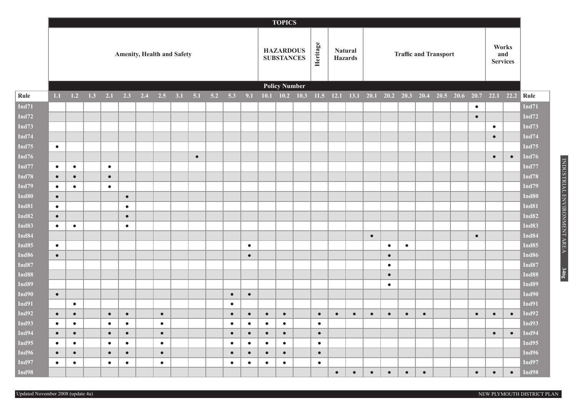|                   |                                   | <b>TOPICS</b> |     |           |           |     |           |     |           |     |           |           |           |                                                   |      |           |           |                                  |           |             |                              |           |                     |  |           |           |           |                   |  |
|-------------------|-----------------------------------|---------------|-----|-----------|-----------|-----|-----------|-----|-----------|-----|-----------|-----------|-----------|---------------------------------------------------|------|-----------|-----------|----------------------------------|-----------|-------------|------------------------------|-----------|---------------------|--|-----------|-----------|-----------|-------------------|--|
|                   | <b>Amenity, Health and Safety</b> |               |     |           |           |     |           |     |           |     |           |           |           | Heritage<br><b>HAZARDOUS</b><br><b>SUBSTANCES</b> |      |           |           | <b>Natural</b><br><b>Hazards</b> |           |             | <b>Traffic and Transport</b> |           |                     |  |           |           |           |                   |  |
|                   |                                   |               |     |           |           |     |           |     |           |     |           |           |           | <b>Policy Number</b>                              |      |           |           |                                  |           |             |                              |           |                     |  |           |           |           |                   |  |
| Rule              | $1.1\,$                           | $1.2$         | 1.3 | 2.1       | 2.3       | 2.4 | 2.5       | 3.1 | 5.1       | 5.2 | 5.3       | 9.1       | 10.1      | 10.2                                              | 10.3 |           |           | $11.5$ 12.1 13.1 20.1            |           | $20.2$ 20.3 |                              |           | 20.4 20.5 20.6 20.7 |  |           |           | 22.1 22.2 | Rule              |  |
| <b>Ind71</b>      |                                   |               |     |           |           |     |           |     |           |     |           |           |           |                                                   |      |           |           |                                  |           |             |                              |           |                     |  | $\bullet$ |           |           | <b>Ind71</b>      |  |
| Ind $72$          |                                   |               |     |           |           |     |           |     |           |     |           |           |           |                                                   |      |           |           |                                  |           |             |                              |           |                     |  | $\bullet$ |           |           | Ind72             |  |
| Ind73             |                                   |               |     |           |           |     |           |     |           |     |           |           |           |                                                   |      |           |           |                                  |           |             |                              |           |                     |  |           | $\bullet$ |           | Ind73             |  |
| Ind $74$          |                                   |               |     |           |           |     |           |     |           |     |           |           |           |                                                   |      |           |           |                                  |           |             |                              |           |                     |  |           | $\bullet$ |           | <b>Ind74</b>      |  |
| Ind75             | $\bullet$                         |               |     |           |           |     |           |     |           |     |           |           |           |                                                   |      |           |           |                                  |           |             |                              |           |                     |  |           |           |           | Ind75             |  |
| Ind <sub>76</sub> |                                   |               |     |           |           |     |           |     | $\bullet$ |     |           |           |           |                                                   |      |           |           |                                  |           |             |                              |           |                     |  |           | $\bullet$ | $\bullet$ | Ind76             |  |
| $\mathbf{Ind77}$  | $\bullet$                         | $\bullet$     |     | $\bullet$ |           |     |           |     |           |     |           |           |           |                                                   |      |           |           |                                  |           |             |                              |           |                     |  |           |           |           | Ind77             |  |
| Ind78             | $\bullet$                         | $\bullet$     |     | $\bullet$ |           |     |           |     |           |     |           |           |           |                                                   |      |           |           |                                  |           |             |                              |           |                     |  |           |           |           | <b>Ind78</b>      |  |
| Ind79             | $\bullet$                         | $\bullet$     |     | $\bullet$ |           |     |           |     |           |     |           |           |           |                                                   |      |           |           |                                  |           |             |                              |           |                     |  |           |           |           | Ind79             |  |
| Ind80             | $\bullet$                         |               |     |           | $\bullet$ |     |           |     |           |     |           |           |           |                                                   |      |           |           |                                  |           |             |                              |           |                     |  |           |           |           | <b>Ind80</b>      |  |
| <b>Ind81</b>      | $\bullet$                         |               |     |           | $\bullet$ |     |           |     |           |     |           |           |           |                                                   |      |           |           |                                  |           |             |                              |           |                     |  |           |           |           | <b>Ind81</b>      |  |
| Ind82             | $\bullet$                         |               |     |           | $\bullet$ |     |           |     |           |     |           |           |           |                                                   |      |           |           |                                  |           |             |                              |           |                     |  |           |           |           | <b>Ind82</b>      |  |
| Ind83             | $\bullet$                         | $\bullet$     |     |           | $\bullet$ |     |           |     |           |     |           |           |           |                                                   |      |           |           |                                  |           |             |                              |           |                     |  |           |           |           | Ind83             |  |
| Ind84             |                                   |               |     |           |           |     |           |     |           |     |           |           |           |                                                   |      |           |           |                                  | $\bullet$ |             |                              |           |                     |  | $\bullet$ |           |           | <b>Ind84</b>      |  |
| Ind85             | $\bullet$                         |               |     |           |           |     |           |     |           |     |           | $\bullet$ |           |                                                   |      |           |           |                                  |           | $\bullet$   | $\bullet$                    |           |                     |  |           |           |           | Ind <sub>85</sub> |  |
| Ind86             | $\bullet$                         |               |     |           |           |     |           |     |           |     |           | $\bullet$ |           |                                                   |      |           |           |                                  |           | $\bullet$   |                              |           |                     |  |           |           |           | Ind86             |  |
| Ind87             |                                   |               |     |           |           |     |           |     |           |     |           |           |           |                                                   |      |           |           |                                  |           | $\bullet$   |                              |           |                     |  |           |           |           | Ind87             |  |
| Ind88             |                                   |               |     |           |           |     |           |     |           |     |           |           |           |                                                   |      |           |           |                                  |           | $\bullet$   |                              |           |                     |  |           |           |           | <b>Ind88</b>      |  |
| Ind89             |                                   |               |     |           |           |     |           |     |           |     |           |           |           |                                                   |      |           |           |                                  |           | $\bullet$   |                              |           |                     |  |           |           |           | <b>Ind89</b>      |  |
| Ind90             | $\bullet$                         |               |     |           |           |     |           |     |           |     | $\bullet$ | $\bullet$ |           |                                                   |      |           |           |                                  |           |             |                              |           |                     |  |           |           |           | Ind90             |  |
| <b>Ind91</b>      |                                   | $\bullet$     |     |           |           |     |           |     |           |     | $\bullet$ |           |           |                                                   |      |           |           |                                  |           |             |                              |           |                     |  |           |           |           | <b>Ind91</b>      |  |
| Ind92             | $\bullet$                         | $\bullet$     |     | $\bullet$ | $\bullet$ |     | $\bullet$ |     |           |     | $\bullet$ | $\bullet$ | $\bullet$ | $\bullet$                                         |      | $\bullet$ | $\bullet$ | $\bullet$                        | $\bullet$ | $\bullet$   | $\bullet$                    | $\bullet$ |                     |  | $\bullet$ | $\bullet$ | $\bullet$ | <b>Ind92</b>      |  |
| Ind $93$          | $\bullet$                         | $\bullet$     |     | $\bullet$ | $\bullet$ |     | $\bullet$ |     |           |     | $\bullet$ | $\bullet$ | $\bullet$ | $\bullet$                                         |      | $\bullet$ |           |                                  |           |             |                              |           |                     |  |           |           |           | Ind93             |  |
| Ind94             | $\bullet$                         | $\bullet$     |     | $\bullet$ | $\bullet$ |     | $\bullet$ |     |           |     | $\bullet$ | $\bullet$ | $\bullet$ | $\bullet$                                         |      | $\bullet$ |           |                                  |           |             |                              |           |                     |  |           | $\bullet$ | $\bullet$ | Ind94             |  |
| Ind95             | $\bullet$                         | $\bullet$     |     | $\bullet$ | $\bullet$ |     | $\bullet$ |     |           |     | $\bullet$ | $\bullet$ | $\bullet$ | $\bullet$                                         |      | $\bullet$ |           |                                  |           |             |                              |           |                     |  |           |           |           | Ind95             |  |
| Ind96             | $\bullet$                         | $\bullet$     |     | $\bullet$ | $\bullet$ |     | $\bullet$ |     |           |     | $\bullet$ | $\bullet$ | $\bullet$ | $\bullet$                                         |      | $\bullet$ |           |                                  |           |             |                              |           |                     |  |           |           |           | Ind96             |  |
| Ind97             | $\bullet$                         | $\bullet$     |     | $\bullet$ | $\bullet$ |     | $\bullet$ |     |           |     | $\bullet$ | $\bullet$ | $\bullet$ | $\bullet$                                         |      | $\bullet$ |           |                                  |           |             |                              |           |                     |  |           |           |           | Ind97             |  |
| Ind98             |                                   |               |     |           |           |     |           |     |           |     |           |           |           |                                                   |      |           | $\bullet$ | $\bullet$                        | $\bullet$ | $\bullet$   | $\bullet$                    | $\bullet$ |                     |  | $\bullet$ | $\bullet$ | $\bullet$ | Ind98             |  |

INDUSTRIAL ENVIRONMENT AREA INDUSTRIAL ENVIRONMENT AREA **346g**